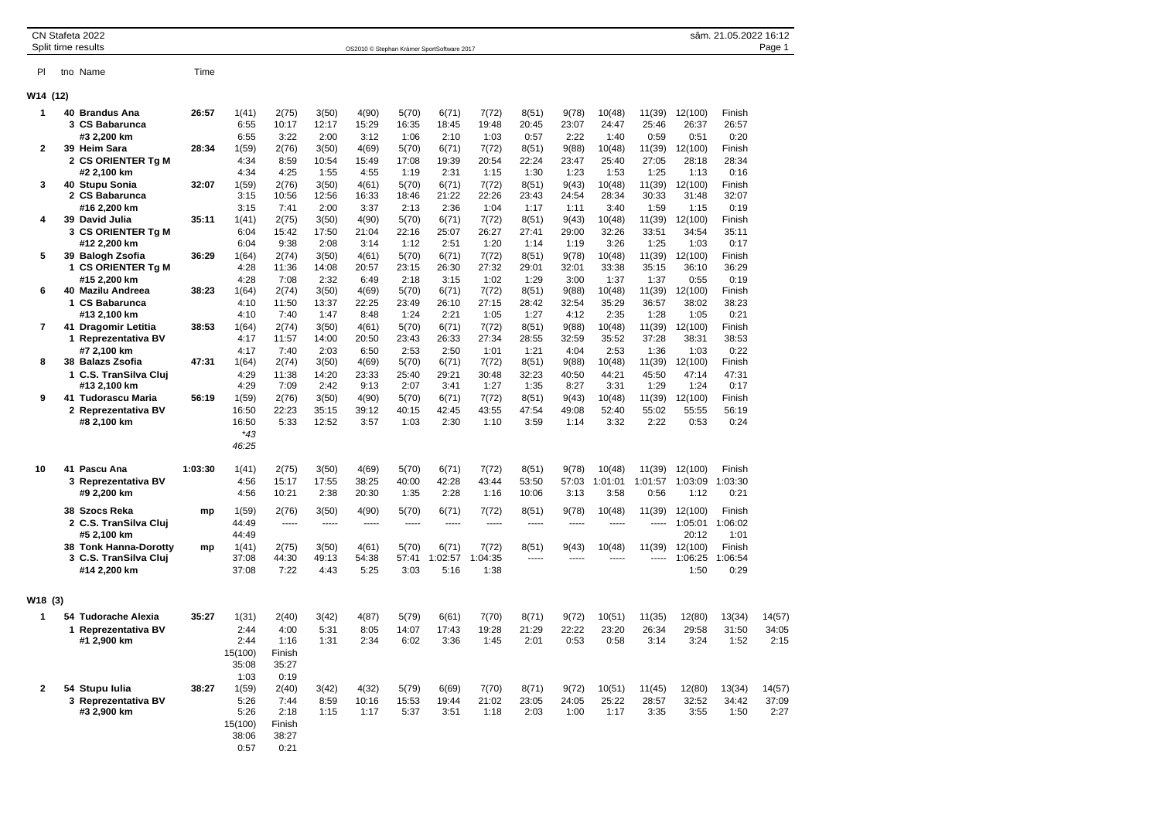| CN Stafeta 2022<br>sâm. 21.05.2022 16:12<br>Split time results<br>Page 1<br>OS2010 © Stephan Krämer SportSoftware 2017 |  |                                                                          |         |                                                 |                                |                                 |                                |                                |                                |                                |                                |                                |                                 |                                 |                                  |                                 |                         |  |
|------------------------------------------------------------------------------------------------------------------------|--|--------------------------------------------------------------------------|---------|-------------------------------------------------|--------------------------------|---------------------------------|--------------------------------|--------------------------------|--------------------------------|--------------------------------|--------------------------------|--------------------------------|---------------------------------|---------------------------------|----------------------------------|---------------------------------|-------------------------|--|
|                                                                                                                        |  |                                                                          |         |                                                 |                                |                                 |                                |                                |                                |                                |                                |                                |                                 |                                 |                                  |                                 |                         |  |
| PI.                                                                                                                    |  | tno Name                                                                 | Time    |                                                 |                                |                                 |                                |                                |                                |                                |                                |                                |                                 |                                 |                                  |                                 |                         |  |
| W14 (12)                                                                                                               |  |                                                                          |         |                                                 |                                |                                 |                                |                                |                                |                                |                                |                                |                                 |                                 |                                  |                                 |                         |  |
| 1                                                                                                                      |  | 40 Brandus Ana<br>3 CS Babarunca                                         | 26:57   | 1(41)<br>6:55                                   | 2(75)<br>10:17                 | 3(50)<br>12:17                  | 4(90)<br>15:29                 | 5(70)<br>16:35                 | 6(71)<br>18:45                 | 7(72)<br>19:48                 | 8(51)<br>20:45                 | 9(78)<br>23:07                 | 10(48)<br>24:47                 | 11(39)<br>25:46                 | 12(100)<br>26:37                 | Finish<br>26:57                 |                         |  |
| $\mathbf{2}$                                                                                                           |  | #3 2,200 km<br>39 Heim Sara<br>2 CS ORIENTER Tg M                        | 28:34   | 6:55<br>1(59)<br>4:34                           | 3:22<br>2(76)<br>8:59          | 2:00<br>3(50)<br>10:54          | 3:12<br>4(69)<br>15:49         | 1:06<br>5(70)<br>17:08         | 2:10<br>6(71)<br>19:39         | 1:03<br>7(72)<br>20:54         | 0:57<br>8(51)<br>22:24         | 2:22<br>9(88)<br>23:47         | 1:40<br>10(48)<br>25:40         | 0:59<br>11(39)<br>27:05         | 0:51<br>12(100)<br>28:18         | 0:20<br>Finish<br>28:34         |                         |  |
| 3                                                                                                                      |  | #2 2,100 km<br>40 Stupu Sonia                                            | 32:07   | 4:34<br>1(59)                                   | 4:25<br>2(76)                  | 1:55<br>3(50)                   | 4:55<br>4(61)                  | 1:19<br>5(70)                  | 2:31<br>6(71)                  | 1:15<br>7(72)                  | 1:30<br>8(51)                  | 1:23<br>9(43)                  | 1:53<br>10(48)                  | 1:25<br>11(39)                  | 1:13<br>12(100)                  | 0:16<br>Finish                  |                         |  |
| 4                                                                                                                      |  | 2 CS Babarunca<br>#16 2,200 km<br>39 David Julia                         | 35:11   | 3:15<br>3:15<br>1(41)                           | 10:56<br>7:41<br>2(75)         | 12:56<br>2:00<br>3(50)          | 16:33<br>3:37<br>4(90)         | 18:46<br>2:13<br>5(70)         | 21:22<br>2:36<br>6(71)         | 22:26<br>1:04<br>7(72)         | 23:43<br>1:17<br>8(51)         | 24:54<br>1:11<br>9(43)         | 28:34<br>3:40<br>10(48)         | 30:33<br>1:59<br>11(39)         | 31:48<br>1:15<br>12(100)         | 32:07<br>0:19<br>Finish         |                         |  |
| 5                                                                                                                      |  | 3 CS ORIENTER Tg M<br>#12 2,200 km<br>39 Balogh Zsofia                   | 36:29   | 6:04<br>6:04<br>1(64)                           | 15:42<br>9:38<br>2(74)         | 17:50<br>2:08<br>3(50)          | 21:04<br>3:14<br>4(61)         | 22:16<br>1:12<br>5(70)         | 25:07<br>2:51<br>6(71)         | 26:27<br>1:20<br>7(72)         | 27:41<br>1:14<br>8(51)         | 29:00<br>1:19<br>9(78)         | 32:26<br>3:26<br>10(48)         | 33:51<br>1:25<br>11(39)         | 34:54<br>1:03<br>12(100)         | 35:11<br>0:17<br>Finish         |                         |  |
|                                                                                                                        |  | 1 CS ORIENTER Tg M<br>#15 2,200 km                                       |         | 4:28<br>4:28                                    | 11:36<br>7:08                  | 14:08<br>2:32                   | 20:57<br>6:49                  | 23:15<br>2:18                  | 26:30<br>3:15                  | 27:32<br>1:02                  | 29:01<br>1:29                  | 32:01<br>3:00                  | 33:38<br>1:37                   | 35:15<br>1:37                   | 36:10<br>0:55                    | 36:29<br>0:19                   |                         |  |
| 6                                                                                                                      |  | 40 Mazilu Andreea<br>1 CS Babarunca<br>#13 2,100 km                      | 38:23   | 1(64)<br>4:10<br>4:10                           | 2(74)<br>11:50<br>7:40         | 3(50)<br>13:37<br>1:47          | 4(69)<br>22:25<br>8:48         | 5(70)<br>23:49<br>1:24         | 6(71)<br>26:10<br>2:21         | 7(72)<br>27:15<br>1:05         | 8(51)<br>28:42<br>1:27         | 9(88)<br>32:54<br>4:12         | 10(48)<br>35:29<br>2:35         | 11(39)<br>36:57<br>1:28         | 12(100)<br>38:02<br>1:05         | Finish<br>38:23<br>0:21         |                         |  |
| $\overline{7}$                                                                                                         |  | 41 Dragomir Letitia<br>1 Reprezentativa BV<br>#7 2,100 km                | 38:53   | 1(64)<br>4:17<br>4:17                           | 2(74)<br>11:57<br>7:40         | 3(50)<br>14:00<br>2:03          | 4(61)<br>20:50<br>6:50         | 5(70)<br>23:43<br>2:53         | 6(71)<br>26:33<br>2:50         | 7(72)<br>27:34<br>1:01         | 8(51)<br>28:55<br>1:21         | 9(88)<br>32:59<br>4:04         | 10(48)<br>35:52<br>2:53         | 11(39)<br>37:28<br>1:36         | 12(100)<br>38:31<br>1:03         | Finish<br>38:53<br>0:22         |                         |  |
| 8                                                                                                                      |  | 38 Balazs Zsofia<br>1 C.S. TranSilva Cluj                                | 47:31   | 1(64)<br>4:29                                   | 2(74)<br>11:38                 | 3(50)<br>14:20                  | 4(69)<br>23:33                 | 5(70)<br>25:40                 | 6(71)<br>29:21                 | 7(72)<br>30:48                 | 8(51)<br>32:23                 | 9(88)<br>40:50                 | 10(48)<br>44:21                 | 11(39)<br>45:50                 | 12(100)<br>47:14                 | Finish<br>47:31                 |                         |  |
| 9                                                                                                                      |  | #13 2,100 km<br>41 Tudorascu Maria<br>2 Reprezentativa BV<br>#8 2,100 km | 56:19   | 4:29<br>1(59)<br>16:50<br>16:50<br>*43<br>46:25 | 7:09<br>2(76)<br>22:23<br>5:33 | 2:42<br>3(50)<br>35:15<br>12:52 | 9:13<br>4(90)<br>39:12<br>3:57 | 2:07<br>5(70)<br>40:15<br>1:03 | 3:41<br>6(71)<br>42:45<br>2:30 | 1:27<br>7(72)<br>43:55<br>1:10 | 1:35<br>8(51)<br>47:54<br>3:59 | 8:27<br>9(43)<br>49:08<br>1:14 | 3:31<br>10(48)<br>52:40<br>3:32 | 1:29<br>11(39)<br>55:02<br>2:22 | 1:24<br>12(100)<br>55:55<br>0:53 | 0:17<br>Finish<br>56:19<br>0:24 |                         |  |
| 10                                                                                                                     |  | 41 Pascu Ana<br>3 Reprezentativa BV<br>#9 2,200 km                       | 1:03:30 | 1(41)<br>4:56<br>4:56                           | 2(75)<br>15:17<br>10:21        | 3(50)<br>17:55<br>2:38          | 4(69)<br>38:25<br>20:30        | 5(70)<br>40:00<br>1:35         | 6(71)<br>42:28<br>2:28         | 7(72)<br>43:44<br>1:16         | 8(51)<br>53:50<br>10:06        | 9(78)<br>57:03<br>3:13         | 10(48)<br>1:01:01<br>3:58       | 11(39)<br>1:01:57<br>0:56       | 12(100)<br>1:03:09<br>1:12       | Finish<br>1:03:30<br>0:21       |                         |  |
|                                                                                                                        |  | 38 Szocs Reka<br>2 C.S. TranSilva Cluj<br>#5 2,100 km                    | mp      | 1(59)<br>44:49<br>44:49                         | 2(76)<br>-----                 | 3(50)<br>1.1.1.1                | 4(90)<br>-----                 | 5(70)<br>-----                 | 6(71)<br>-----                 | 7(72)<br>-----                 | 8(51)<br>-----                 | 9(78)<br>-----                 | 10(48)                          | 11(39)                          | 12(100)<br>1:05:01<br>20:12      | Finish<br>1:06:02<br>1:01       |                         |  |
|                                                                                                                        |  | 38 Tonk Hanna-Dorotty<br>3 C.S. TranSilva Cluj<br>#14 2,200 km           | mp      | 1(41)<br>37:08<br>37:08                         | 2(75)<br>44:30<br>7:22         | 3(50)<br>49:13<br>4:43          | 4(61)<br>54:38<br>5:25         | 5(70)<br>57:41<br>3:03         | 6(71)<br>1:02:57<br>5:16       | 7(72)<br>:04:35<br>-1<br>1:38  | 8(51)<br>-----                 | 9(43)<br>$^{***}$              | 10(48)<br>-----                 | 11(39)<br>-----                 | 12(100)<br>1:06:25<br>1:50       | Finish<br>1:06:54<br>0:29       |                         |  |
| W <sub>18</sub> (3)                                                                                                    |  |                                                                          |         |                                                 |                                |                                 |                                |                                |                                |                                |                                |                                |                                 |                                 |                                  |                                 |                         |  |
| 1                                                                                                                      |  | 54 Tudorache Alexia<br>1 Reprezentativa BV                               | 35:27   | 1(31)<br>2:44                                   | 2(40)<br>4:00                  | 3(42)<br>5:31                   | 4(87)<br>8:05                  | 5(79)<br>14:07                 | 6(61)<br>17:43                 | 7(70)<br>19:28                 | 8(71)<br>21:29                 | 9(72)<br>22:22                 | 10(51)<br>23:20                 | 11(35)<br>26:34                 | 12(80)<br>29:58                  | 13(34)<br>31:50                 | 14(57)<br>34:05         |  |
|                                                                                                                        |  | #1 2,900 km                                                              |         | 2:44<br>15(100)<br>35:08                        | 1:16<br>Finish<br>35:27        | 1:31                            | 2:34                           | 6:02                           | 3:36                           | 1:45                           | 2:01                           | 0:53                           | 0:58                            | 3:14                            | 3:24                             | 1:52                            | 2:15                    |  |
| $\mathbf{2}$                                                                                                           |  | 54 Stupu Iulia<br>3 Reprezentativa BV<br>#3 2,900 km                     | 38:27   | 1:03<br>1(59)<br>5:26<br>5:26                   | 0:19<br>2(40)<br>7:44<br>2:18  | 3(42)<br>8:59<br>1:15           | 4(32)<br>10:16<br>1:17         | 5(79)<br>15:53<br>5:37         | 6(69)<br>19:44<br>3:51         | 7(70)<br>21:02<br>1:18         | 8(71)<br>23:05<br>2:03         | 9(72)<br>24:05<br>1:00         | 10(51)<br>25:22<br>1:17         | 11(45)<br>28:57<br>3:35         | 12(80)<br>32:52<br>3:55          | 13(34)<br>34:42<br>1:50         | 14(57)<br>37:09<br>2:27 |  |
|                                                                                                                        |  |                                                                          |         | 15(100)<br>38:06<br>0:57                        | Finish<br>38:27<br>0:21        |                                 |                                |                                |                                |                                |                                |                                |                                 |                                 |                                  |                                 |                         |  |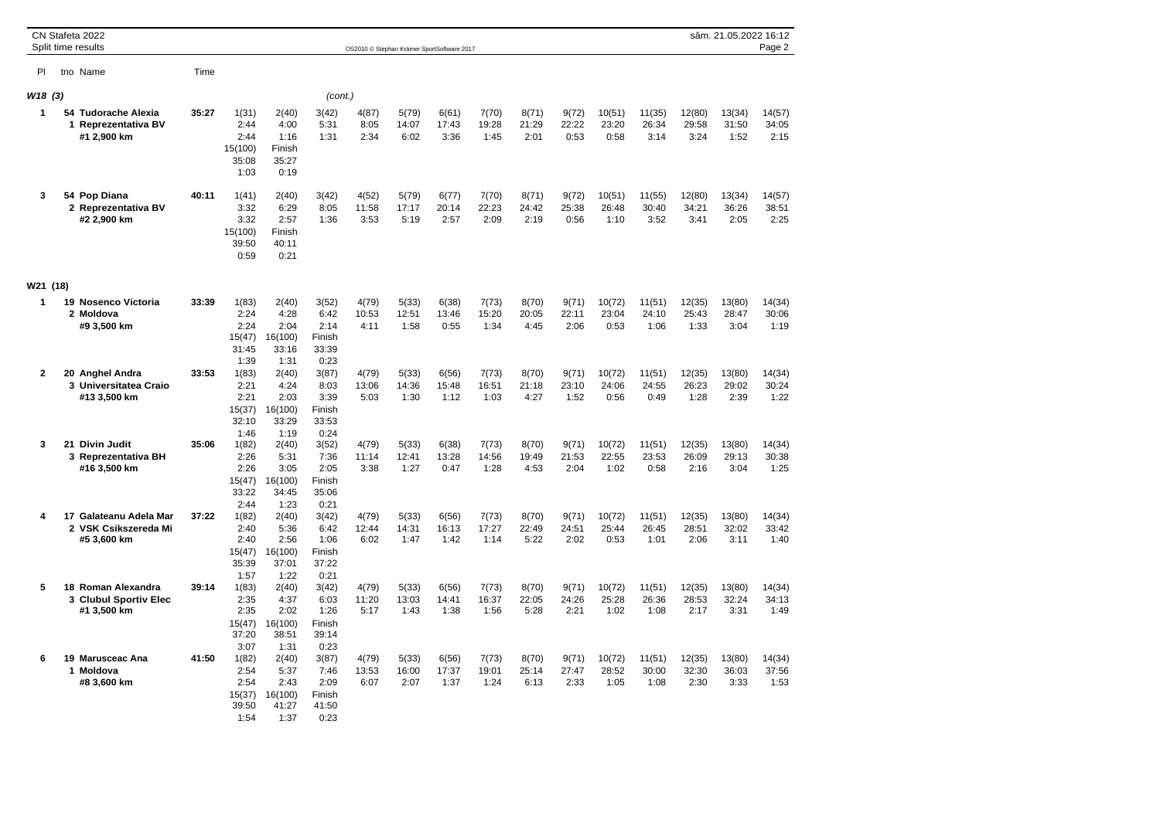|          | CN Stafeta 2022<br>Split time results                                          |       |                                                          |                                                           |                                                          | OS2010 © Stephan Krämer SportSoftware 2017 |                        |                        |                        |                        |                        |                         |                         |                         | sâm. 21.05.2022 16:12   | Page 2                  |
|----------|--------------------------------------------------------------------------------|-------|----------------------------------------------------------|-----------------------------------------------------------|----------------------------------------------------------|--------------------------------------------|------------------------|------------------------|------------------------|------------------------|------------------------|-------------------------|-------------------------|-------------------------|-------------------------|-------------------------|
| PI       | tno Name                                                                       | Time  |                                                          |                                                           |                                                          |                                            |                        |                        |                        |                        |                        |                         |                         |                         |                         |                         |
| W18(3)   |                                                                                |       |                                                          |                                                           | (cont.)                                                  |                                            |                        |                        |                        |                        |                        |                         |                         |                         |                         |                         |
| 1        | 54 Tudorache Alexia<br><b>Reprezentativa BV</b><br>$\mathbf{1}$<br>#1 2,900 km | 35:27 | 1(31)<br>2:44<br>2:44<br>15(100)<br>35:08<br>1:03        | 2(40)<br>4:00<br>1:16<br>Finish<br>35:27<br>0:19          | 3(42)<br>5:31<br>1:31                                    | 4(87)<br>8:05<br>2:34                      | 5(79)<br>14:07<br>6:02 | 6(61)<br>17:43<br>3:36 | 7(70)<br>19:28<br>1:45 | 8(71)<br>21:29<br>2:01 | 9(72)<br>22:22<br>0:53 | 10(51)<br>23:20<br>0:58 | 11(35)<br>26:34<br>3:14 | 12(80)<br>29:58<br>3:24 | 13(34)<br>31:50<br>1:52 | 14(57)<br>34:05<br>2:15 |
| 3        | 54 Pop Diana<br>2 Reprezentativa BV<br>#2 2,900 km                             | 40:11 | 1(41)<br>3:32<br>3:32<br>15(100)<br>39:50<br>0:59        | 2(40)<br>6:29<br>2:57<br>Finish<br>40:11<br>0:21          | 3(42)<br>8:05<br>1:36                                    | 4(52)<br>11:58<br>3:53                     | 5(79)<br>17:17<br>5:19 | 6(77)<br>20:14<br>2:57 | 7(70)<br>22:23<br>2:09 | 8(71)<br>24:42<br>2:19 | 9(72)<br>25:38<br>0:56 | 10(51)<br>26:48<br>1:10 | 11(55)<br>30:40<br>3:52 | 12(80)<br>34:21<br>3:41 | 13(34)<br>36:26<br>2:05 | 14(57)<br>38:51<br>2:25 |
| W21 (18) |                                                                                |       |                                                          |                                                           |                                                          |                                            |                        |                        |                        |                        |                        |                         |                         |                         |                         |                         |
| 1        | 19 Nosenco Victoria<br>2 Moldova<br>#9 3,500 km                                | 33:39 | 1(83)<br>2:24<br>2:24<br>15(47)<br>31:45<br>1:39         | 2(40)<br>4:28<br>2:04<br>16(100)<br>33:16<br>1:31         | 3(52)<br>6:42<br>2:14<br>Finish<br>33:39<br>0:23         | 4(79)<br>10:53<br>4:11                     | 5(33)<br>12:51<br>1:58 | 6(38)<br>13:46<br>0:55 | 7(73)<br>15:20<br>1:34 | 8(70)<br>20:05<br>4:45 | 9(71)<br>22:11<br>2:06 | 10(72)<br>23:04<br>0:53 | 11(51)<br>24:10<br>1:06 | 12(35)<br>25:43<br>1:33 | 13(80)<br>28:47<br>3:04 | 14(34)<br>30:06<br>1:19 |
| 2        | 20 Anghel Andra<br>3 Universitatea Craio<br>#13 3,500 km                       | 33:53 | 1(83)<br>2:21<br>2:21<br>15(37)<br>32:10<br>1:46         | 2(40)<br>4:24<br>2:03<br>16(100)<br>33:29<br>1:19         | 3(87)<br>8:03<br>3:39<br>Finish<br>33:53<br>0:24         | 4(79)<br>13:06<br>5:03                     | 5(33)<br>14:36<br>1:30 | 6(56)<br>15:48<br>1:12 | 7(73)<br>16:51<br>1:03 | 8(70)<br>21:18<br>4:27 | 9(71)<br>23:10<br>1:52 | 10(72)<br>24:06<br>0:56 | 11(51)<br>24:55<br>0:49 | 12(35)<br>26:23<br>1:28 | 13(80)<br>29:02<br>2:39 | 14(34)<br>30:24<br>1:22 |
| 3        | <b>Divin Judit</b><br>21<br>3 Reprezentativa BH<br>#16 3,500 km                | 35:06 | 1(82)<br>2:26<br>2:26<br>15(47)<br>33:22<br>2:44         | 2(40)<br>5:31<br>3:05<br>16(100)<br>34:45<br>1:23         | 3(52)<br>7:36<br>2:05<br>Finish<br>35:06<br>0:21         | 4(79)<br>11:14<br>3:38                     | 5(33)<br>12:41<br>1:27 | 6(38)<br>13:28<br>0:47 | 7(73)<br>14:56<br>1:28 | 8(70)<br>19:49<br>4:53 | 9(71)<br>21:53<br>2:04 | 10(72)<br>22:55<br>1:02 | 11(51)<br>23:53<br>0:58 | 12(35)<br>26:09<br>2:16 | 13(80)<br>29:13<br>3:04 | 14(34)<br>30:38<br>1:25 |
| 4        | 17 Galateanu Adela Mar<br>2 VSK Csikszereda Mi<br>#5 3,600 km                  | 37:22 | 1(82)<br>2:40<br>2:40<br>15(47)<br>35:39                 | 2(40)<br>5:36<br>2:56<br>16(100)<br>37:01                 | 3(42)<br>6:42<br>1:06<br>Finish<br>37:22                 | 4(79)<br>12:44<br>6:02                     | 5(33)<br>14:31<br>1:47 | 6(56)<br>16:13<br>1:42 | 7(73)<br>17:27<br>1:14 | 8(70)<br>22:49<br>5:22 | 9(71)<br>24:51<br>2:02 | 10(72)<br>25:44<br>0:53 | 11(51)<br>26:45<br>1:01 | 12(35)<br>28:51<br>2:06 | 13(80)<br>32:02<br>3:11 | 14(34)<br>33:42<br>1:40 |
| 5        | 18 Roman Alexandra<br>3 Clubul Sportiv Elec<br>#1 3,500 km                     | 39:14 | 1:57<br>1(83)<br>2:35<br>2:35<br>15(47)<br>37:20<br>3:07 | 1:22<br>2(40)<br>4:37<br>2:02<br>16(100)<br>38:51<br>1:31 | 0:21<br>3(42)<br>6:03<br>1:26<br>Finish<br>39:14<br>0:23 | 4(79)<br>11:20<br>5:17                     | 5(33)<br>13:03<br>1:43 | 6(56)<br>14:41<br>1:38 | 7(73)<br>16:37<br>1:56 | 8(70)<br>22:05<br>5:28 | 9(71)<br>24:26<br>2:21 | 10(72)<br>25:28<br>1:02 | 11(51)<br>26:36<br>1:08 | 12(35)<br>28:53<br>2:17 | 13(80)<br>32:24<br>3:31 | 14(34)<br>34:13<br>1:49 |
| 6        | 19 Marusceac Ana<br>Moldova<br>1<br>#8 3,600 km                                | 41:50 | 1(82)<br>2:54<br>2:54<br>15(37)<br>39:50<br>1:54         | 2(40)<br>5:37<br>2:43<br>16(100)<br>41:27<br>1:37         | 3(87)<br>7:46<br>2:09<br>Finish<br>41:50<br>0:23         | 4(79)<br>13:53<br>6:07                     | 5(33)<br>16:00<br>2:07 | 6(56)<br>17:37<br>1:37 | 7(73)<br>19:01<br>1:24 | 8(70)<br>25:14<br>6:13 | 9(71)<br>27:47<br>2:33 | 10(72)<br>28:52<br>1:05 | 11(51)<br>30:00<br>1:08 | 12(35)<br>32:30<br>2:30 | 13(80)<br>36:03<br>3:33 | 14(34)<br>37:56<br>1:53 |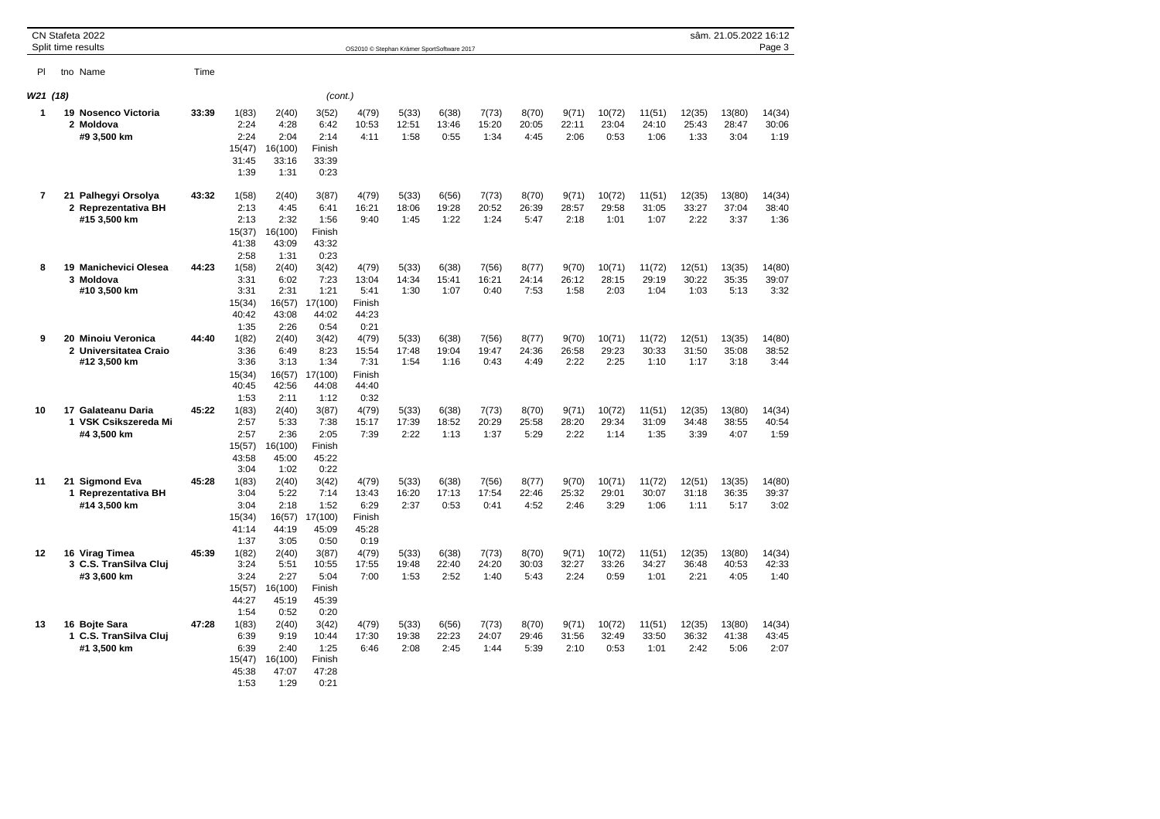|                | CN Stafeta 2022<br>Split time results                       |       |                                                  |                                                   |                                                   | OS2010 © Stephan Krämer SportSoftware 2017        |                        |                        |                        |                        |                        |                         |                         |                         | sâm. 21.05.2022 16:12   | Page 3                  |
|----------------|-------------------------------------------------------------|-------|--------------------------------------------------|---------------------------------------------------|---------------------------------------------------|---------------------------------------------------|------------------------|------------------------|------------------------|------------------------|------------------------|-------------------------|-------------------------|-------------------------|-------------------------|-------------------------|
| PI             | tno Name                                                    | Time  |                                                  |                                                   |                                                   |                                                   |                        |                        |                        |                        |                        |                         |                         |                         |                         |                         |
| W21 (18)       |                                                             |       |                                                  |                                                   | (cont.)                                           |                                                   |                        |                        |                        |                        |                        |                         |                         |                         |                         |                         |
| 1              | 19 Nosenco Victoria<br>2 Moldova<br>#9 3,500 km             | 33:39 | 1(83)<br>2:24<br>2:24<br>15(47)<br>31:45<br>1:39 | 2(40)<br>4:28<br>2:04<br>16(100)<br>33:16<br>1:31 | 3(52)<br>6:42<br>2:14<br>Finish<br>33:39<br>0:23  | 4(79)<br>10:53<br>4:11                            | 5(33)<br>12:51<br>1:58 | 6(38)<br>13:46<br>0:55 | 7(73)<br>15:20<br>1:34 | 8(70)<br>20:05<br>4:45 | 9(71)<br>22:11<br>2:06 | 10(72)<br>23:04<br>0:53 | 11(51)<br>24:10<br>1:06 | 12(35)<br>25:43<br>1:33 | 13(80)<br>28:47<br>3:04 | 14(34)<br>30:06<br>1:19 |
| $\overline{7}$ | 21 Palhegyi Orsolya<br>2 Reprezentativa BH<br>#15 3,500 km  | 43:32 | 1(58)<br>2:13<br>2:13<br>15(37)<br>41:38<br>2:58 | 2(40)<br>4:45<br>2:32<br>16(100)<br>43:09<br>1:31 | 3(87)<br>6:41<br>1:56<br>Finish<br>43:32<br>0:23  | 4(79)<br>16:21<br>9:40                            | 5(33)<br>18:06<br>1:45 | 6(56)<br>19:28<br>1:22 | 7(73)<br>20:52<br>1:24 | 8(70)<br>26:39<br>5:47 | 9(71)<br>28:57<br>2:18 | 10(72)<br>29:58<br>1:01 | 11(51)<br>31:05<br>1:07 | 12(35)<br>33:27<br>2:22 | 13(80)<br>37:04<br>3:37 | 14(34)<br>38:40<br>1:36 |
| 8              | 19 Manichevici Olesea<br>3 Moldova<br>#10 3,500 km          | 44:23 | 1(58)<br>3:31<br>3:31<br>15(34)<br>40:42<br>1:35 | 2(40)<br>6:02<br>2:31<br>16(57)<br>43:08<br>2:26  | 3(42)<br>7:23<br>1:21<br>17(100)<br>44:02<br>0:54 | 4(79)<br>13:04<br>5:41<br>Finish<br>44:23<br>0:21 | 5(33)<br>14:34<br>1:30 | 6(38)<br>15:41<br>1:07 | 7(56)<br>16:21<br>0:40 | 8(77)<br>24:14<br>7:53 | 9(70)<br>26:12<br>1:58 | 10(71)<br>28:15<br>2:03 | 11(72)<br>29:19<br>1:04 | 12(51)<br>30:22<br>1:03 | 13(35)<br>35:35<br>5:13 | 14(80)<br>39:07<br>3:32 |
| 9              | 20 Minoiu Veronica<br>2 Universitatea Craio<br>#12 3,500 km | 44:40 | 1(82)<br>3:36<br>3:36<br>15(34)<br>40:45<br>1:53 | 2(40)<br>6:49<br>3:13<br>16(57)<br>42:56<br>2:11  | 3(42)<br>8:23<br>1:34<br>17(100)<br>44:08<br>1:12 | 4(79)<br>15:54<br>7:31<br>Finish<br>44:40<br>0:32 | 5(33)<br>17:48<br>1:54 | 6(38)<br>19:04<br>1:16 | 7(56)<br>19:47<br>0:43 | 8(77)<br>24:36<br>4:49 | 9(70)<br>26:58<br>2:22 | 10(71)<br>29:23<br>2:25 | 11(72)<br>30:33<br>1:10 | 12(51)<br>31:50<br>1:17 | 13(35)<br>35:08<br>3:18 | 14(80)<br>38:52<br>3:44 |
| 10             | 17 Galateanu Daria<br>1 VSK Csikszereda Mi<br>#4 3,500 km   | 45:22 | 1(83)<br>2:57<br>2:57<br>15(57)<br>43:58<br>3:04 | 2(40)<br>5:33<br>2:36<br>16(100)<br>45:00<br>1:02 | 3(87)<br>7:38<br>2:05<br>Finish<br>45:22<br>0:22  | 4(79)<br>15:17<br>7:39                            | 5(33)<br>17:39<br>2:22 | 6(38)<br>18:52<br>1:13 | 7(73)<br>20:29<br>1:37 | 8(70)<br>25:58<br>5:29 | 9(71)<br>28:20<br>2:22 | 10(72)<br>29:34<br>1:14 | 11(51)<br>31:09<br>1:35 | 12(35)<br>34:48<br>3:39 | 13(80)<br>38:55<br>4:07 | 14(34)<br>40:54<br>1:59 |
| 11             | 21 Sigmond Eva<br>1 Reprezentativa BH<br>#14 3.500 km       | 45:28 | 1(83)<br>3:04<br>3:04<br>15(34)<br>41:14<br>1:37 | 2(40)<br>5:22<br>2:18<br>16(57)<br>44:19<br>3:05  | 3(42)<br>7:14<br>1:52<br>17(100)<br>45:09<br>0:50 | 4(79)<br>13:43<br>6:29<br>Finish<br>45:28<br>0:19 | 5(33)<br>16:20<br>2:37 | 6(38)<br>17:13<br>0:53 | 7(56)<br>17:54<br>0:41 | 8(77)<br>22:46<br>4:52 | 9(70)<br>25:32<br>2:46 | 10(71)<br>29:01<br>3:29 | 11(72)<br>30:07<br>1:06 | 12(51)<br>31:18<br>1:11 | 13(35)<br>36:35<br>5:17 | 14(80)<br>39:37<br>3:02 |
| 12             | 16 Virag Timea<br>3 C.S. TranSilva Clui<br>#3 3,600 km      | 45:39 | 1(82)<br>3:24<br>3:24<br>15(57)<br>44:27<br>1:54 | 2(40)<br>5:51<br>2:27<br>16(100)<br>45:19<br>0:52 | 3(87)<br>10:55<br>5:04<br>Finish<br>45:39<br>0:20 | 4(79)<br>17:55<br>7:00                            | 5(33)<br>19:48<br>1:53 | 6(38)<br>22:40<br>2:52 | 7(73)<br>24:20<br>1:40 | 8(70)<br>30:03<br>5:43 | 9(71)<br>32:27<br>2:24 | 10(72)<br>33:26<br>0:59 | 11(51)<br>34:27<br>1:01 | 12(35)<br>36:48<br>2:21 | 13(80)<br>40:53<br>4:05 | 14(34)<br>42:33<br>1:40 |
| 13             | 16 Boite Sara<br>1 C.S. TranSilva Clui<br>#1 3,500 km       | 47:28 | 1(83)<br>6:39<br>6:39<br>15(47)<br>45:38<br>1:53 | 2(40)<br>9:19<br>2:40<br>16(100)<br>47:07<br>1:29 | 3(42)<br>10:44<br>1:25<br>Finish<br>47:28<br>0:21 | 4(79)<br>17:30<br>6:46                            | 5(33)<br>19:38<br>2:08 | 6(56)<br>22:23<br>2:45 | 7(73)<br>24:07<br>1:44 | 8(70)<br>29:46<br>5:39 | 9(71)<br>31:56<br>2:10 | 10(72)<br>32:49<br>0:53 | 11(51)<br>33:50<br>1:01 | 12(35)<br>36:32<br>2:42 | 13(80)<br>41:38<br>5:06 | 14(34)<br>43:45<br>2:07 |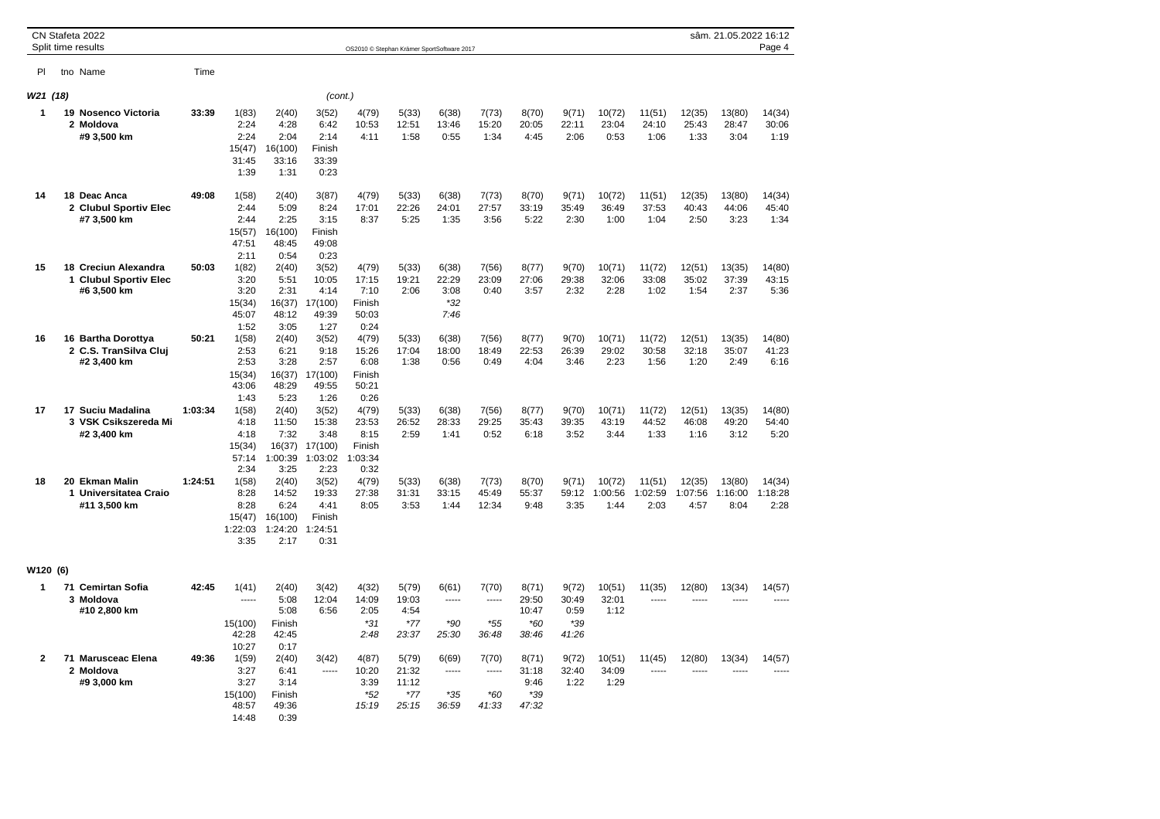|              | CN Stafeta 2022<br>Split time results                        |         |                                                    |                                                      |                                                      |                                                     | OS2010 © Stephan Krämer SportSoftware 2017 |                                       |                                        |                                           |                                        |                           |                           |                           | sâm. 21.05.2022 16:12          | Page 4                         |
|--------------|--------------------------------------------------------------|---------|----------------------------------------------------|------------------------------------------------------|------------------------------------------------------|-----------------------------------------------------|--------------------------------------------|---------------------------------------|----------------------------------------|-------------------------------------------|----------------------------------------|---------------------------|---------------------------|---------------------------|--------------------------------|--------------------------------|
| PI           | tno Name                                                     | Time    |                                                    |                                                      |                                                      |                                                     |                                            |                                       |                                        |                                           |                                        |                           |                           |                           |                                |                                |
| W21 (18)     |                                                              |         |                                                    |                                                      |                                                      | (cont.)                                             |                                            |                                       |                                        |                                           |                                        |                           |                           |                           |                                |                                |
| 1            | 19 Nosenco Victoria<br>2 Moldova<br>#9 3,500 km              | 33:39   | 1(83)<br>2:24<br>2:24<br>15(47)<br>31:45<br>1:39   | 2(40)<br>4:28<br>2:04<br>16(100)<br>33:16<br>1:31    | 3(52)<br>6:42<br>2:14<br>Finish<br>33:39<br>0:23     | 4(79)<br>10:53<br>4:11                              | 5(33)<br>12:51<br>1:58                     | 6(38)<br>13:46<br>0:55                | 7(73)<br>15:20<br>1:34                 | 8(70)<br>20:05<br>4:45                    | 9(71)<br>22:11<br>2:06                 | 10(72)<br>23:04<br>0:53   | 11(51)<br>24:10<br>1:06   | 12(35)<br>25:43<br>1:33   | 13(80)<br>28:47<br>3:04        | 14(34)<br>30:06<br>1:19        |
| 14           | 18 Deac Anca<br>2 Clubul Sportiv Elec<br>#7 3,500 km         | 49:08   | 1(58)<br>2:44<br>2:44<br>15(57)<br>47:51<br>2:11   | 2(40)<br>5:09<br>2:25<br>16(100)<br>48:45<br>0:54    | 3(87)<br>8:24<br>3:15<br>Finish<br>49:08<br>0:23     | 4(79)<br>17:01<br>8:37                              | 5(33)<br>22:26<br>5:25                     | 6(38)<br>24:01<br>1:35                | 7(73)<br>27:57<br>3:56                 | 8(70)<br>33:19<br>5:22                    | 9(71)<br>35:49<br>2:30                 | 10(72)<br>36:49<br>1:00   | 11(51)<br>37:53<br>1:04   | 12(35)<br>40:43<br>2:50   | 13(80)<br>44:06<br>3:23        | 14(34)<br>45:40<br>1:34        |
| 15           | 18 Creciun Alexandra<br>1 Clubul Sportiv Elec<br>#6 3,500 km | 50:03   | 1(82)<br>3:20<br>3:20<br>15(34)<br>45:07<br>1:52   | 2(40)<br>5:51<br>2:31<br>16(37)<br>48:12<br>3:05     | 3(52)<br>10:05<br>4:14<br>17(100)<br>49:39<br>1:27   | 4(79)<br>17:15<br>7:10<br>Finish<br>50:03<br>0:24   | 5(33)<br>19:21<br>2:06                     | 6(38)<br>22:29<br>3:08<br>*32<br>7:46 | 7(56)<br>23:09<br>0:40                 | 8(77)<br>27:06<br>3:57                    | 9(70)<br>29:38<br>2:32                 | 10(71)<br>32:06<br>2:28   | 11(72)<br>33:08<br>1:02   | 12(51)<br>35:02<br>1:54   | 13(35)<br>37:39<br>2:37        | 14(80)<br>43:15<br>5:36        |
| 16           | 16 Bartha Dorottya<br>2 C.S. TranSilva Clui<br>#2 3,400 km   | 50:21   | 1(58)<br>2:53<br>2:53<br>15(34)<br>43:06<br>1:43   | 2(40)<br>6:21<br>3:28<br>16(37)<br>48:29<br>5:23     | 3(52)<br>9:18<br>2:57<br>17(100)<br>49:55<br>1:26    | 4(79)<br>15:26<br>6:08<br>Finish<br>50:21<br>0:26   | 5(33)<br>17:04<br>1:38                     | 6(38)<br>18:00<br>0:56                | 7(56)<br>18:49<br>0:49                 | 8(77)<br>22:53<br>4:04                    | 9(70)<br>26:39<br>3:46                 | 10(71)<br>29:02<br>2:23   | 11(72)<br>30:58<br>1:56   | 12(51)<br>32:18<br>1:20   | 13(35)<br>35:07<br>2:49        | 14(80)<br>41:23<br>6:16        |
| 17           | 17 Suciu Madalina<br>3 VSK Csikszereda Mi<br>#2 3,400 km     | 1:03:34 | 1(58)<br>4:18<br>4:18<br>15(34)<br>57:14<br>2:34   | 2(40)<br>11:50<br>7:32<br>16(37)<br>1:00:39<br>3:25  | 3(52)<br>15:38<br>3:48<br>17(100)<br>1:03:02<br>2:23 | 4(79)<br>23:53<br>8:15<br>Finish<br>1:03:34<br>0:32 | 5(33)<br>26:52<br>2:59                     | 6(38)<br>28:33<br>1:41                | 7(56)<br>29:25<br>0:52                 | 8(77)<br>35:43<br>6:18                    | 9(70)<br>39:35<br>3:52                 | 10(71)<br>43:19<br>3:44   | 11(72)<br>44:52<br>1:33   | 12(51)<br>46:08<br>1:16   | 13(35)<br>49:20<br>3:12        | 14(80)<br>54:40<br>5:20        |
| 18           | 20 Ekman Malin<br>1 Universitatea Craio<br>#11 3,500 km      | 1:24:51 | 1(58)<br>8:28<br>8:28<br>15(47)<br>1:22:03<br>3:35 | 2(40)<br>14:52<br>6:24<br>16(100)<br>1:24:20<br>2:17 | 3(52)<br>19:33<br>4:41<br>Finish<br>1:24:51<br>0:31  | 4(79)<br>27:38<br>8:05                              | 5(33)<br>31:31<br>3:53                     | 6(38)<br>33:15<br>1:44                | 7(73)<br>45:49<br>12:34                | 8(70)<br>55:37<br>9:48                    | 9(71)<br>59:12<br>3:35                 | 10(72)<br>1:00:56<br>1:44 | 11(51)<br>1:02:59<br>2:03 | 12(35)<br>1:07:56<br>4:57 | 13(80)<br>1:16:00<br>8:04      | 14(34)<br>1:18:28<br>2:28      |
| W120 (6)     |                                                              |         |                                                    |                                                      |                                                      |                                                     |                                            |                                       |                                        |                                           |                                        |                           |                           |                           |                                |                                |
| 1            | 71 Cemirtan Sofia<br>3 Moldova<br>#10 2,800 km               | 42:45   | 1(41)<br>-----<br>15(100)<br>42:28<br>10:27        | 2(40)<br>5:08<br>5:08<br>Finish<br>42:45<br>0:17     | 3(42)<br>12:04<br>6:56                               | 4(32)<br>14:09<br>2:05<br>$*31$<br>2:48             | 5(79)<br>19:03<br>4:54<br>$*77$<br>23:37   | 6(61)<br>-----<br>$*90$<br>25:30      | 7(70)<br>-----<br>*55<br>36:48         | 8(71)<br>29:50<br>10:47<br>$*60$<br>38:46 | 9(72)<br>30:49<br>0:59<br>*39<br>41:26 | 10(51)<br>32:01<br>1:12   | 11(35)<br>-----           | 12(80)<br>-----           | 13(34)<br>-----                | 14(57)<br>-----                |
| $\mathbf{2}$ | 71 Marusceac Elena<br>2 Moldova<br>#9 3,000 km               | 49:36   | 1(59)<br>3:27<br>3:27<br>15(100)<br>48:57<br>14:48 | 2(40)<br>6:41<br>3:14<br>Finish<br>49:36<br>0:39     | 3(42)<br>-----                                       | 4(87)<br>10:20<br>3:39<br>$*52$<br>15:19            | 5(79)<br>21:32<br>11:12<br>$*77$<br>25:15  | 6(69)<br>-----<br>$*35$<br>36:59      | 7(70)<br>$- - - - -$<br>$*60$<br>41:33 | 8(71)<br>31:18<br>9:46<br>*39<br>47:32    | 9(72)<br>32:40<br>1:22                 | 10(51)<br>34:09<br>1:29   | 11(45)<br>$\overline{a}$  | 12(80)<br>$- - - - -$     | 13(34)<br>$\sim$ $\sim$ $\sim$ | 14(57)<br>$\sim$ $\sim$ $\sim$ |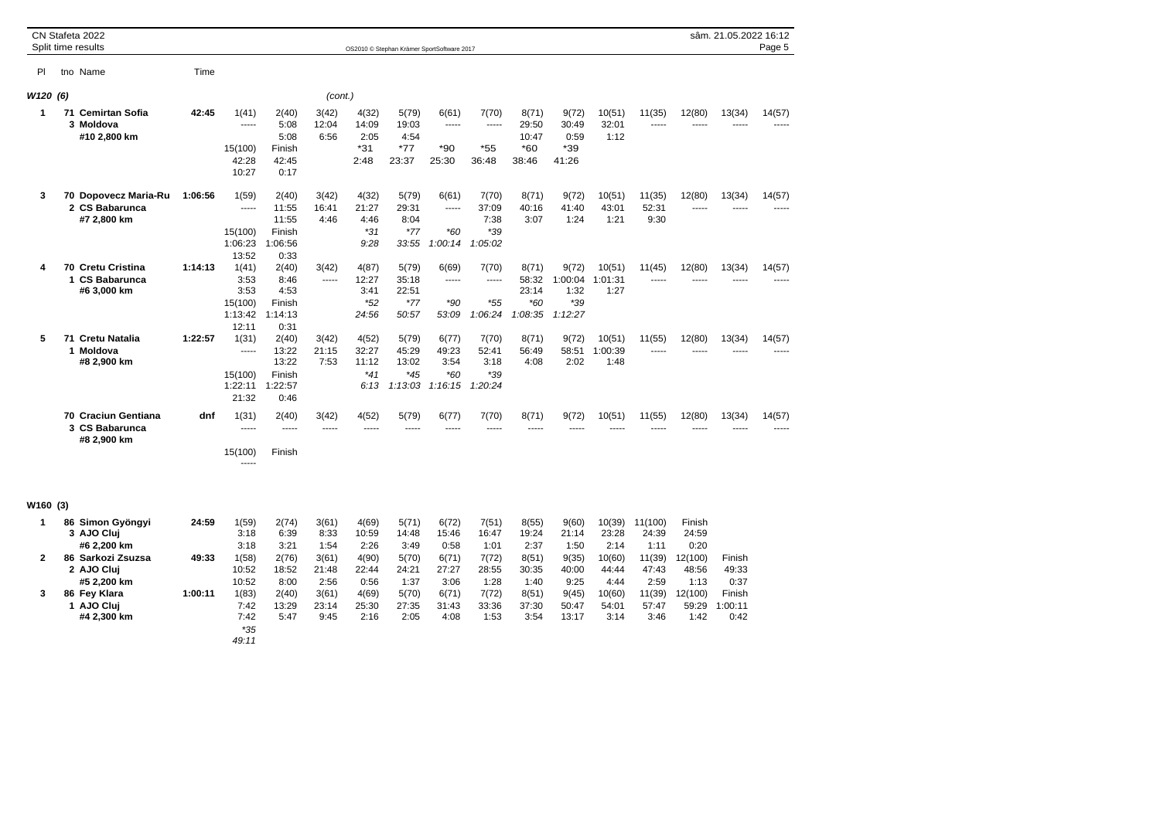|                | CN Stafeta 2022<br>Split time results                 |         |                                                               |                                                            |                        |                                          |                                           | OS2010 © Stephan Krämer SportSoftware 2017 |                                            |                                             |                                            |                           |                          |                          | sâm. 21.05.2022 16:12     | Page 5 |
|----------------|-------------------------------------------------------|---------|---------------------------------------------------------------|------------------------------------------------------------|------------------------|------------------------------------------|-------------------------------------------|--------------------------------------------|--------------------------------------------|---------------------------------------------|--------------------------------------------|---------------------------|--------------------------|--------------------------|---------------------------|--------|
| PI             | tno Name                                              | Time    |                                                               |                                                            |                        |                                          |                                           |                                            |                                            |                                             |                                            |                           |                          |                          |                           |        |
| W120 (6)       |                                                       |         |                                                               |                                                            | (cont.)                |                                          |                                           |                                            |                                            |                                             |                                            |                           |                          |                          |                           |        |
| 1              | 71 Cemirtan Sofia<br>3 Moldova<br>#10 2,800 km        | 42:45   | 1(41)<br>-----<br>15(100)<br>42:28<br>10:27                   | 2(40)<br>5:08<br>5:08<br>Finish<br>42:45<br>0:17           | 3(42)<br>12:04<br>6:56 | 4(32)<br>14:09<br>2:05<br>$*31$<br>2:48  | 5(79)<br>19:03<br>4:54<br>$*77$<br>23:37  | 6(61)<br>1.1.1.1<br>$*90$<br>25:30         | 7(70)<br>1.1.1.1<br>$*55$<br>36:48         | 8(71)<br>29:50<br>10:47<br>$*60$<br>38:46   | 9(72)<br>30:49<br>0:59<br>*39<br>41:26     | 10(51)<br>32:01<br>1:12   | 11(35)<br>-----          | 12(80)<br>-----          | 13(34)<br>-----           | 14(57) |
| 3              | 70 Dopovecz Maria-Ru<br>2 CS Babarunca<br>#7 2,800 km | 1:06:56 | 1(59)<br>-----<br>15(100)<br>1:06:23                          | 2(40)<br>11:55<br>11:55<br>Finish<br>1:06:56               | 3(42)<br>16:41<br>4:46 | 4(32)<br>21:27<br>4:46<br>$*31$<br>9:28  | 5(79)<br>29:31<br>8:04<br>$*77$<br>33:55  | 6(61)<br>-----<br>$*60$<br>1:00:14         | 7(70)<br>37:09<br>7:38<br>$*39$<br>1:05:02 | 8(71)<br>40:16<br>3:07                      | 9(72)<br>41:40<br>1:24                     | 10(51)<br>43:01<br>1:21   | 11(35)<br>52:31<br>9:30  | 12(80)<br>-----          | 13(34)                    | 14(57) |
| 4              | 70 Cretu Cristina<br>1 CS Babarunca<br>#6 3,000 km    | 1:14:13 | 13:52<br>1(41)<br>3:53<br>3:53<br>15(100)<br>1:13:42<br>12:11 | 0:33<br>2(40)<br>8:46<br>4:53<br>Finish<br>1:14:13<br>0:31 | 3(42)<br>-----         | 4(87)<br>12:27<br>3:41<br>$*52$<br>24:56 | 5(79)<br>35:18<br>22:51<br>$*77$<br>50:57 | 6(69)<br>-----<br>$*90$<br>53:09           | 7(70)<br>-----<br>$*55$<br>1:06:24         | 8(71)<br>58:32<br>23:14<br>$*60$<br>1:08:35 | 9(72)<br>1:00:04<br>1:32<br>*39<br>1:12:27 | 10(51)<br>1:01:31<br>1:27 | 11(45)<br>-----          | 12(80)<br>-----          | 13(34)<br>-----           | 14(57) |
| 5              | 71 Cretu Natalia<br>1 Moldova<br>#8 2,900 km          | 1:22:57 | 1(31)<br>-----<br>15(100)<br>1:22:11<br>21:32                 | 2(40)<br>13:22<br>13:22<br>Finish<br>1:22:57<br>0:46       | 3(42)<br>21:15<br>7:53 | 4(52)<br>32:27<br>11:12<br>$*41$<br>6:13 | 5(79)<br>45:29<br>13:02<br>*45<br>1:13:03 | 6(77)<br>49:23<br>3:54<br>$*60$<br>1:16:15 | 7(70)<br>52:41<br>3:18<br>*39<br>1:20:24   | 8(71)<br>56:49<br>4:08                      | 9(72)<br>58:51<br>2:02                     | 10(51)<br>1:00:39<br>1:48 | 11(55)<br>               | 12(80)<br>-----          | 13(34)<br>-----           | 14(57) |
|                | 70 Craciun Gentiana<br>3 CS Babarunca<br>#8 2,900 km  | dnf     | 1(31)<br>-----<br>15(100)                                     | 2(40)<br>-----<br>Finish                                   | 3(42)<br>-----         | 4(52)<br>-----                           | 5(79)<br>-----                            | 6(77)<br>-----                             | 7(70)<br>-----                             | 8(71)<br>-----                              | 9(72)                                      | 10(51)                    | 11(55)                   | 12(80)                   | 13(34)                    | 14(57) |
| W160 (3)       |                                                       |         |                                                               |                                                            |                        |                                          |                                           |                                            |                                            |                                             |                                            |                           |                          |                          |                           |        |
| $\mathbf{1}$   | 86 Simon Gyöngyi<br>3 AJO Cluj<br>#6 2,200 km         | 24:59   | 1(59)<br>3:18<br>3:18                                         | 2(74)<br>6:39<br>3:21                                      | 3(61)<br>8:33<br>1:54  | 4(69)<br>10:59<br>2:26                   | 5(71)<br>14:48<br>3:49                    | 6(72)<br>15:46<br>0:58                     | 7(51)<br>16:47<br>1:01                     | 8(55)<br>19:24<br>2:37                      | 9(60)<br>21:14<br>1:50                     | 10(39)<br>23:28<br>2:14   | 11(100)<br>24:39<br>1:11 | Finish<br>24:59<br>0:20  |                           |        |
| $\overline{2}$ | 86 Sarkozi Zsuzsa<br>2 AJO Cluj<br>#5 2,200 km        | 49:33   | 1(58)<br>10:52<br>10:52                                       | 2(76)<br>18:52<br>8:00                                     | 3(61)<br>21:48<br>2:56 | 4(90)<br>22:44<br>0:56                   | 5(70)<br>24:21<br>1:37                    | 6(71)<br>27:27<br>3:06                     | 7(72)<br>28:55<br>1:28                     | 8(51)<br>30:35<br>1:40                      | 9(35)<br>40:00<br>9:25                     | 10(60)<br>44:44<br>4:44   | 11(39)<br>47:43<br>2:59  | 12(100)<br>48:56<br>1:13 | Finish<br>49:33<br>0:37   |        |
| 3              | 86 Fey Klara<br>1 AJO Cluj<br>#4 2,300 km             | 1:00:11 | 1(83)<br>7:42<br>7:42<br>$*35$<br>49:11                       | 2(40)<br>13:29<br>5:47                                     | 3(61)<br>23:14<br>9:45 | 4(69)<br>25:30<br>2:16                   | 5(70)<br>27:35<br>2:05                    | 6(71)<br>31:43<br>4:08                     | 7(72)<br>33:36<br>1:53                     | 8(51)<br>37:30<br>3:54                      | 9(45)<br>50:47<br>13:17                    | 10(60)<br>54:01<br>3:14   | 11(39)<br>57:47<br>3:46  | 12(100)<br>59:29<br>1:42 | Finish<br>1:00:11<br>0:42 |        |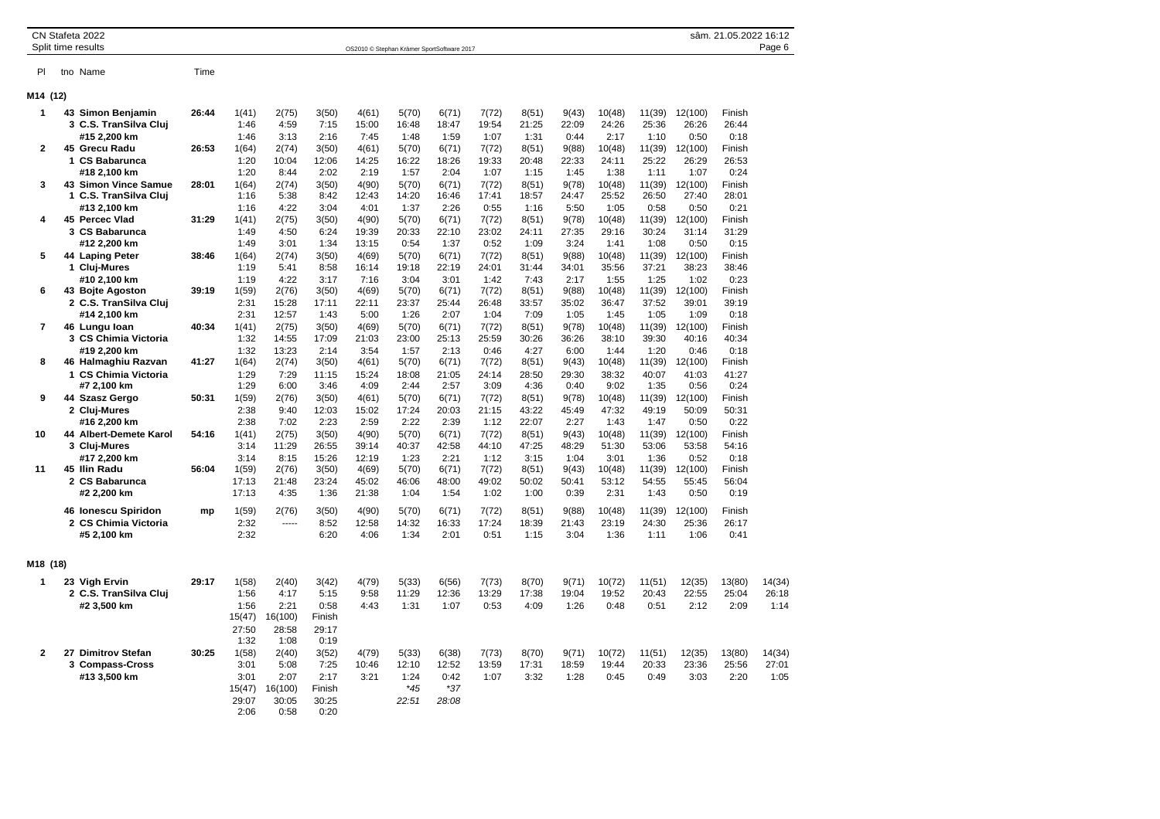| CN Stafeta 2022          |  |
|--------------------------|--|
| $\sim$ $\cdots$ $\cdots$ |  |

Split time results **Split time results** OS2010 © Stephan Krämer SportSoftware 2017

```
Pl tno Name Time
```
## **M**

| M14 (12)       |                                                               |       |                                 |                                  |                                 |                         |                        |                        |                        |                         |                        |                         |                         |                          |                         |                         |
|----------------|---------------------------------------------------------------|-------|---------------------------------|----------------------------------|---------------------------------|-------------------------|------------------------|------------------------|------------------------|-------------------------|------------------------|-------------------------|-------------------------|--------------------------|-------------------------|-------------------------|
| 1              | 43 Simon Benjamin<br>3 C.S. TranSilva Cluj<br>#15 2,200 km    | 26:44 | 1(41)<br>1:46<br>1:46           | 2(75)<br>4:59<br>3:13            | 3(50)<br>7:15<br>2:16           | 4(61)<br>15:00<br>7:45  | 5(70)<br>16:48<br>1:48 | 6(71)<br>18:47<br>1:59 | 7(72)<br>19:54<br>1:07 | 8(51)<br>21:25<br>1:31  | 9(43)<br>22:09<br>0:44 | 10(48)<br>24:26<br>2:17 | 11(39)<br>25:36<br>1:10 | 12(100)<br>26:26<br>0:50 | Finish<br>26:44<br>0:18 |                         |
| $\mathbf{2}$   | 45 Grecu Radu<br>1 CS Babarunca<br>#18 2,100 km               | 26:53 | 1(64)<br>1:20<br>1:20           | 2(74)<br>10:04<br>8:44           | 3(50)<br>12:06<br>2:02          | 4(61)<br>14:25<br>2:19  | 5(70)<br>16:22<br>1:57 | 6(71)<br>18:26<br>2:04 | 7(72)<br>19:33<br>1:07 | 8(51)<br>20:48<br>1:15  | 9(88)<br>22:33<br>1:45 | 10(48)<br>24:11<br>1:38 | 11(39)<br>25:22<br>1:11 | 12(100)<br>26:29<br>1:07 | Finish<br>26:53<br>0:24 |                         |
| 3              | 43 Simon Vince Samue<br>1 C.S. TranSilva Clui<br>#13 2.100 km | 28:01 | 1(64)<br>1:16<br>1:16           | 2(74)<br>5:38<br>4:22            | 3(50)<br>8:42<br>3:04           | 4(90)<br>12:43<br>4:01  | 5(70)<br>14:20<br>1:37 | 6(71)<br>16:46<br>2:26 | 7(72)<br>17:41<br>0:55 | 8(51)<br>18:57<br>1:16  | 9(78)<br>24:47<br>5:50 | 10(48)<br>25:52<br>1:05 | 11(39)<br>26:50<br>0:58 | 12(100)<br>27:40<br>0:50 | Finish<br>28:01<br>0:21 |                         |
| 4              | 45 Percec Vlad<br>3 CS Babarunca<br>#12 2,200 km              | 31:29 | 1(41)<br>1:49<br>1:49           | 2(75)<br>4:50<br>3:01            | 3(50)<br>6:24<br>1:34           | 4(90)<br>19:39<br>13:15 | 5(70)<br>20:33<br>0:54 | 6(71)<br>22:10<br>1:37 | 7(72)<br>23:02<br>0:52 | 8(51)<br>24:11<br>1:09  | 9(78)<br>27:35<br>3:24 | 10(48)<br>29:16<br>1:41 | 11(39)<br>30:24<br>1:08 | 12(100)<br>31:14<br>0:50 | Finish<br>31:29<br>0:15 |                         |
| 5              | 44 Laping Peter<br>1 Cluj-Mures<br>#10 2,100 km               | 38:46 | 1(64)<br>1:19<br>1:19           | 2(74)<br>5:41<br>4:22            | 3(50)<br>8:58<br>3:17           | 4(69)<br>16:14<br>7:16  | 5(70)<br>19:18<br>3:04 | 6(71)<br>22:19<br>3:01 | 7(72)<br>24:01<br>1:42 | 8(51)<br>31:44<br>7:43  | 9(88)<br>34:01<br>2:17 | 10(48)<br>35:56<br>1:55 | 11(39)<br>37:21<br>1:25 | 12(100)<br>38:23<br>1:02 | Finish<br>38:46<br>0:23 |                         |
| 6              | 43 Bojte Agoston<br>2 C.S. TranSilva Cluj<br>#14 2,100 km     | 39:19 | 1(59)<br>2:31<br>2:31           | 2(76)<br>15:28<br>12:57          | 3(50)<br>17:11<br>1:43          | 4(69)<br>22:11<br>5:00  | 5(70)<br>23:37<br>1:26 | 6(71)<br>25:44<br>2:07 | 7(72)<br>26:48<br>1:04 | 8(51)<br>33:57<br>7:09  | 9(88)<br>35:02<br>1:05 | 10(48)<br>36:47<br>1:45 | 11(39)<br>37:52<br>1:05 | 12(100)<br>39:01<br>1:09 | Finish<br>39:19<br>0:18 |                         |
| $\overline{7}$ | 46 Lungu Ioan<br>3 CS Chimia Victoria<br>#19 2,200 km         | 40:34 | 1(41)<br>1:32<br>1:32           | 2(75)<br>14:55<br>13:23          | 3(50)<br>17:09<br>2:14          | 4(69)<br>21:03<br>3:54  | 5(70)<br>23:00<br>1:57 | 6(71)<br>25:13<br>2:13 | 7(72)<br>25:59<br>0:46 | 8(51)<br>30:26<br>4:27  | 9(78)<br>36:26<br>6:00 | 10(48)<br>38:10<br>1:44 | 11(39)<br>39:30<br>1:20 | 12(100)<br>40:16<br>0:46 | Finish<br>40:34<br>0:18 |                         |
| 8              | 46 Halmaghiu Razvan<br>1 CS Chimia Victoria<br>#7 2,100 km    | 41:27 | 1(64)<br>1:29<br>1:29           | 2(74)<br>7:29<br>6:00            | 3(50)<br>11:15<br>3:46          | 4(61)<br>15:24<br>4:09  | 5(70)<br>18:08<br>2:44 | 6(71)<br>21:05<br>2:57 | 7(72)<br>24:14<br>3:09 | 8(51)<br>28:50<br>4:36  | 9(43)<br>29:30<br>0:40 | 10(48)<br>38:32<br>9:02 | 11(39)<br>40:07<br>1:35 | 12(100)<br>41:03<br>0:56 | Finish<br>41:27<br>0:24 |                         |
| 9              | 44 Szasz Gergo<br>2 Cluj-Mures<br>#16 2.200 km                | 50:31 | 1(59)<br>2:38<br>2:38           | 2(76)<br>9:40<br>7:02            | 3(50)<br>12:03<br>2:23          | 4(61)<br>15:02<br>2:59  | 5(70)<br>17:24<br>2:22 | 6(71)<br>20:03<br>2:39 | 7(72)<br>21:15<br>1:12 | 8(51)<br>43:22<br>22:07 | 9(78)<br>45:49<br>2:27 | 10(48)<br>47:32<br>1:43 | 11(39)<br>49:19<br>1:47 | 12(100)<br>50:09<br>0:50 | Finish<br>50:31<br>0:22 |                         |
| 10             | 44 Albert-Demete Karol<br>3 Cluj-Mures<br>#17 2.200 km        | 54:16 | 1(41)<br>3:14<br>3:14           | 2(75)<br>11:29<br>8:15           | 3(50)<br>26:55<br>15:26         | 4(90)<br>39:14<br>12:19 | 5(70)<br>40:37<br>1:23 | 6(71)<br>42:58<br>2:21 | 7(72)<br>44:10<br>1:12 | 8(51)<br>47:25<br>3:15  | 9(43)<br>48:29<br>1:04 | 10(48)<br>51:30<br>3:01 | 11(39)<br>53:06<br>1:36 | 12(100)<br>53:58<br>0:52 | Finish<br>54:16<br>0:18 |                         |
| 11             | 45 Ilin Radu<br>2 CS Babarunca<br>#2 2,200 km                 | 56:04 | 1(59)<br>17:13<br>17:13         | 2(76)<br>21:48<br>4:35           | 3(50)<br>23:24<br>1:36          | 4(69)<br>45:02<br>21:38 | 5(70)<br>46:06<br>1:04 | 6(71)<br>48:00<br>1:54 | 7(72)<br>49:02<br>1:02 | 8(51)<br>50:02<br>1:00  | 9(43)<br>50:41<br>0:39 | 10(48)<br>53:12<br>2:31 | 11(39)<br>54:55<br>1:43 | 12(100)<br>55:45<br>0:50 | Finish<br>56:04<br>0:19 |                         |
|                | 46 Ionescu Spiridon<br>2 CS Chimia Victoria<br>#5 2,100 km    | mp    | 1(59)<br>2:32<br>2:32           | 2(76)<br>-----                   | 3(50)<br>8:52<br>6:20           | 4(90)<br>12:58<br>4:06  | 5(70)<br>14:32<br>1:34 | 6(71)<br>16:33<br>2:01 | 7(72)<br>17:24<br>0:51 | 8(51)<br>18:39<br>1:15  | 9(88)<br>21:43<br>3:04 | 10(48)<br>23:19<br>1:36 | 11(39)<br>24:30<br>1:11 | 12(100)<br>25:36<br>1:06 | Finish<br>26:17<br>0:41 |                         |
| M18 (18)       |                                                               |       |                                 |                                  |                                 |                         |                        |                        |                        |                         |                        |                         |                         |                          |                         |                         |
| 1              | 23 Vigh Ervin<br>2 C.S. TranSilva Cluj<br>#2 3,500 km         | 29:17 | 1(58)<br>1:56<br>1:56<br>15(47) | 2(40)<br>4:17<br>2:21<br>16(100) | 3(42)<br>5:15<br>0:58<br>Finish | 4(79)<br>9:58<br>4:43   | 5(33)<br>11:29<br>1:31 | 6(56)<br>12:36<br>1:07 | 7(73)<br>13:29<br>0:53 | 8(70)<br>17:38<br>4:09  | 9(71)<br>19:04<br>1:26 | 10(72)<br>19:52<br>0:48 | 11(51)<br>20:43<br>0:51 | 12(35)<br>22:55<br>2:12  | 13(80)<br>25:04<br>2:09 | 14(34)<br>26:18<br>1:14 |
| 2              | 27 Dimitrov Stefan<br>3 Compass-Cross                         | 30:25 | 27:50<br>1:32<br>1(58)<br>3:01  | 28:58<br>1:08<br>2(40)<br>5:08   | 29:17<br>0:19<br>3(52)<br>7:25  | 4(79)<br>10:46          | 5(33)<br>12:10         | 6(38)<br>12:52         | 7(73)<br>13:59         | 8(70)<br>17:31          | 9(71)<br>18:59         | 10(72)<br>19:44         | 11(51)<br>20:33         | 12(35)<br>23:36          | 13(80)<br>25:56         | 14(34)<br>27:01         |
|                | #13 3,500 km                                                  |       | 3:01<br>15(47)<br>29:07<br>2:06 | 2:07<br>16(100)<br>30:05<br>0:58 | 2:17<br>Finish<br>30:25<br>0:20 | 3:21                    | 1:24<br>$*45$<br>22:51 | 0:42<br>$*37$<br>28:08 | 1:07                   | 3:32                    | 1:28                   | 0:45                    | 0:49                    | 3:03                     | 2:20                    | 1:05                    |

sâm. 21.05.2022 16:12<br>Page 6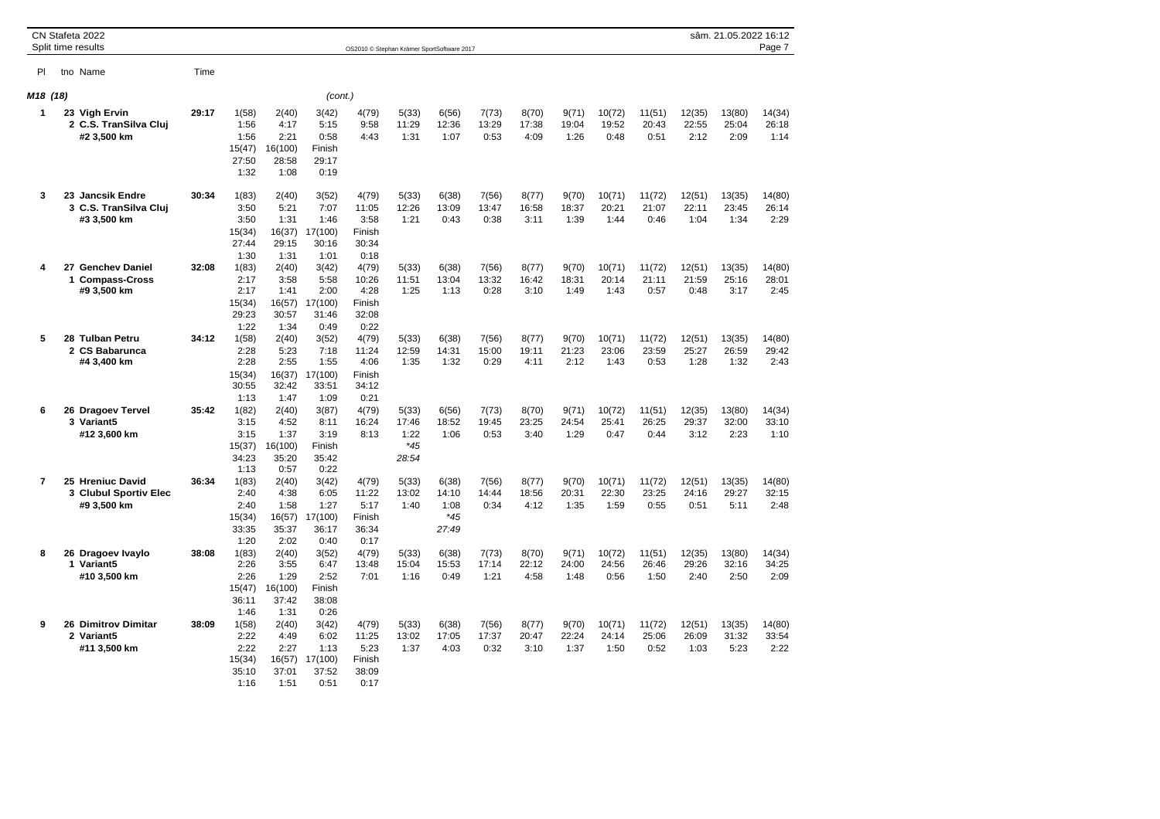|                |              | CN Stafeta 2022<br>Split time results                    |       |                                                  |                                                   |                                                   | OS2010 © Stephan Krämer SportSoftware 2017        |                                          |                                          |                        |                        |                        |                         |                         |                         | sâm. 21.05.2022 16:12   | Page 7                  |
|----------------|--------------|----------------------------------------------------------|-------|--------------------------------------------------|---------------------------------------------------|---------------------------------------------------|---------------------------------------------------|------------------------------------------|------------------------------------------|------------------------|------------------------|------------------------|-------------------------|-------------------------|-------------------------|-------------------------|-------------------------|
| PI             |              | tno Name                                                 | Time  |                                                  |                                                   |                                                   |                                                   |                                          |                                          |                        |                        |                        |                         |                         |                         |                         |                         |
| M18 (18)       |              |                                                          |       |                                                  |                                                   | (cont.)                                           |                                                   |                                          |                                          |                        |                        |                        |                         |                         |                         |                         |                         |
| 1              |              | 23 Vigh Ervin<br>2 C.S. TranSilva Cluj<br>#2 3,500 km    | 29:17 | 1(58)<br>1:56<br>1:56<br>15(47)<br>27:50<br>1:32 | 2(40)<br>4:17<br>2:21<br>16(100)<br>28:58<br>1:08 | 3(42)<br>5:15<br>0:58<br>Finish<br>29:17<br>0:19  | 4(79)<br>9:58<br>4:43                             | 5(33)<br>11:29<br>1:31                   | 6(56)<br>12:36<br>1:07                   | 7(73)<br>13:29<br>0:53 | 8(70)<br>17:38<br>4:09 | 9(71)<br>19:04<br>1:26 | 10(72)<br>19:52<br>0:48 | 11(51)<br>20:43<br>0:51 | 12(35)<br>22:55<br>2:12 | 13(80)<br>25:04<br>2:09 | 14(34)<br>26:18<br>1:14 |
| 3              |              | 23 Jancsik Endre<br>3 C.S. TranSilva Cluj<br>#3 3,500 km | 30:34 | 1(83)<br>3:50<br>3:50<br>15(34)<br>27:44<br>1:30 | 2(40)<br>5:21<br>1:31<br>16(37)<br>29:15<br>1:31  | 3(52)<br>7:07<br>1:46<br>17(100)<br>30:16<br>1:01 | 4(79)<br>11:05<br>3:58<br>Finish<br>30:34<br>0:18 | 5(33)<br>12:26<br>1:21                   | 6(38)<br>13:09<br>0:43                   | 7(56)<br>13:47<br>0:38 | 8(77)<br>16:58<br>3:11 | 9(70)<br>18:37<br>1:39 | 10(71)<br>20:21<br>1:44 | 11(72)<br>21:07<br>0:46 | 12(51)<br>22:11<br>1:04 | 13(35)<br>23:45<br>1:34 | 14(80)<br>26:14<br>2:29 |
| 4              | $\mathbf{1}$ | 27 Genchev Daniel<br><b>Compass-Cross</b><br>#9 3,500 km | 32:08 | 1(83)<br>2:17<br>2:17<br>15(34)<br>29:23<br>1:22 | 2(40)<br>3:58<br>1:41<br>16(57)<br>30:57<br>1:34  | 3(42)<br>5:58<br>2:00<br>17(100)<br>31:46<br>0:49 | 4(79)<br>10:26<br>4:28<br>Finish<br>32:08<br>0:22 | 5(33)<br>11:51<br>1:25                   | 6(38)<br>13:04<br>1:13                   | 7(56)<br>13:32<br>0:28 | 8(77)<br>16:42<br>3:10 | 9(70)<br>18:31<br>1:49 | 10(71)<br>20:14<br>1:43 | 11(72)<br>21:11<br>0:57 | 12(51)<br>21:59<br>0:48 | 13(35)<br>25:16<br>3:17 | 14(80)<br>28:01<br>2:45 |
| 5              |              | 28 Tulban Petru<br>2 CS Babarunca<br>#4 3,400 km         | 34:12 | 1(58)<br>2:28<br>2:28<br>15(34)<br>30:55<br>1:13 | 2(40)<br>5:23<br>2:55<br>16(37)<br>32:42<br>1:47  | 3(52)<br>7:18<br>1:55<br>17(100)<br>33:51<br>1:09 | 4(79)<br>11:24<br>4:06<br>Finish<br>34:12<br>0:21 | 5(33)<br>12:59<br>1:35                   | 6(38)<br>14:31<br>1:32                   | 7(56)<br>15:00<br>0:29 | 8(77)<br>19:11<br>4:11 | 9(70)<br>21:23<br>2:12 | 10(71)<br>23:06<br>1:43 | 11(72)<br>23:59<br>0:53 | 12(51)<br>25:27<br>1:28 | 13(35)<br>26:59<br>1:32 | 14(80)<br>29:42<br>2:43 |
| 6              |              | 26 Dragoev Tervel<br>3 Variant5<br>#12 3,600 km          | 35:42 | 1(82)<br>3:15<br>3:15<br>15(37)<br>34:23<br>1:13 | 2(40)<br>4:52<br>1:37<br>16(100)<br>35:20<br>0:57 | 3(87)<br>8:11<br>3:19<br>Finish<br>35:42<br>0:22  | 4(79)<br>16:24<br>8:13                            | 5(33)<br>17:46<br>1:22<br>$*45$<br>28:54 | 6(56)<br>18:52<br>1:06                   | 7(73)<br>19:45<br>0:53 | 8(70)<br>23:25<br>3:40 | 9(71)<br>24:54<br>1:29 | 10(72)<br>25:41<br>0:47 | 11(51)<br>26:25<br>0:44 | 12(35)<br>29:37<br>3:12 | 13(80)<br>32:00<br>2:23 | 14(34)<br>33:10<br>1:10 |
| $\overline{7}$ |              | 25 Hreniuc David<br>3 Clubul Sportiv Elec<br>#9 3,500 km | 36:34 | 1(83)<br>2:40<br>2:40<br>15(34)<br>33:35<br>1:20 | 2(40)<br>4:38<br>1:58<br>16(57)<br>35:37<br>2:02  | 3(42)<br>6:05<br>1:27<br>17(100)<br>36:17<br>0:40 | 4(79)<br>11:22<br>5:17<br>Finish<br>36:34<br>0:17 | 5(33)<br>13:02<br>1:40                   | 6(38)<br>14:10<br>1:08<br>$*45$<br>27:49 | 7(56)<br>14:44<br>0:34 | 8(77)<br>18:56<br>4:12 | 9(70)<br>20:31<br>1:35 | 10(71)<br>22:30<br>1:59 | 11(72)<br>23:25<br>0:55 | 12(51)<br>24:16<br>0:51 | 13(35)<br>29:27<br>5:11 | 14(80)<br>32:15<br>2:48 |
| 8              |              | 26 Dragoev Ivaylo<br>1 Variant5<br>#10 3,500 km          | 38:08 | 1(83)<br>2:26<br>2:26<br>15(47)<br>36:11<br>1:46 | 2(40)<br>3:55<br>1:29<br>16(100)<br>37:42<br>1:31 | 3(52)<br>6:47<br>2:52<br>Finish<br>38:08<br>0:26  | 4(79)<br>13:48<br>7:01                            | 5(33)<br>15:04<br>1:16                   | 6(38)<br>15:53<br>0:49                   | 7(73)<br>17:14<br>1:21 | 8(70)<br>22:12<br>4:58 | 9(71)<br>24:00<br>1:48 | 10(72)<br>24:56<br>0:56 | 11(51)<br>26:46<br>1:50 | 12(35)<br>29:26<br>2:40 | 13(80)<br>32:16<br>2:50 | 14(34)<br>34:25<br>2:09 |
| 9              |              | <b>26 Dimitrov Dimitar</b><br>2 Variant5<br>#11 3,500 km | 38:09 | 1(58)<br>2:22<br>2:22<br>15(34)<br>35:10<br>1:16 | 2(40)<br>4:49<br>2:27<br>16(57)<br>37:01<br>1:51  | 3(42)<br>6:02<br>1:13<br>17(100)<br>37:52<br>0:51 | 4(79)<br>11:25<br>5:23<br>Finish<br>38:09<br>0:17 | 5(33)<br>13:02<br>1:37                   | 6(38)<br>17:05<br>4:03                   | 7(56)<br>17:37<br>0:32 | 8(77)<br>20:47<br>3:10 | 9(70)<br>22:24<br>1:37 | 10(71)<br>24:14<br>1:50 | 11(72)<br>25:06<br>0:52 | 12(51)<br>26:09<br>1:03 | 13(35)<br>31:32<br>5:23 | 14(80)<br>33:54<br>2:22 |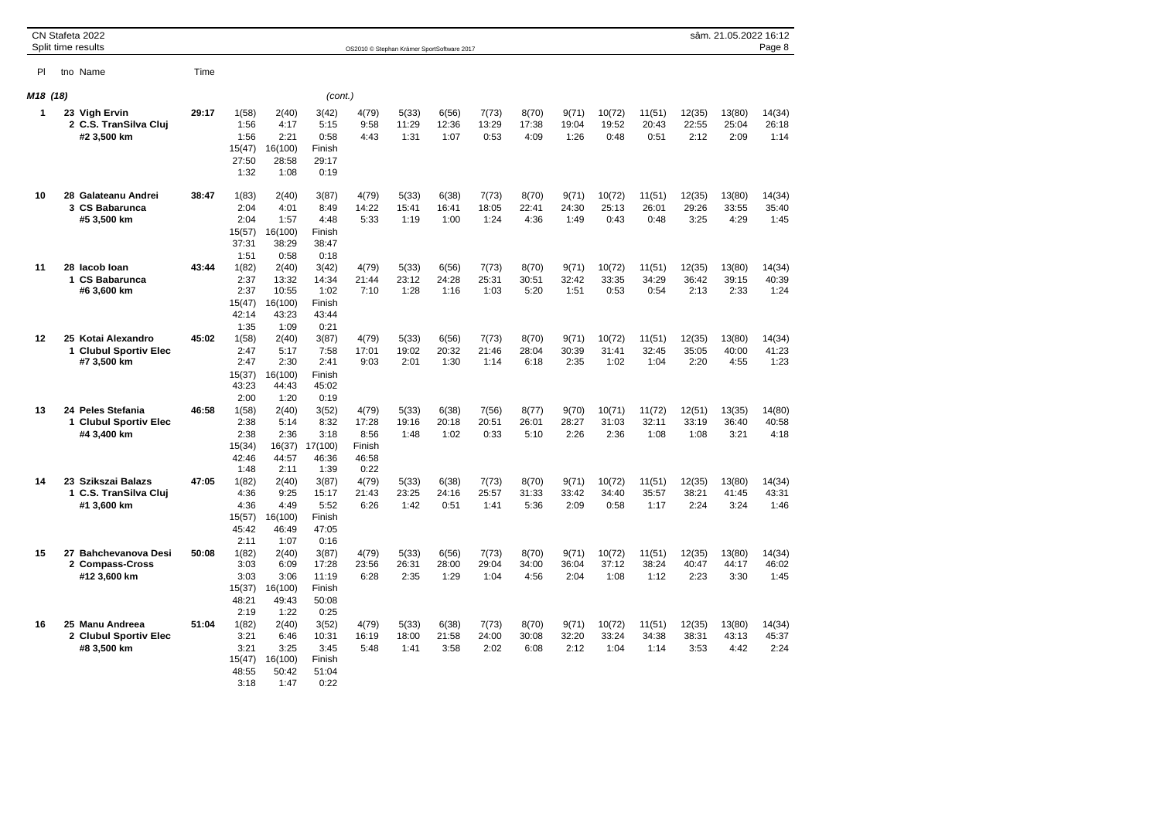|                      | CN Stafeta 2022<br>Split time results                      |       |                                                  |                                                     |                                                    |                                                   |                        | OS2010 © Stephan Krämer SportSoftware 2017 |                        |                        |                        |                         |                         |                         | sâm. 21.05.2022 16:12   | Page 8                  |
|----------------------|------------------------------------------------------------|-------|--------------------------------------------------|-----------------------------------------------------|----------------------------------------------------|---------------------------------------------------|------------------------|--------------------------------------------|------------------------|------------------------|------------------------|-------------------------|-------------------------|-------------------------|-------------------------|-------------------------|
| PI                   | tno Name                                                   | Time  |                                                  |                                                     |                                                    |                                                   |                        |                                            |                        |                        |                        |                         |                         |                         |                         |                         |
| M <sub>18</sub> (18) |                                                            |       |                                                  |                                                     | (cont.)                                            |                                                   |                        |                                            |                        |                        |                        |                         |                         |                         |                         |                         |
| $\mathbf{1}$         | 23 Vigh Ervin<br>2 C.S. TranSilva Cluj<br>#2 3,500 km      | 29:17 | 1(58)<br>1:56<br>1:56<br>15(47)<br>27:50<br>1:32 | 2(40)<br>4:17<br>2:21<br>16(100)<br>28:58<br>1:08   | 3(42)<br>5:15<br>0:58<br>Finish<br>29:17<br>0:19   | 4(79)<br>9:58<br>4:43                             | 5(33)<br>11:29<br>1:31 | 6(56)<br>12:36<br>1:07                     | 7(73)<br>13:29<br>0:53 | 8(70)<br>17:38<br>4:09 | 9(71)<br>19:04<br>1:26 | 10(72)<br>19:52<br>0:48 | 11(51)<br>20:43<br>0:51 | 12(35)<br>22:55<br>2:12 | 13(80)<br>25:04<br>2:09 | 14(34)<br>26:18<br>1:14 |
| 10                   | 28 Galateanu Andrei<br>3 CS Babarunca<br>#5 3,500 km       | 38:47 | 1(83)<br>2:04<br>2:04<br>15(57)<br>37:31<br>1:51 | 2(40)<br>4:01<br>1:57<br>16(100)<br>38:29<br>0:58   | 3(87)<br>8:49<br>4:48<br>Finish<br>38:47<br>0:18   | 4(79)<br>14:22<br>5:33                            | 5(33)<br>15:41<br>1:19 | 6(38)<br>16:41<br>1:00                     | 7(73)<br>18:05<br>1:24 | 8(70)<br>22:41<br>4:36 | 9(71)<br>24:30<br>1:49 | 10(72)<br>25:13<br>0:43 | 11(51)<br>26:01<br>0:48 | 12(35)<br>29:26<br>3:25 | 13(80)<br>33:55<br>4:29 | 14(34)<br>35:40<br>1:45 |
| 11                   | 28 lacob loan<br>1 CS Babarunca<br>#6 3,600 km             | 43:44 | 1(82)<br>2:37<br>2:37<br>15(47)<br>42:14<br>1:35 | 2(40)<br>13:32<br>10:55<br>16(100)<br>43:23<br>1:09 | 3(42)<br>14:34<br>1:02<br>Finish<br>43:44<br>0:21  | 4(79)<br>21:44<br>7:10                            | 5(33)<br>23:12<br>1:28 | 6(56)<br>24:28<br>1:16                     | 7(73)<br>25:31<br>1:03 | 8(70)<br>30:51<br>5:20 | 9(71)<br>32:42<br>1:51 | 10(72)<br>33:35<br>0:53 | 11(51)<br>34:29<br>0:54 | 12(35)<br>36:42<br>2:13 | 13(80)<br>39:15<br>2:33 | 14(34)<br>40:39<br>1:24 |
| 12                   | 25 Kotai Alexandro<br>1 Clubul Sportiv Elec<br>#7 3,500 km | 45:02 | 1(58)<br>2:47<br>2:47<br>15(37)<br>43:23<br>2:00 | 2(40)<br>5:17<br>2:30<br>16(100)<br>44:43<br>1:20   | 3(87)<br>7:58<br>2:41<br>Finish<br>45:02<br>0:19   | 4(79)<br>17:01<br>9:03                            | 5(33)<br>19:02<br>2:01 | 6(56)<br>20:32<br>1:30                     | 7(73)<br>21:46<br>1:14 | 8(70)<br>28:04<br>6:18 | 9(71)<br>30:39<br>2:35 | 10(72)<br>31:41<br>1:02 | 11(51)<br>32:45<br>1:04 | 12(35)<br>35:05<br>2:20 | 13(80)<br>40:00<br>4:55 | 14(34)<br>41:23<br>1:23 |
| 13                   | 24 Peles Stefania<br>1 Clubul Sportiv Elec<br>#4 3,400 km  | 46:58 | 1(58)<br>2:38<br>2:38<br>15(34)<br>42:46<br>1:48 | 2(40)<br>5:14<br>2:36<br>16(37)<br>44:57<br>2:11    | 3(52)<br>8:32<br>3:18<br>17(100)<br>46:36<br>1:39  | 4(79)<br>17:28<br>8:56<br>Finish<br>46:58<br>0:22 | 5(33)<br>19:16<br>1:48 | 6(38)<br>20:18<br>1:02                     | 7(56)<br>20:51<br>0:33 | 8(77)<br>26:01<br>5:10 | 9(70)<br>28:27<br>2:26 | 10(71)<br>31:03<br>2:36 | 11(72)<br>32:11<br>1:08 | 12(51)<br>33:19<br>1:08 | 13(35)<br>36:40<br>3:21 | 14(80)<br>40:58<br>4:18 |
| 14                   | 23 Szikszai Balazs<br>1 C.S. TranSilva Cluj<br>#1 3,600 km | 47:05 | 1(82)<br>4:36<br>4:36<br>15(57)<br>45:42<br>2:11 | 2(40)<br>9:25<br>4:49<br>16(100)<br>46:49<br>1:07   | 3(87)<br>15:17<br>5:52<br>Finish<br>47:05<br>0:16  | 4(79)<br>21:43<br>6:26                            | 5(33)<br>23:25<br>1:42 | 6(38)<br>24:16<br>0:51                     | 7(73)<br>25:57<br>1:41 | 8(70)<br>31:33<br>5:36 | 9(71)<br>33:42<br>2:09 | 10(72)<br>34:40<br>0:58 | 11(51)<br>35:57<br>1:17 | 12(35)<br>38:21<br>2:24 | 13(80)<br>41:45<br>3:24 | 14(34)<br>43:31<br>1:46 |
| 15                   | 27 Bahchevanova Desi<br>2 Compass-Cross<br>#12 3,600 km    | 50:08 | 1(82)<br>3:03<br>3:03<br>15(37)<br>48:21<br>2:19 | 2(40)<br>6:09<br>3:06<br>16(100)<br>49:43<br>1:22   | 3(87)<br>17:28<br>11:19<br>Finish<br>50:08<br>0:25 | 4(79)<br>23:56<br>6:28                            | 5(33)<br>26:31<br>2:35 | 6(56)<br>28:00<br>1:29                     | 7(73)<br>29:04<br>1:04 | 8(70)<br>34:00<br>4:56 | 9(71)<br>36:04<br>2:04 | 10(72)<br>37:12<br>1:08 | 11(51)<br>38:24<br>1:12 | 12(35)<br>40:47<br>2:23 | 13(80)<br>44:17<br>3:30 | 14(34)<br>46:02<br>1:45 |
| 16                   | 25 Manu Andreea<br>2 Clubul Sportiv Elec<br>#8 3,500 km    | 51:04 | 1(82)<br>3:21<br>3:21<br>15(47)<br>48:55<br>3:18 | 2(40)<br>6:46<br>3:25<br>16(100)<br>50:42<br>1:47   | 3(52)<br>10:31<br>3:45<br>Finish<br>51:04<br>0:22  | 4(79)<br>16:19<br>5:48                            | 5(33)<br>18:00<br>1:41 | 6(38)<br>21:58<br>3:58                     | 7(73)<br>24:00<br>2:02 | 8(70)<br>30:08<br>6:08 | 9(71)<br>32:20<br>2:12 | 10(72)<br>33:24<br>1:04 | 11(51)<br>34:38<br>1:14 | 12(35)<br>38:31<br>3:53 | 13(80)<br>43:13<br>4:42 | 14(34)<br>45:37<br>2:24 |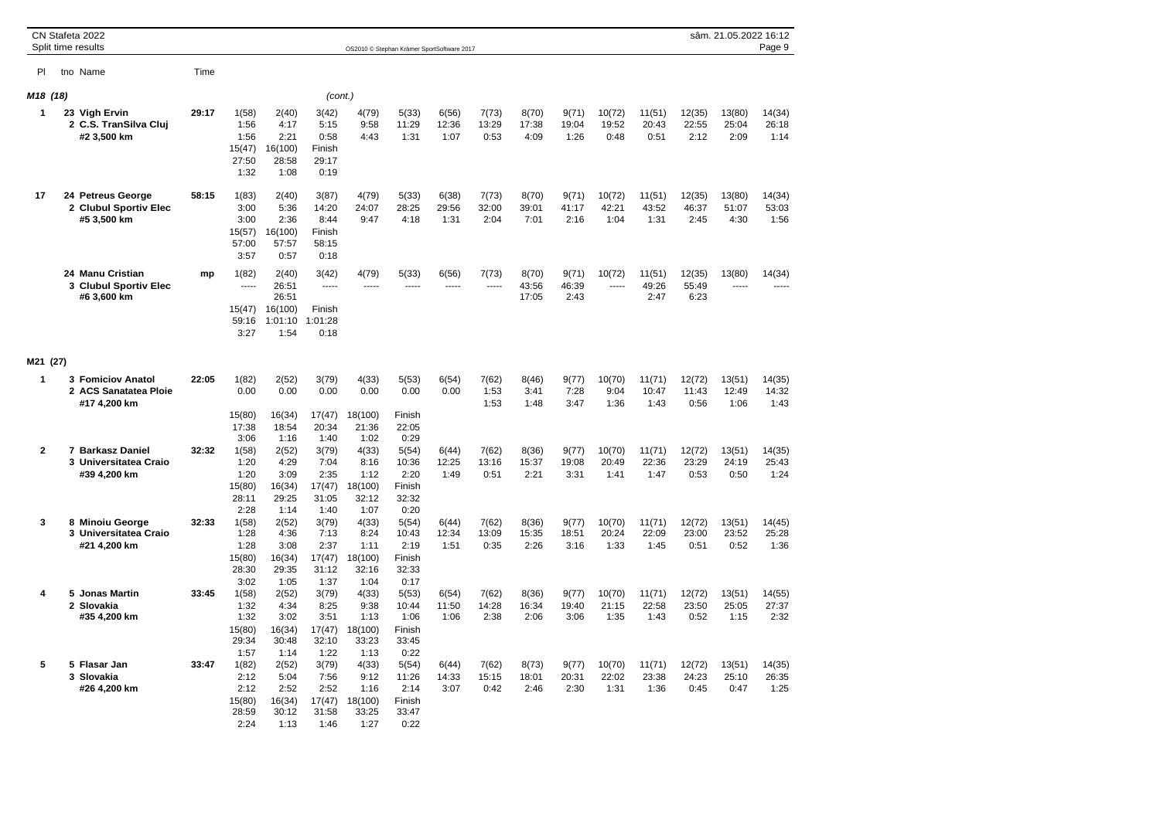|                      | CN Stafeta 2022<br>Split time results                      |       |                                                          |                                                          |                                                   |                                                   | OS2010 © Stephan Krämer SportSoftware 2017        |                        |                        |                         |                        |                         |                         |                         | sâm. 21.05.2022 16:12   | Page 9                  |
|----------------------|------------------------------------------------------------|-------|----------------------------------------------------------|----------------------------------------------------------|---------------------------------------------------|---------------------------------------------------|---------------------------------------------------|------------------------|------------------------|-------------------------|------------------------|-------------------------|-------------------------|-------------------------|-------------------------|-------------------------|
| PI                   | tno Name                                                   | Time  |                                                          |                                                          |                                                   |                                                   |                                                   |                        |                        |                         |                        |                         |                         |                         |                         |                         |
| M <sub>18</sub> (18) |                                                            |       |                                                          |                                                          | (cont.)                                           |                                                   |                                                   |                        |                        |                         |                        |                         |                         |                         |                         |                         |
| 1                    | 23 Vigh Ervin<br>2 C.S. TranSilva Cluj<br>#2 3,500 km      | 29:17 | 1(58)<br>1:56<br>1:56<br>15(47)<br>27:50<br>1:32         | 2(40)<br>4:17<br>2:21<br>16(100)<br>28:58<br>1:08        | 3(42)<br>5:15<br>0:58<br>Finish<br>29:17<br>0:19  | 4(79)<br>9:58<br>4:43                             | 5(33)<br>11:29<br>1:31                            | 6(56)<br>12:36<br>1:07 | 7(73)<br>13:29<br>0:53 | 8(70)<br>17:38<br>4:09  | 9(71)<br>19:04<br>1:26 | 10(72)<br>19:52<br>0:48 | 11(51)<br>20:43<br>0:51 | 12(35)<br>22:55<br>2:12 | 13(80)<br>25:04<br>2:09 | 14(34)<br>26:18<br>1:14 |
| 17                   | 24 Petreus George<br>2 Clubul Sportiv Elec<br>#5 3,500 km  | 58:15 | 1(83)<br>3:00<br>3:00<br>15(57)<br>57:00<br>3:57         | 2(40)<br>5:36<br>2:36<br>16(100)<br>57:57<br>0:57        | 3(87)<br>14:20<br>8:44<br>Finish<br>58:15<br>0:18 | 4(79)<br>24:07<br>9:47                            | 5(33)<br>28:25<br>4:18                            | 6(38)<br>29:56<br>1:31 | 7(73)<br>32:00<br>2:04 | 8(70)<br>39:01<br>7:01  | 9(71)<br>41:17<br>2:16 | 10(72)<br>42:21<br>1:04 | 11(51)<br>43:52<br>1:31 | 12(35)<br>46:37<br>2:45 | 13(80)<br>51:07<br>4:30 | 14(34)<br>53:03<br>1:56 |
|                      | 24 Manu Cristian<br>3 Clubul Sportiv Elec<br>#6 3,600 km   | mp    | 1(82)<br>1.111<br>15(47)<br>59:16<br>3:27                | 2(40)<br>26:51<br>26:51<br>16(100)<br>1:01:10<br>1:54    | 3(42)<br>1.1111<br>Finish<br>1:01:28<br>0:18      | 4(79)<br>-----                                    | 5(33)<br>-----                                    | 6(56)<br>-----         | 7(73)<br>$- - - - -$   | 8(70)<br>43:56<br>17:05 | 9(71)<br>46:39<br>2:43 | 10(72)<br>$1 - 1 - 1$   | 11(51)<br>49:26<br>2:47 | 12(35)<br>55:49<br>6:23 | 13(80)<br>1.111         | 14(34)<br>$\frac{1}{2}$ |
| M21 (27)             |                                                            |       |                                                          |                                                          |                                                   |                                                   |                                                   |                        |                        |                         |                        |                         |                         |                         |                         |                         |
| $\mathbf{1}$         | 3 Fomiciov Anatol<br>2 ACS Sanatatea Ploie<br>#17 4,200 km | 22:05 | 1(82)<br>0.00                                            | 2(52)<br>0.00                                            | 3(79)<br>0.00                                     | 4(33)<br>0.00                                     | 5(53)<br>0.00                                     | 6(54)<br>0.00          | 7(62)<br>1:53<br>1:53  | 8(46)<br>3:41<br>1:48   | 9(77)<br>7:28<br>3:47  | 10(70)<br>9:04<br>1:36  | 11(71)<br>10:47<br>1:43 | 12(72)<br>11:43<br>0:56 | 13(51)<br>12:49<br>1:06 | 14(35)<br>14:32<br>1:43 |
|                      |                                                            |       | 15(80)<br>17:38<br>3:06                                  | 16(34)<br>18:54<br>1:16                                  | 17(47)<br>20:34<br>1:40                           | 18(100)<br>21:36<br>1:02                          | Finish<br>22:05<br>0:29                           |                        |                        |                         |                        |                         |                         |                         |                         |                         |
| $\overline{2}$       | 7 Barkasz Daniel<br>3 Universitatea Craio<br>#39 4,200 km  | 32:32 | 1(58)<br>1:20<br>1:20<br>15(80)<br>28:11<br>2:28         | 2(52)<br>4:29<br>3:09<br>16(34)<br>29:25<br>1:14         | 3(79)<br>7:04<br>2:35<br>17(47)<br>31:05<br>1:40  | 4(33)<br>8:16<br>1:12<br>18(100)<br>32:12<br>1:07 | 5(54)<br>10:36<br>2:20<br>Finish<br>32:32<br>0:20 | 6(44)<br>12:25<br>1:49 | 7(62)<br>13:16<br>0:51 | 8(36)<br>15:37<br>2:21  | 9(77)<br>19:08<br>3:31 | 10(70)<br>20:49<br>1:41 | 11(71)<br>22:36<br>1:47 | 12(72)<br>23:29<br>0:53 | 13(51)<br>24:19<br>0:50 | 14(35)<br>25:43<br>1:24 |
| 3                    | 8 Minoiu George<br>3 Universitatea Craio<br>#21 4,200 km   | 32:33 | 1(58)<br>1:28<br>1:28<br>15(80)<br>28:30<br>3:02         | 2(52)<br>4:36<br>3:08<br>16(34)<br>29:35<br>1:05         | 3(79)<br>7:13<br>2:37<br>17(47)<br>31:12<br>1:37  | 4(33)<br>8:24<br>1:11<br>18(100)<br>32:16<br>1:04 | 5(54)<br>10:43<br>2:19<br>Finish<br>32:33<br>0:17 | 6(44)<br>12:34<br>1:51 | 7(62)<br>13:09<br>0:35 | 8(36)<br>15:35<br>2:26  | 9(77)<br>18:51<br>3:16 | 10(70)<br>20:24<br>1:33 | 11(71)<br>22:09<br>1:45 | 12(72)<br>23:00<br>0:51 | 13(51)<br>23:52<br>0:52 | 14(45)<br>25:28<br>1:36 |
| 4                    | 5 Jonas Martin<br>2 Slovakia<br>#35 4,200 km               | 33:45 | 1(58)<br>1:32<br>1:32<br>15(80)<br>29:34                 | 2(52)<br>4:34<br>3:02<br>16(34)<br>30:48                 | 3(79)<br>8:25<br>3:51<br>17(47)<br>32:10<br>1:22  | 4(33)<br>9:38<br>1:13<br>18(100)<br>33:23<br>1:13 | 5(53)<br>10:44<br>1:06<br>Finish<br>33:45<br>0:22 | 6(54)<br>11:50<br>1:06 | 7(62)<br>14:28<br>2:38 | 8(36)<br>16:34<br>2:06  | 9(77)<br>19:40<br>3:06 | 10(70)<br>21:15<br>1:35 | 11(71)<br>22:58<br>1:43 | 12(72)<br>23:50<br>0:52 | 13(51)<br>25:05<br>1:15 | 14(55)<br>27:37<br>2:32 |
| 5                    | 5 Flasar Jan<br>3 Slovakia<br>#26 4,200 km                 | 33:47 | 1:57<br>1(82)<br>2:12<br>2:12<br>15(80)<br>28:59<br>2:24 | 1:14<br>2(52)<br>5:04<br>2:52<br>16(34)<br>30:12<br>1:13 | 3(79)<br>7:56<br>2:52<br>17(47)<br>31:58<br>1:46  | 4(33)<br>9:12<br>1:16<br>18(100)<br>33:25<br>1:27 | 5(54)<br>11:26<br>2:14<br>Finish<br>33:47<br>0:22 | 6(44)<br>14:33<br>3:07 | 7(62)<br>15:15<br>0:42 | 8(73)<br>18:01<br>2:46  | 9(77)<br>20:31<br>2:30 | 10(70)<br>22:02<br>1:31 | 11(71)<br>23:38<br>1:36 | 12(72)<br>24:23<br>0:45 | 13(51)<br>25:10<br>0:47 | 14(35)<br>26:35<br>1:25 |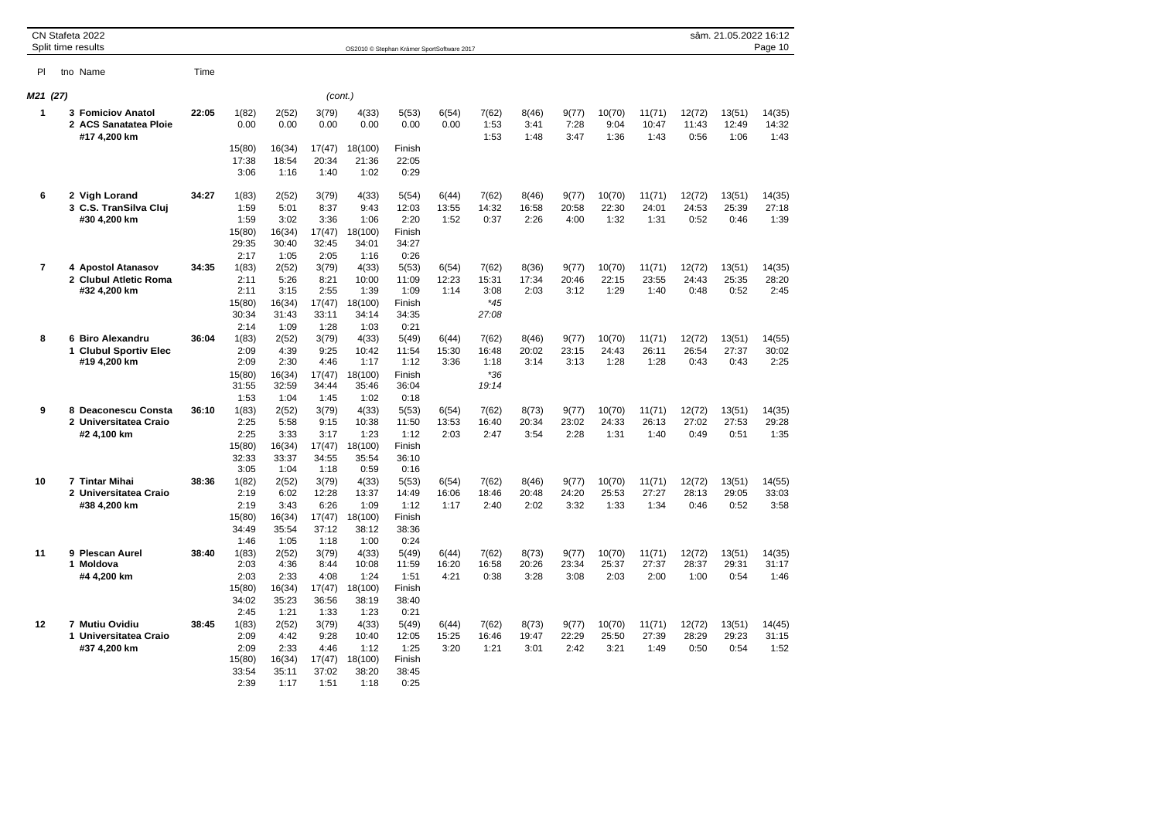|                         | CN Stafeta 2022<br>Split time results                             |       |                                                          |                                                          |                                                           |                                                            | OS2010 © Stephan Krämer SportSoftware 2017                |                        |                                          |                        |                        |                         |                         |                         | sâm. 21.05.2022 16:12   | Page 10                 |
|-------------------------|-------------------------------------------------------------------|-------|----------------------------------------------------------|----------------------------------------------------------|-----------------------------------------------------------|------------------------------------------------------------|-----------------------------------------------------------|------------------------|------------------------------------------|------------------------|------------------------|-------------------------|-------------------------|-------------------------|-------------------------|-------------------------|
| <b>PI</b>               | tno Name                                                          | Time  |                                                          |                                                          |                                                           |                                                            |                                                           |                        |                                          |                        |                        |                         |                         |                         |                         |                         |
| M21 (27)                |                                                                   |       |                                                          |                                                          | (cont.)                                                   |                                                            |                                                           |                        |                                          |                        |                        |                         |                         |                         |                         |                         |
| $\blacktriangleleft$    | <b>3 Fomiciov Anatol</b><br>2 ACS Sanatatea Ploie<br>#17 4,200 km | 22:05 | 1(82)<br>0.00                                            | 2(52)<br>0.00                                            | 3(79)<br>0.00                                             | 4(33)<br>0.00                                              | 5(53)<br>0.00<br>Finish                                   | 6(54)<br>0.00          | 7(62)<br>1:53<br>1:53                    | 8(46)<br>3:41<br>1:48  | 9(77)<br>7:28<br>3:47  | 10(70)<br>9:04<br>1:36  | 11(71)<br>10:47<br>1:43 | 12(72)<br>11:43<br>0:56 | 13(51)<br>12:49<br>1:06 | 14(35)<br>14:32<br>1:43 |
|                         |                                                                   |       | 15(80)<br>17:38<br>3:06                                  | 16(34)<br>18:54<br>1:16                                  | 17(47)<br>20:34<br>1:40                                   | 18(100)<br>21:36<br>1:02                                   | 22:05<br>0:29                                             |                        |                                          |                        |                        |                         |                         |                         |                         |                         |
| 6                       | 2 Vigh Lorand<br>3 C.S. TranSilva Clui<br>#30 4,200 km            | 34:27 | 1(83)<br>1:59<br>1:59<br>15(80)<br>29:35<br>2:17         | 2(52)<br>5:01<br>3:02<br>16(34)<br>30:40                 | 3(79)<br>8:37<br>3:36<br>17(47)<br>32:45                  | 4(33)<br>9:43<br>1:06<br>18(100)<br>34:01<br>1:16          | 5(54)<br>12:03<br>2:20<br>Finish<br>34:27<br>0:26         | 6(44)<br>13:55<br>1:52 | 7(62)<br>14:32<br>0:37                   | 8(46)<br>16:58<br>2:26 | 9(77)<br>20:58<br>4:00 | 10(70)<br>22:30<br>1:32 | 11(71)<br>24:01<br>1:31 | 12(72)<br>24:53<br>0:52 | 13(51)<br>25:39<br>0:46 | 14(35)<br>27:18<br>1:39 |
| $\overline{\mathbf{r}}$ | 4 Apostol Atanasov<br>2 Clubul Atletic Roma<br>#32 4,200 km       | 34:35 | 1(83)<br>2:11<br>2:11<br>15(80)<br>30:34<br>2:14         | 1:05<br>2(52)<br>5:26<br>3:15<br>16(34)<br>31:43<br>1:09 | 2:05<br>3(79)<br>8:21<br>2:55<br>17(47)<br>33:11<br>1:28  | 4(33)<br>10:00<br>1:39<br>18(100)<br>34:14<br>1:03         | 5(53)<br>11:09<br>1:09<br>Finish<br>34:35<br>0:21         | 6(54)<br>12:23<br>1:14 | 7(62)<br>15:31<br>3:08<br>$*45$<br>27:08 | 8(36)<br>17:34<br>2:03 | 9(77)<br>20:46<br>3:12 | 10(70)<br>22:15<br>1:29 | 11(71)<br>23:55<br>1:40 | 12(72)<br>24:43<br>0:48 | 13(51)<br>25:35<br>0:52 | 14(35)<br>28:20<br>2:45 |
| 8                       | 6 Biro Alexandru<br>1 Clubul Sportiv Elec<br>#19 4,200 km         | 36:04 | 1(83)<br>2:09<br>2:09<br>15(80)<br>31:55<br>1:53         | 2(52)<br>4:39<br>2:30<br>16(34)<br>32:59<br>1:04         | 3(79)<br>9:25<br>4:46<br>17(47)<br>34:44<br>1:45          | 4(33)<br>10:42<br>1:17<br>18(100)<br>35:46<br>1:02         | 5(49)<br>11:54<br>1:12<br>Finish<br>36:04<br>0:18         | 6(44)<br>15:30<br>3:36 | 7(62)<br>16:48<br>1:18<br>$*36$<br>19:14 | 8(46)<br>20:02<br>3:14 | 9(77)<br>23:15<br>3:13 | 10(70)<br>24:43<br>1:28 | 11(71)<br>26:11<br>1:28 | 12(72)<br>26:54<br>0:43 | 13(51)<br>27:37<br>0:43 | 14(55)<br>30:02<br>2:25 |
| 9                       | 8 Deaconescu Consta<br>2 Universitatea Craio<br>#2 4,100 km       | 36:10 | 1(83)<br>2:25<br>2:25<br>15(80)<br>32:33                 | 2(52)<br>5:58<br>3:33<br>16(34)<br>33:37                 | 3(79)<br>9:15<br>3:17<br>17(47)<br>34:55                  | 4(33)<br>10:38<br>1:23<br>18(100)<br>35:54                 | 5(53)<br>11:50<br>1:12<br>Finish<br>36:10                 | 6(54)<br>13:53<br>2:03 | 7(62)<br>16:40<br>2:47                   | 8(73)<br>20:34<br>3:54 | 9(77)<br>23:02<br>2:28 | 10(70)<br>24:33<br>1:31 | 11(71)<br>26:13<br>1:40 | 12(72)<br>27:02<br>0:49 | 13(51)<br>27:53<br>0:51 | 14(35)<br>29:28<br>1:35 |
| 10                      | 7 Tintar Mihai<br>2 Universitatea Craio<br>#38 4,200 km           | 38:36 | 3:05<br>1(82)<br>2:19<br>2:19<br>15(80)<br>34:49<br>1:46 | 1:04<br>2(52)<br>6:02<br>3:43<br>16(34)<br>35:54<br>1:05 | 1:18<br>3(79)<br>12:28<br>6:26<br>17(47)<br>37:12<br>1:18 | 0:59<br>4(33)<br>13:37<br>1:09<br>18(100)<br>38:12<br>1:00 | 0:16<br>5(53)<br>14:49<br>1:12<br>Finish<br>38:36<br>0:24 | 6(54)<br>16:06<br>1:17 | 7(62)<br>18:46<br>2:40                   | 8(46)<br>20:48<br>2:02 | 9(77)<br>24:20<br>3:32 | 10(70)<br>25:53<br>1:33 | 11(71)<br>27:27<br>1:34 | 12(72)<br>28:13<br>0:46 | 13(51)<br>29:05<br>0:52 | 14(55)<br>33:03<br>3:58 |
| 11                      | 9 Plescan Aurel<br>1 Moldova<br>#4 4,200 km                       | 38:40 | 1(83)<br>2:03<br>2:03<br>15(80)<br>34:02                 | 2(52)<br>4:36<br>2:33<br>16(34)<br>35:23                 | 3(79)<br>8:44<br>4:08<br>17(47)<br>36:56                  | 4(33)<br>10:08<br>1:24<br>18(100)<br>38:19                 | 5(49)<br>11:59<br>1:51<br>Finish<br>38:40                 | 6(44)<br>16:20<br>4:21 | 7(62)<br>16:58<br>0:38                   | 8(73)<br>20:26<br>3:28 | 9(77)<br>23:34<br>3:08 | 10(70)<br>25:37<br>2:03 | 11(71)<br>27:37<br>2:00 | 12(72)<br>28:37<br>1:00 | 13(51)<br>29:31<br>0:54 | 14(35)<br>31:17<br>1:46 |
| 12                      | 7 Mutiu Ovidiu<br>1 Universitatea Craio<br>#37 4,200 km           | 38:45 | 2:45<br>1(83)<br>2:09<br>2:09<br>15(80)<br>33:54<br>2:39 | 1:21<br>2(52)<br>4:42<br>2:33<br>16(34)<br>35:11<br>1:17 | 1:33<br>3(79)<br>9:28<br>4:46<br>17(47)<br>37:02<br>1:51  | 1:23<br>4(33)<br>10:40<br>1:12<br>18(100)<br>38:20<br>1:18 | 0:21<br>5(49)<br>12:05<br>1:25<br>Finish<br>38:45<br>0:25 | 6(44)<br>15:25<br>3:20 | 7(62)<br>16:46<br>1:21                   | 8(73)<br>19:47<br>3:01 | 9(77)<br>22:29<br>2:42 | 10(70)<br>25:50<br>3:21 | 11(71)<br>27:39<br>1:49 | 12(72)<br>28:29<br>0:50 | 13(51)<br>29:23<br>0:54 | 14(45)<br>31:15<br>1:52 |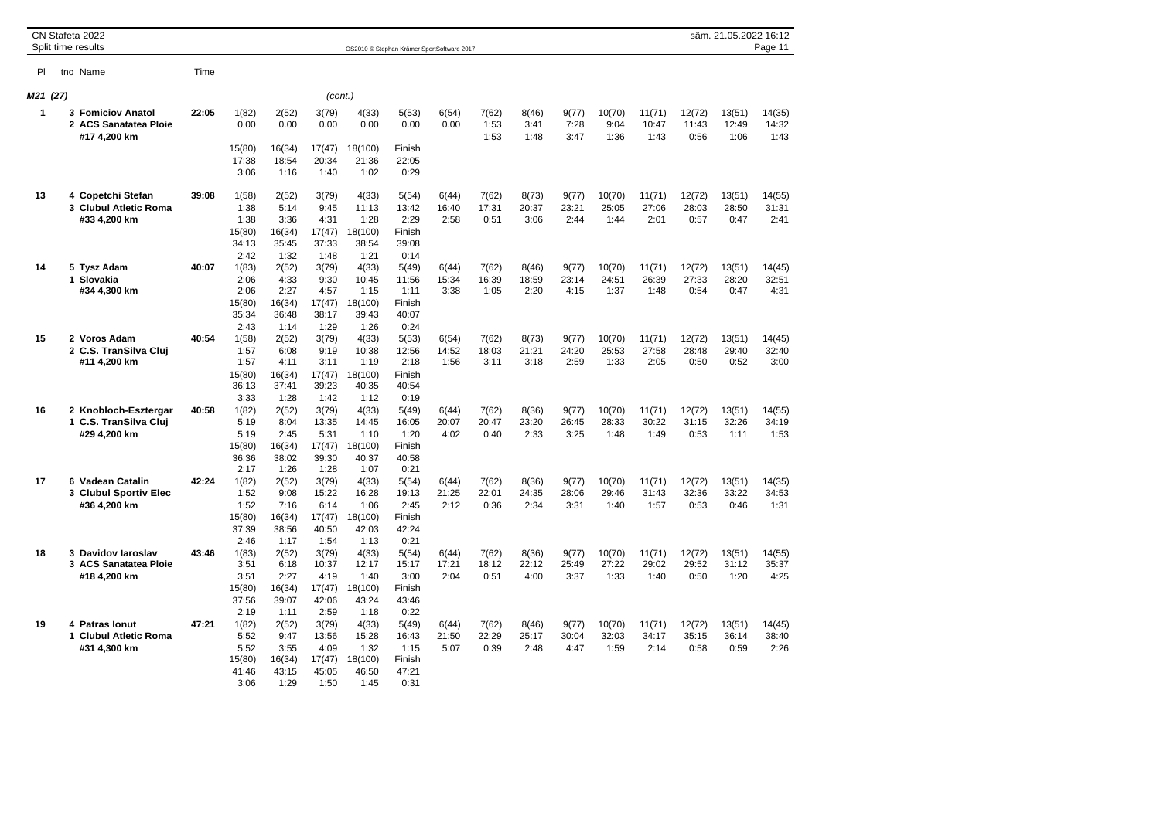|          |   | CN Stafeta 2022<br>Split time results                             |       |                                                  |                                                  |                                                   |                                                    | OS2010 © Stephan Krämer SportSoftware 2017        |                        |                        |                        |                        |                         |                         |                         | sâm. 21.05.2022 16:12   | Page 11                 |
|----------|---|-------------------------------------------------------------------|-------|--------------------------------------------------|--------------------------------------------------|---------------------------------------------------|----------------------------------------------------|---------------------------------------------------|------------------------|------------------------|------------------------|------------------------|-------------------------|-------------------------|-------------------------|-------------------------|-------------------------|
| PI       |   | tno Name                                                          | Time  |                                                  |                                                  |                                                   |                                                    |                                                   |                        |                        |                        |                        |                         |                         |                         |                         |                         |
| M21 (27) |   |                                                                   |       |                                                  |                                                  | (cont.)                                           |                                                    |                                                   |                        |                        |                        |                        |                         |                         |                         |                         |                         |
| 1        |   | <b>3 Fomiciov Anatol</b><br>2 ACS Sanatatea Ploie<br>#17 4,200 km | 22:05 | 1(82)<br>0.00<br>15(80)                          | 2(52)<br>0.00<br>16(34)                          | 3(79)<br>0.00<br>17(47)                           | 4(33)<br>0.00<br>18(100)                           | 5(53)<br>0.00<br>Finish                           | 6(54)<br>0.00          | 7(62)<br>1:53<br>1:53  | 8(46)<br>3:41<br>1:48  | 9(77)<br>7:28<br>3:47  | 10(70)<br>9:04<br>1:36  | 11(71)<br>10:47<br>1:43 | 12(72)<br>11:43<br>0:56 | 13(51)<br>12:49<br>1:06 | 14(35)<br>14:32<br>1:43 |
|          |   |                                                                   |       | 17:38<br>3:06                                    | 18:54<br>1:16                                    | 20:34<br>1:40                                     | 21:36<br>1:02                                      | 22:05<br>0:29                                     |                        |                        |                        |                        |                         |                         |                         |                         |                         |
| 13       |   | 4 Copetchi Stefan<br>3 Clubul Atletic Roma<br>#33 4,200 km        | 39:08 | 1(58)<br>1:38<br>1:38<br>15(80)<br>34:13<br>2:42 | 2(52)<br>5:14<br>3:36<br>16(34)<br>35:45<br>1:32 | 3(79)<br>9:45<br>4:31<br>17(47)<br>37:33<br>1:48  | 4(33)<br>11:13<br>1:28<br>18(100)<br>38:54<br>1:21 | 5(54)<br>13:42<br>2:29<br>Finish<br>39:08<br>0:14 | 6(44)<br>16:40<br>2:58 | 7(62)<br>17:31<br>0:51 | 8(73)<br>20:37<br>3:06 | 9(77)<br>23:21<br>2:44 | 10(70)<br>25:05<br>1:44 | 11(71)<br>27:06<br>2:01 | 12(72)<br>28:03<br>0:57 | 13(51)<br>28:50<br>0:47 | 14(55)<br>31:31<br>2:41 |
| 14       |   | 5 Tysz Adam<br>1 Slovakia<br>#34 4,300 km                         | 40:07 | 1(83)<br>2:06<br>2:06<br>15(80)<br>35:34<br>2:43 | 2(52)<br>4:33<br>2:27<br>16(34)<br>36:48<br>1:14 | 3(79)<br>9:30<br>4:57<br>17(47)<br>38:17<br>1:29  | 4(33)<br>10:45<br>1:15<br>18(100)<br>39:43<br>1:26 | 5(49)<br>11:56<br>1:11<br>Finish<br>40:07<br>0:24 | 6(44)<br>15:34<br>3:38 | 7(62)<br>16:39<br>1:05 | 8(46)<br>18:59<br>2:20 | 9(77)<br>23:14<br>4:15 | 10(70)<br>24:51<br>1:37 | 11(71)<br>26:39<br>1:48 | 12(72)<br>27:33<br>0:54 | 13(51)<br>28:20<br>0:47 | 14(45)<br>32:51<br>4:31 |
| 15       |   | 2 Voros Adam<br>2 C.S. TranSilva Cluj<br>#11 4,200 km             | 40:54 | 1(58)<br>1:57<br>1:57<br>15(80)<br>36:13<br>3:33 | 2(52)<br>6:08<br>4:11<br>16(34)<br>37:41<br>1:28 | 3(79)<br>9:19<br>3:11<br>17(47)<br>39:23<br>1:42  | 4(33)<br>10:38<br>1:19<br>18(100)<br>40:35<br>1:12 | 5(53)<br>12:56<br>2:18<br>Finish<br>40:54<br>0:19 | 6(54)<br>14:52<br>1:56 | 7(62)<br>18:03<br>3:11 | 8(73)<br>21:21<br>3:18 | 9(77)<br>24:20<br>2:59 | 10(70)<br>25:53<br>1:33 | 11(71)<br>27:58<br>2:05 | 12(72)<br>28:48<br>0:50 | 13(51)<br>29:40<br>0:52 | 14(45)<br>32:40<br>3:00 |
| 16       |   | 2 Knobloch-Esztergar<br>1 C.S. TranSilva Cluj<br>#29 4.200 km     | 40:58 | 1(82)<br>5:19<br>5:19<br>15(80)<br>36:36<br>2:17 | 2(52)<br>8:04<br>2:45<br>16(34)<br>38:02<br>1:26 | 3(79)<br>13:35<br>5:31<br>17(47)<br>39:30<br>1:28 | 4(33)<br>14:45<br>1:10<br>18(100)<br>40:37<br>1:07 | 5(49)<br>16:05<br>1:20<br>Finish<br>40:58<br>0:21 | 6(44)<br>20:07<br>4:02 | 7(62)<br>20:47<br>0:40 | 8(36)<br>23:20<br>2:33 | 9(77)<br>26:45<br>3:25 | 10(70)<br>28:33<br>1:48 | 11(71)<br>30:22<br>1:49 | 12(72)<br>31:15<br>0:53 | 13(51)<br>32:26<br>1:11 | 14(55)<br>34:19<br>1:53 |
| 17       | 6 | <b>Vadean Catalin</b><br>3 Clubul Sportiv Elec<br>#36 4,200 km    | 42:24 | 1(82)<br>1:52<br>1:52<br>15(80)<br>37:39<br>2:46 | 2(52)<br>9:08<br>7:16<br>16(34)<br>38:56<br>1:17 | 3(79)<br>15:22<br>6:14<br>17(47)<br>40:50<br>1:54 | 4(33)<br>16:28<br>1:06<br>18(100)<br>42:03<br>1:13 | 5(54)<br>19:13<br>2:45<br>Finish<br>42:24<br>0:21 | 6(44)<br>21:25<br>2:12 | 7(62)<br>22:01<br>0:36 | 8(36)<br>24:35<br>2:34 | 9(77)<br>28:06<br>3:31 | 10(70)<br>29:46<br>1:40 | 11(71)<br>31:43<br>1:57 | 12(72)<br>32:36<br>0:53 | 13(51)<br>33:22<br>0:46 | 14(35)<br>34:53<br>1:31 |
| 18       |   | 3 Davidov laroslav<br>3 ACS Sanatatea Ploie<br>#18 4,200 km       | 43:46 | 1(83)<br>3:51<br>3:51<br>15(80)<br>37:56<br>2:19 | 2(52)<br>6:18<br>2:27<br>16(34)<br>39:07<br>1:11 | 3(79)<br>10:37<br>4:19<br>17(47)<br>42:06<br>2:59 | 4(33)<br>12:17<br>1:40<br>18(100)<br>43:24<br>1:18 | 5(54)<br>15:17<br>3:00<br>Finish<br>43:46<br>0:22 | 6(44)<br>17:21<br>2:04 | 7(62)<br>18:12<br>0:51 | 8(36)<br>22:12<br>4:00 | 9(77)<br>25:49<br>3:37 | 10(70)<br>27:22<br>1:33 | 11(71)<br>29:02<br>1:40 | 12(72)<br>29:52<br>0:50 | 13(51)<br>31:12<br>1:20 | 14(55)<br>35:37<br>4:25 |
| 19       | 1 | 4 Patras lonut<br><b>Clubul Atletic Roma</b><br>#31 4,300 km      | 47:21 | 1(82)<br>5:52<br>5:52<br>15(80)<br>41:46<br>3:06 | 2(52)<br>9:47<br>3:55<br>16(34)<br>43:15<br>1:29 | 3(79)<br>13:56<br>4:09<br>17(47)<br>45:05<br>1:50 | 4(33)<br>15:28<br>1:32<br>18(100)<br>46:50<br>1:45 | 5(49)<br>16:43<br>1:15<br>Finish<br>47:21<br>0:31 | 6(44)<br>21:50<br>5:07 | 7(62)<br>22:29<br>0:39 | 8(46)<br>25:17<br>2:48 | 9(77)<br>30:04<br>4:47 | 10(70)<br>32:03<br>1:59 | 11(71)<br>34:17<br>2:14 | 12(72)<br>35:15<br>0:58 | 13(51)<br>36:14<br>0:59 | 14(45)<br>38:40<br>2:26 |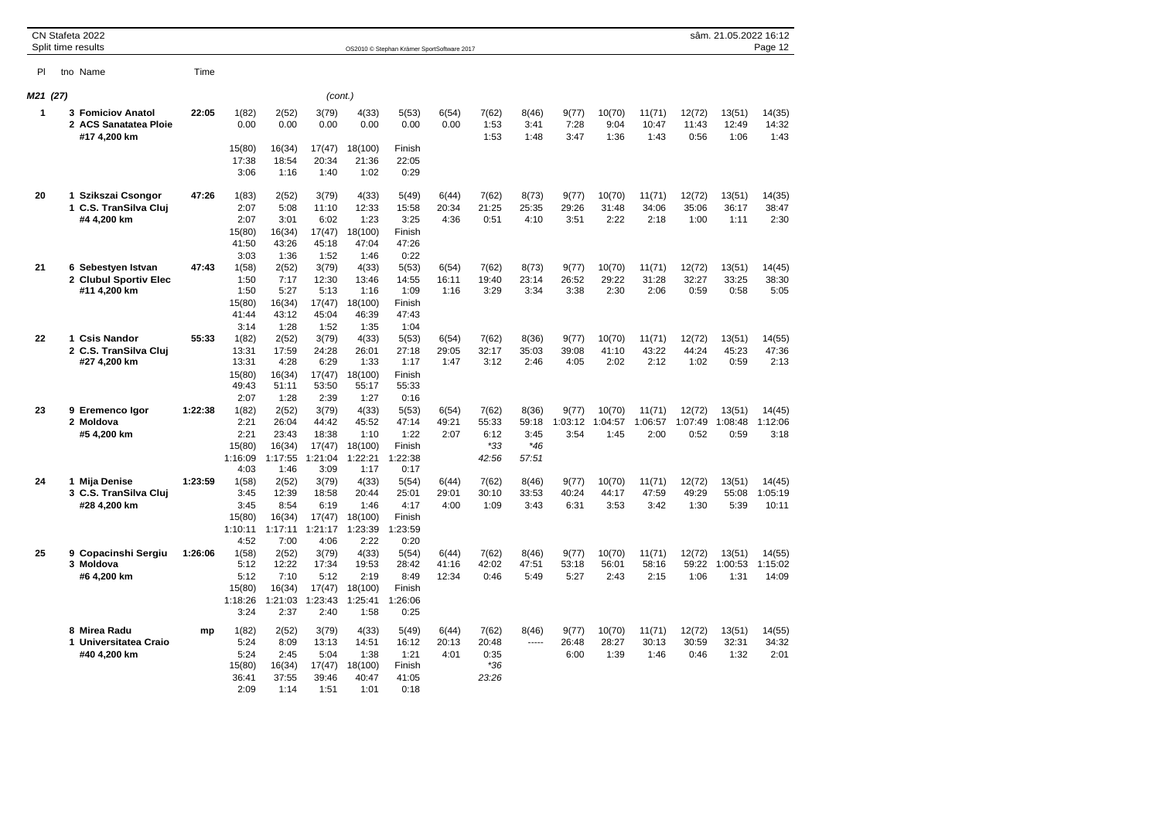|          | CN Stafeta 2022<br>Split time results                       |         |                                                            |                                                             |                                                             |                                                              | OS2010 @ Stephan Krämer SportSoftware 2017                  |                         |                                          |                                          |                          |                           |                           |                           | sâm. 21.05.2022 16:12     | Page 12                    |
|----------|-------------------------------------------------------------|---------|------------------------------------------------------------|-------------------------------------------------------------|-------------------------------------------------------------|--------------------------------------------------------------|-------------------------------------------------------------|-------------------------|------------------------------------------|------------------------------------------|--------------------------|---------------------------|---------------------------|---------------------------|---------------------------|----------------------------|
| PI       | tno Name                                                    | Time    |                                                            |                                                             |                                                             |                                                              |                                                             |                         |                                          |                                          |                          |                           |                           |                           |                           |                            |
| M21 (27) |                                                             |         |                                                            |                                                             | (cont.)                                                     |                                                              |                                                             |                         |                                          |                                          |                          |                           |                           |                           |                           |                            |
| 1        | 3 Fomiciov Anatol<br>2 ACS Sanatatea Ploie<br>#17 4,200 km  | 22:05   | 1(82)<br>0.00                                              | 2(52)<br>0.00                                               | 3(79)<br>0.00                                               | 4(33)<br>0.00                                                | 5(53)<br>0.00                                               | 6(54)<br>0.00           | 7(62)<br>1:53<br>1:53                    | 8(46)<br>3:41<br>1:48                    | 9(77)<br>7:28<br>3:47    | 10(70)<br>9:04<br>1:36    | 11(71)<br>10:47<br>1:43   | 12(72)<br>11:43<br>0:56   | 13(51)<br>12:49<br>1:06   | 14(35)<br>14:32<br>1:43    |
|          |                                                             |         | 15(80)<br>17:38<br>3:06                                    | 16(34)<br>18:54<br>1:16                                     | 17(47)<br>20:34<br>1:40                                     | 18(100)<br>21:36<br>1:02                                     | Finish<br>22:05<br>0:29                                     |                         |                                          |                                          |                          |                           |                           |                           |                           |                            |
| 20       | 1 Szikszai Csongor<br>1 C.S. TranSilva Cluj<br>#4 4,200 km  | 47:26   | 1(83)<br>2:07<br>2:07<br>15(80)<br>41:50                   | 2(52)<br>5:08<br>3:01<br>16(34)<br>43:26                    | 3(79)<br>11:10<br>6:02<br>17(47)<br>45:18                   | 4(33)<br>12:33<br>1:23<br>18(100)<br>47:04                   | 5(49)<br>15:58<br>3:25<br>Finish<br>47:26                   | 6(44)<br>20:34<br>4:36  | 7(62)<br>21:25<br>0:51                   | 8(73)<br>25:35<br>4:10                   | 9(77)<br>29:26<br>3:51   | 10(70)<br>31:48<br>2:22   | 11(71)<br>34:06<br>2:18   | 12(72)<br>35:06<br>1:00   | 13(51)<br>36:17<br>1:11   | 14(35)<br>38:47<br>2:30    |
| 21       | 6 Sebestyen Istvan<br>2 Clubul Sportiv Elec<br>#11 4,200 km | 47:43   | 3:03<br>1(58)<br>1:50<br>1:50<br>15(80)<br>41:44           | 1:36<br>2(52)<br>7:17<br>5:27<br>16(34)<br>43:12            | 1:52<br>3(79)<br>12:30<br>5:13<br>17(47)<br>45:04           | 1:46<br>4(33)<br>13:46<br>1:16<br>18(100)<br>46:39           | 0:22<br>5(53)<br>14:55<br>1:09<br>Finish<br>47:43           | 6(54)<br>16:11<br>1:16  | 7(62)<br>19:40<br>3:29                   | 8(73)<br>23:14<br>3:34                   | 9(77)<br>26:52<br>3:38   | 10(70)<br>29:22<br>2:30   | 11(71)<br>31:28<br>2:06   | 12(72)<br>32:27<br>0:59   | 13(51)<br>33:25<br>0:58   | 14(45)<br>38:30<br>5:05    |
| 22       | 1 Csis Nandor<br>2 C.S. TranSilva Clui<br>#27 4,200 km      | 55:33   | 3:14<br>1(82)<br>13:31<br>13:31<br>15(80)<br>49:43         | 1:28<br>2(52)<br>17:59<br>4:28<br>16(34)<br>51:11           | 1:52<br>3(79)<br>24:28<br>6:29<br>17(47)<br>53:50           | 1:35<br>4(33)<br>26:01<br>1:33<br>18(100)<br>55:17           | 1:04<br>5(53)<br>27:18<br>1:17<br>Finish<br>55:33           | 6(54)<br>29:05<br>1:47  | 7(62)<br>32:17<br>3:12                   | 8(36)<br>35:03<br>2:46                   | 9(77)<br>39:08<br>4:05   | 10(70)<br>41:10<br>2:02   | 11(71)<br>43:22<br>2:12   | 12(72)<br>44:24<br>1:02   | 13(51)<br>45:23<br>0:59   | 14(55)<br>47:36<br>2:13    |
| 23       | 9 Eremenco Igor<br>2 Moldova<br>#5 4,200 km                 | 1:22:38 | 2:07<br>1(82)<br>2:21<br>2:21<br>15(80)<br>1:16:09         | 1:28<br>2(52)<br>26:04<br>23:43<br>16(34)<br>1:17:55        | 2:39<br>3(79)<br>44:42<br>18:38<br>17(47)<br>1:21:04        | 1:27<br>4(33)<br>45:52<br>1:10<br>18(100)<br>1:22:21         | 0:16<br>5(53)<br>47:14<br>1:22<br>Finish<br>1:22:38         | 6(54)<br>49:21<br>2:07  | 7(62)<br>55:33<br>6:12<br>$*33$<br>42:56 | 8(36)<br>59:18<br>3:45<br>$*46$<br>57:51 | 9(77)<br>1:03:12<br>3:54 | 10(70)<br>1:04:57<br>1:45 | 11(71)<br>1:06:57<br>2:00 | 12(72)<br>1:07:49<br>0:52 | 13(51)<br>1:08:48<br>0:59 | 14(45)<br>1:12:06<br>3:18  |
| 24       | 1 Mija Denise<br>3 C.S. TranSilva Cluj<br>#28 4,200 km      | 1:23:59 | 4:03<br>1(58)<br>3:45<br>3:45<br>15(80)<br>1:10:11<br>4:52 | 1:46<br>2(52)<br>12:39<br>8:54<br>16(34)<br>1:17:11<br>7:00 | 3:09<br>3(79)<br>18:58<br>6:19<br>17(47)<br>1:21:17<br>4:06 | 1:17<br>4(33)<br>20:44<br>1:46<br>18(100)<br>1:23:39<br>2:22 | 0:17<br>5(54)<br>25:01<br>4:17<br>Finish<br>1:23:59<br>0:20 | 6(44)<br>29:01<br>4:00  | 7(62)<br>30:10<br>1:09                   | 8(46)<br>33:53<br>3:43                   | 9(77)<br>40:24<br>6:31   | 10(70)<br>44:17<br>3:53   | 11(71)<br>47:59<br>3:42   | 12(72)<br>49:29<br>1:30   | 13(51)<br>55:08<br>5:39   | 14(45)<br>1:05:19<br>10:11 |
| 25       | 9 Copacinshi Sergiu<br>3 Moldova<br>#6 4,200 km             | 1:26:06 | 1(58)<br>5:12<br>5:12<br>15(80)<br>1:18:26<br>3:24         | 2(52)<br>12:22<br>7:10<br>16(34)<br>1:21:03<br>2:37         | 3(79)<br>17:34<br>5:12<br>17(47)<br>1:23:43<br>2:40         | 4(33)<br>19:53<br>2:19<br>18(100)<br>1:25:41<br>1:58         | 5(54)<br>28:42<br>8:49<br>Finish<br>1:26:06<br>0:25         | 6(44)<br>41:16<br>12:34 | 7(62)<br>42:02<br>0:46                   | 8(46)<br>47:51<br>5:49                   | 9(77)<br>53:18<br>5:27   | 10(70)<br>56:01<br>2:43   | 11(71)<br>58:16<br>2:15   | 12(72)<br>59:22<br>1:06   | 13(51)<br>1:00:53<br>1:31 | 14(55)<br>1:15:02<br>14:09 |
|          | 8 Mirea Radu<br>1 Universitatea Craio<br>#40 4,200 km       | mp      | 1(82)<br>5:24<br>5:24<br>15(80)<br>36:41<br>2:09           | 2(52)<br>8:09<br>2:45<br>16(34)<br>37:55<br>1:14            | 3(79)<br>13:13<br>5:04<br>17(47)<br>39:46<br>1:51           | 4(33)<br>14:51<br>1:38<br>18(100)<br>40:47<br>1:01           | 5(49)<br>16:12<br>1:21<br>Finish<br>41:05<br>0:18           | 6(44)<br>20:13<br>4:01  | 7(62)<br>20:48<br>0:35<br>$*36$<br>23:26 | 8(46)<br>1.1.1.1                         | 9(77)<br>26:48<br>6:00   | 10(70)<br>28:27<br>1:39   | 11(71)<br>30:13<br>1:46   | 12(72)<br>30:59<br>0:46   | 13(51)<br>32:31<br>1:32   | 14(55)<br>34:32<br>2:01    |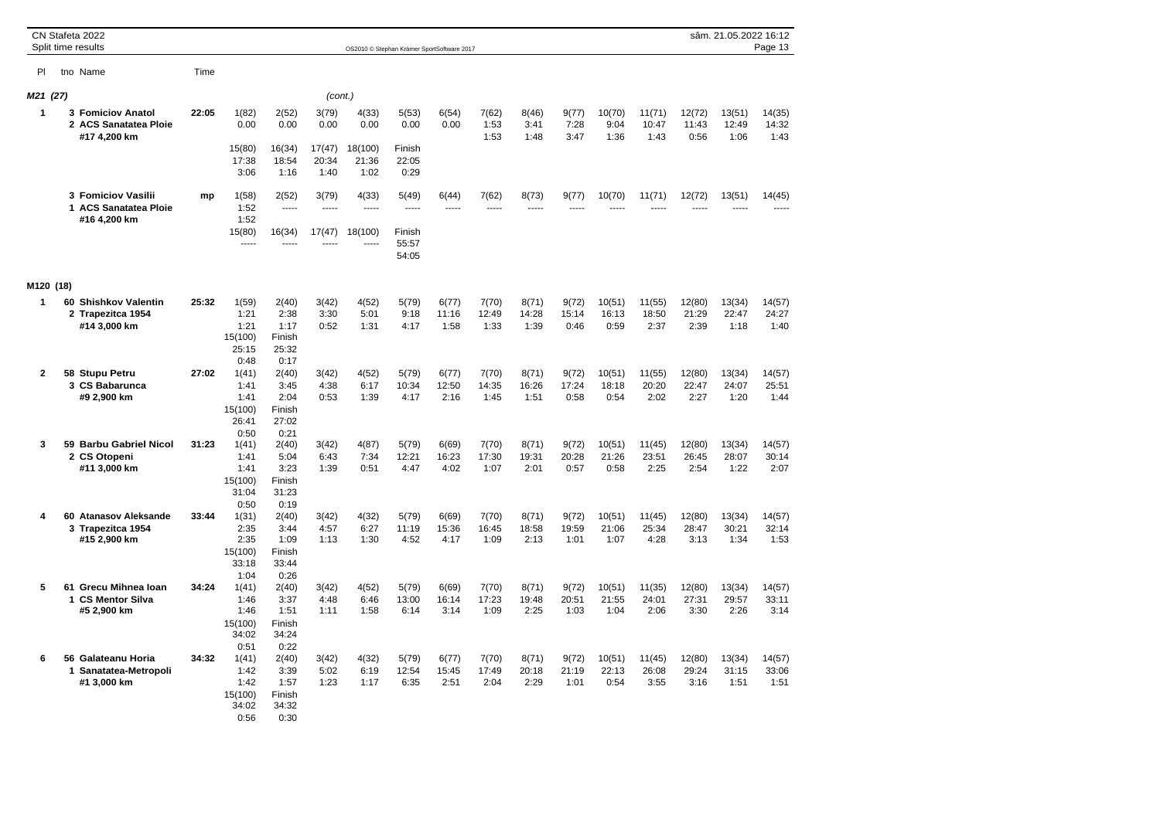|           |   | CN Stafeta 2022<br>Split time results                       |       |                                                   |                                                  |                         |                          | OS2010 © Stephan Krämer SportSoftware 2017 |                        |                        |                        |                        |                         |                         |                         | sâm. 21.05.2022 16:12   | Page 13                 |
|-----------|---|-------------------------------------------------------------|-------|---------------------------------------------------|--------------------------------------------------|-------------------------|--------------------------|--------------------------------------------|------------------------|------------------------|------------------------|------------------------|-------------------------|-------------------------|-------------------------|-------------------------|-------------------------|
| PI        |   | tno Name                                                    | Time  |                                                   |                                                  |                         |                          |                                            |                        |                        |                        |                        |                         |                         |                         |                         |                         |
| M21 (27)  |   |                                                             |       |                                                   |                                                  | (cont.)                 |                          |                                            |                        |                        |                        |                        |                         |                         |                         |                         |                         |
| 1         |   | 3 Fomiciov Anatol<br>2 ACS Sanatatea Ploie<br>#17 4,200 km  | 22:05 | 1(82)<br>0.00<br>15(80)                           | 2(52)<br>0.00<br>16(34)                          | 3(79)<br>0.00<br>17(47) | 4(33)<br>0.00<br>18(100) | 5(53)<br>0.00<br>Finish                    | 6(54)<br>0.00          | 7(62)<br>1:53<br>1:53  | 8(46)<br>3:41<br>1:48  | 9(77)<br>7:28<br>3:47  | 10(70)<br>9:04<br>1:36  | 11(71)<br>10:47<br>1:43 | 12(72)<br>11:43<br>0:56 | 13(51)<br>12:49<br>1:06 | 14(35)<br>14:32<br>1:43 |
|           |   |                                                             |       | 17:38<br>3:06                                     | 18:54<br>1:16                                    | 20:34<br>1:40           | 21:36<br>1:02            | 22:05<br>0:29                              |                        |                        |                        |                        |                         |                         |                         |                         |                         |
|           |   | 3 Fomiciov Vasilii<br>1 ACS Sanatatea Ploie<br>#16 4,200 km | mp    | 1(58)<br>1:52<br>1:52                             | 2(52)                                            | 3(79)<br>1.1.1.1        | 4(33)<br>-----           | 5(49)<br>-----                             | 6(44)<br>-----         | 7(62)<br>-----         | 8(73)<br>-----         | 9(77)                  | 10(70)                  | 11(71)                  | 12(72)                  | 13(51)                  | 14(45)<br>-----         |
|           |   |                                                             |       | 15(80)<br>-----                                   | 16(34)<br>-----                                  | 17(47)                  | 18(100)                  | Finish<br>55:57<br>54:05                   |                        |                        |                        |                        |                         |                         |                         |                         |                         |
| M120 (18) |   |                                                             |       |                                                   |                                                  |                         |                          |                                            |                        |                        |                        |                        |                         |                         |                         |                         |                         |
| 1         |   | 60 Shishkov Valentin<br>2 Trapezitca 1954                   | 25:32 | 1(59)<br>1:21                                     | 2(40)<br>2:38                                    | 3(42)<br>3:30           | 4(52)<br>5:01            | 5(79)<br>9:18                              | 6(77)<br>11:16         | 7(70)<br>12:49         | 8(71)<br>14:28         | 9(72)<br>15:14         | 10(51)<br>16:13         | 11(55)<br>18:50         | 12(80)<br>21:29         | 13(34)<br>22:47         | 14(57)<br>24:27         |
|           |   | #14 3,000 km                                                |       | 1:21<br>15(100)<br>25:15<br>0:48                  | 1:17<br>Finish<br>25:32<br>0:17                  | 0:52                    | 1:31                     | 4:17                                       | 1:58                   | 1:33                   | 1:39                   | 0:46                   | 0:59                    | 2:37                    | 2:39                    | 1:18                    | 1:40                    |
| 2         |   | 58 Stupu Petru                                              | 27:02 | 1(41)                                             | 2(40)                                            | 3(42)                   | 4(52)                    | 5(79)                                      | 6(77)                  | 7(70)                  | 8(71)                  | 9(72)                  | 10(51)                  | 11(55)                  | 12(80)                  | 13(34)                  | 14(57)                  |
|           |   | 3 CS Babarunca<br>#9 2,900 km                               |       | 1:41<br>1:41<br>15(100)<br>26:41<br>0:50          | 3:45<br>2:04<br>Finish<br>27:02<br>0:21          | 4:38<br>0:53            | 6:17<br>1:39             | 10:34<br>4:17                              | 12:50<br>2:16          | 14:35<br>1:45          | 16:26<br>1:51          | 17:24<br>0:58          | 18:18<br>0:54           | 20:20<br>2:02           | 22:47<br>2:27           | 24:07<br>1:20           | 25:51<br>1:44           |
| 3         |   | 59 Barbu Gabriel Nicol                                      | 31:23 | 1(41)                                             | 2(40)                                            | 3(42)                   | 4(87)                    | 5(79)                                      | 6(69)                  | 7(70)                  | 8(71)                  | 9(72)                  | 10(51)                  | 11(45)                  | 12(80)                  | 13(34)                  | 14(57)                  |
|           |   | 2 CS Otopeni<br>#11 3,000 km                                |       | 1:41<br>1:41<br>15(100)<br>31:04<br>0:50          | 5:04<br>3:23<br>Finish<br>31:23<br>0:19          | 6:43<br>1:39            | 7:34<br>0:51             | 12:21<br>4:47                              | 16:23<br>4:02          | 17:30<br>1:07          | 19:31<br>2:01          | 20:28<br>0:57          | 21:26<br>0:58           | 23:51<br>2:25           | 26:45<br>2:54           | 28:07<br>1:22           | 30:14<br>2:07           |
| 4         |   | 60 Atanasov Aleksande                                       | 33:44 | 1(31)                                             | 2(40)                                            | 3(42)                   | 4(32)                    | 5(79)                                      | 6(69)                  | 7(70)                  | 8(71)                  | 9(72)                  | 10(51)                  | 11(45)                  | 12(80)                  | 13(34)                  | 14(57)                  |
|           |   | 3 Trapezitca 1954<br>#15 2,900 km                           |       | 2:35<br>2:35<br>15(100)<br>33:18                  | 3:44<br>1:09<br>Finish<br>33:44                  | 4:57<br>1:13            | 6:27<br>1:30             | 11:19<br>4:52                              | 15:36<br>4:17          | 16:45<br>1:09          | 18:58<br>2:13          | 19:59<br>1:01          | 21:06<br>1:07           | 25:34<br>4:28           | 28:47<br>3:13           | 30:21<br>1:34           | 32:14<br>1:53           |
| 5         |   | 61 Grecu Mihnea Ioan                                        | 34:24 | 1:04<br>1(41)                                     | 0:26<br>2(40)                                    | 3(42)                   | 4(52)                    | 5(79)                                      | 6(69)                  | 7(70)                  | 8(71)                  | 9(72)                  | 10(51)                  | 11(35)                  | 12(80)                  | 13(34)                  | 14(57)                  |
|           |   | 1 CS Mentor Silva<br>#5 2,900 km                            |       | 1:46<br>1:46<br>15(100)<br>34:02<br>0:51          | 3:37<br>1:51<br>Finish<br>34:24<br>0:22          | 4:48<br>1:11            | 6:46<br>1:58             | 13:00<br>6:14                              | 16:14<br>3:14          | 17:23<br>1:09          | 19:48<br>2:25          | 20:51<br>1:03          | 21:55<br>1:04           | 24:01<br>2:06           | 27:31<br>3:30           | 29:57<br>2:26           | 33:11<br>3:14           |
| 6         | 1 | 56 Galateanu Horia<br>Sanatatea-Metropoli<br>#1 3,000 km    | 34:32 | 1(41)<br>1:42<br>1:42<br>15(100)<br>34:02<br>0:56 | 2(40)<br>3:39<br>1:57<br>Finish<br>34:32<br>0:30 | 3(42)<br>5:02<br>1:23   | 4(32)<br>6:19<br>1:17    | 5(79)<br>12:54<br>6:35                     | 6(77)<br>15:45<br>2:51 | 7(70)<br>17:49<br>2:04 | 8(71)<br>20:18<br>2:29 | 9(72)<br>21:19<br>1:01 | 10(51)<br>22:13<br>0:54 | 11(45)<br>26:08<br>3:55 | 12(80)<br>29:24<br>3:16 | 13(34)<br>31:15<br>1:51 | 14(57)<br>33:06<br>1:51 |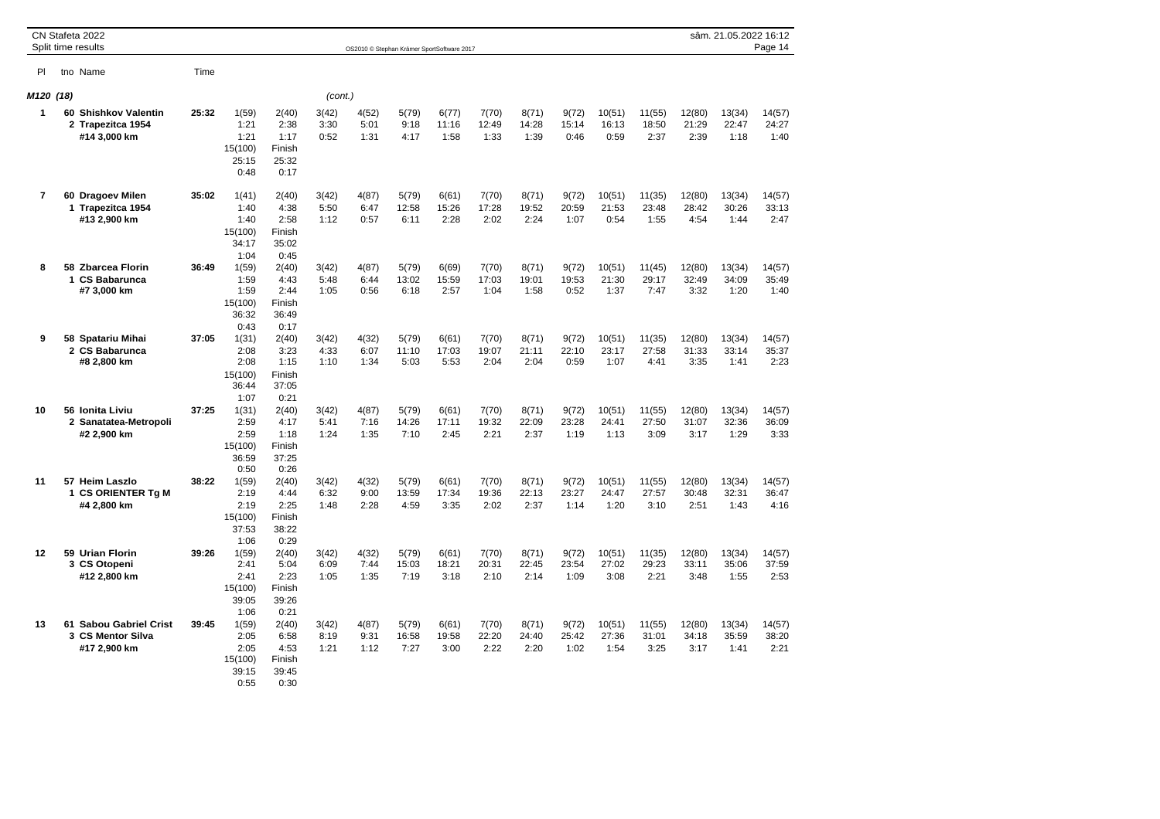|                |   | CN Stafeta 2022<br>Split time results                       |       |                                                   |                                                  |                       | OS2010 © Stephan Krämer SportSoftware 2017 |                        |                        |                        |                        |                        |                         |                         |                         | sâm. 21.05.2022 16:12   | Page 14                 |
|----------------|---|-------------------------------------------------------------|-------|---------------------------------------------------|--------------------------------------------------|-----------------------|--------------------------------------------|------------------------|------------------------|------------------------|------------------------|------------------------|-------------------------|-------------------------|-------------------------|-------------------------|-------------------------|
| PI.            |   | tno Name                                                    | Time  |                                                   |                                                  |                       |                                            |                        |                        |                        |                        |                        |                         |                         |                         |                         |                         |
| M120 (18)      |   |                                                             |       |                                                   |                                                  | (cont.)               |                                            |                        |                        |                        |                        |                        |                         |                         |                         |                         |                         |
| 1              |   | 60 Shishkov Valentin<br>2 Trapezitca 1954<br>#14 3,000 km   | 25:32 | 1(59)<br>1:21<br>1:21<br>15(100)<br>25:15<br>0:48 | 2(40)<br>2:38<br>1:17<br>Finish<br>25:32<br>0:17 | 3(42)<br>3:30<br>0:52 | 4(52)<br>5:01<br>1:31                      | 5(79)<br>9:18<br>4:17  | 6(77)<br>11:16<br>1:58 | 7(70)<br>12:49<br>1:33 | 8(71)<br>14:28<br>1:39 | 9(72)<br>15:14<br>0:46 | 10(51)<br>16:13<br>0:59 | 11(55)<br>18:50<br>2:37 | 12(80)<br>21:29<br>2:39 | 13(34)<br>22:47<br>1:18 | 14(57)<br>24:27<br>1:40 |
| $\overline{7}$ |   | 60 Dragoev Milen<br>1 Trapezitca 1954<br>#13 2,900 km       | 35:02 | 1(41)<br>1:40<br>1:40<br>15(100)<br>34:17<br>1:04 | 2(40)<br>4:38<br>2:58<br>Finish<br>35:02<br>0:45 | 3(42)<br>5:50<br>1:12 | 4(87)<br>6:47<br>0:57                      | 5(79)<br>12:58<br>6:11 | 6(61)<br>15:26<br>2:28 | 7(70)<br>17:28<br>2:02 | 8(71)<br>19:52<br>2:24 | 9(72)<br>20:59<br>1:07 | 10(51)<br>21:53<br>0:54 | 11(35)<br>23:48<br>1:55 | 12(80)<br>28:42<br>4:54 | 13(34)<br>30:26<br>1:44 | 14(57)<br>33:13<br>2:47 |
| 8              |   | 58 Zbarcea Florin<br>1 CS Babarunca<br>#7 3,000 km          | 36:49 | 1(59)<br>1:59<br>1:59<br>15(100)<br>36:32<br>0:43 | 2(40)<br>4:43<br>2:44<br>Finish<br>36:49<br>0:17 | 3(42)<br>5:48<br>1:05 | 4(87)<br>6:44<br>0:56                      | 5(79)<br>13:02<br>6:18 | 6(69)<br>15:59<br>2:57 | 7(70)<br>17:03<br>1:04 | 8(71)<br>19:01<br>1:58 | 9(72)<br>19:53<br>0:52 | 10(51)<br>21:30<br>1:37 | 11(45)<br>29:17<br>7:47 | 12(80)<br>32:49<br>3:32 | 13(34)<br>34:09<br>1:20 | 14(57)<br>35:49<br>1:40 |
| 9              |   | 58 Spatariu Mihai<br>2 CS Babarunca<br>#8 2,800 km          | 37:05 | 1(31)<br>2:08<br>2:08<br>15(100)<br>36:44<br>1:07 | 2(40)<br>3:23<br>1:15<br>Finish<br>37:05<br>0:21 | 3(42)<br>4:33<br>1:10 | 4(32)<br>6:07<br>1:34                      | 5(79)<br>11:10<br>5:03 | 6(61)<br>17:03<br>5:53 | 7(70)<br>19:07<br>2:04 | 8(71)<br>21:11<br>2:04 | 9(72)<br>22:10<br>0:59 | 10(51)<br>23:17<br>1:07 | 11(35)<br>27:58<br>4:41 | 12(80)<br>31:33<br>3:35 | 13(34)<br>33:14<br>1:41 | 14(57)<br>35:37<br>2:23 |
| 10             |   | 56 Ionita Liviu<br>2 Sanatatea-Metropoli<br>#2 2,900 km     | 37:25 | 1(31)<br>2:59<br>2:59<br>15(100)<br>36:59<br>0:50 | 2(40)<br>4:17<br>1:18<br>Finish<br>37:25<br>0:26 | 3(42)<br>5:41<br>1:24 | 4(87)<br>7:16<br>1:35                      | 5(79)<br>14:26<br>7:10 | 6(61)<br>17:11<br>2:45 | 7(70)<br>19:32<br>2:21 | 8(71)<br>22:09<br>2:37 | 9(72)<br>23:28<br>1:19 | 10(51)<br>24:41<br>1:13 | 11(55)<br>27:50<br>3:09 | 12(80)<br>31:07<br>3:17 | 13(34)<br>32:36<br>1:29 | 14(57)<br>36:09<br>3:33 |
| 11             | 1 | 57 Heim Laszlo<br><b>CS ORIENTER Tg M</b><br>#4 2,800 km    | 38:22 | 1(59)<br>2:19<br>2:19<br>15(100)<br>37:53<br>1:06 | 2(40)<br>4:44<br>2:25<br>Finish<br>38:22<br>0:29 | 3(42)<br>6:32<br>1:48 | 4(32)<br>9:00<br>2:28                      | 5(79)<br>13:59<br>4:59 | 6(61)<br>17:34<br>3:35 | 7(70)<br>19:36<br>2:02 | 8(71)<br>22:13<br>2:37 | 9(72)<br>23:27<br>1:14 | 10(51)<br>24:47<br>1:20 | 11(55)<br>27:57<br>3:10 | 12(80)<br>30:48<br>2:51 | 13(34)<br>32:31<br>1:43 | 14(57)<br>36:47<br>4:16 |
| 12             |   | 59 Urian Florin<br>3 CS Otopeni<br>#12 2,800 km             | 39:26 | 1(59)<br>2:41<br>2:41<br>15(100)<br>39:05<br>1:06 | 2(40)<br>5:04<br>2:23<br>Finish<br>39:26<br>0:21 | 3(42)<br>6:09<br>1:05 | 4(32)<br>7:44<br>1:35                      | 5(79)<br>15:03<br>7:19 | 6(61)<br>18:21<br>3:18 | 7(70)<br>20:31<br>2:10 | 8(71)<br>22:45<br>2:14 | 9(72)<br>23:54<br>1:09 | 10(51)<br>27:02<br>3:08 | 11(35)<br>29:23<br>2:21 | 12(80)<br>33:11<br>3:48 | 13(34)<br>35:06<br>1:55 | 14(57)<br>37:59<br>2:53 |
| 13             |   | 61 Sabou Gabriel Crist<br>3 CS Mentor Silva<br>#17 2,900 km | 39:45 | 1(59)<br>2:05<br>2:05<br>15(100)<br>39:15<br>0:55 | 2(40)<br>6:58<br>4:53<br>Finish<br>39:45<br>0:30 | 3(42)<br>8:19<br>1:21 | 4(87)<br>9:31<br>1:12                      | 5(79)<br>16:58<br>7:27 | 6(61)<br>19:58<br>3:00 | 7(70)<br>22:20<br>2:22 | 8(71)<br>24:40<br>2:20 | 9(72)<br>25:42<br>1:02 | 10(51)<br>27:36<br>1:54 | 11(55)<br>31:01<br>3:25 | 12(80)<br>34:18<br>3:17 | 13(34)<br>35:59<br>1:41 | 14(57)<br>38:20<br>2:21 |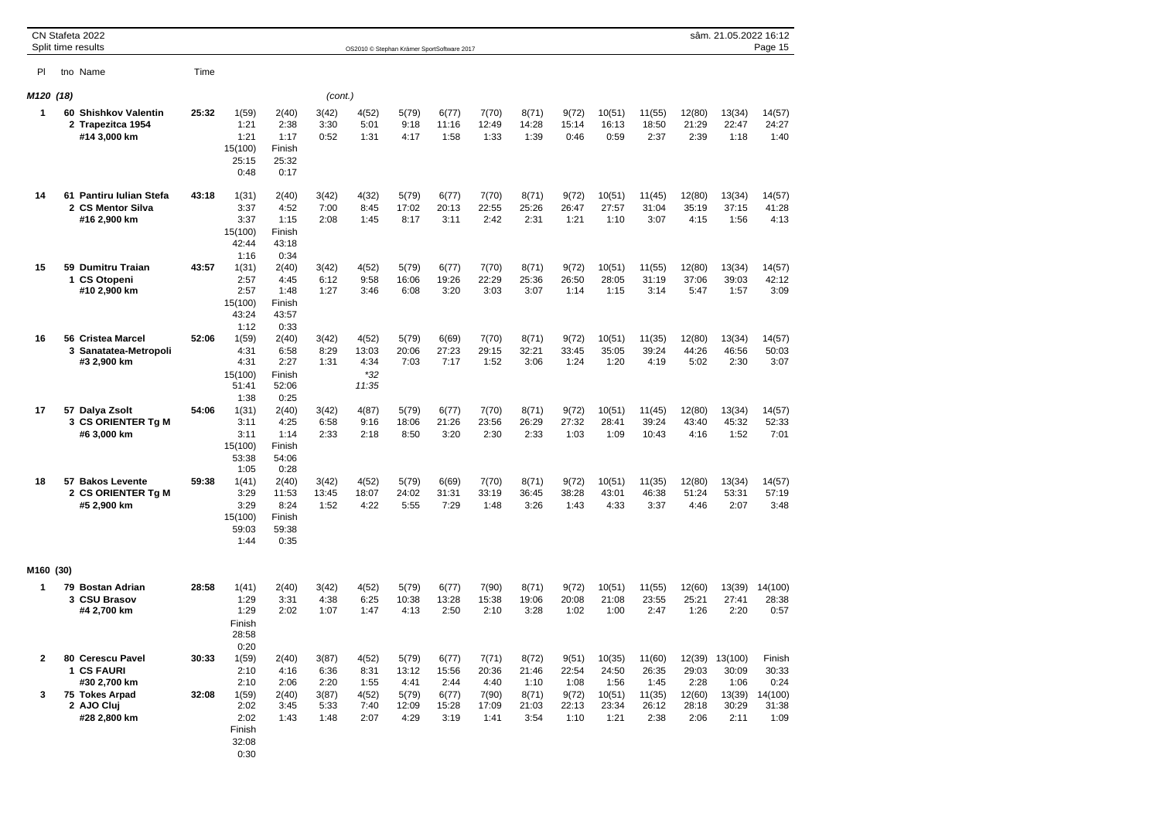|           | CN Stafeta 2022<br>Split time results                                                          |                |                                                                   |                                                   |                                                | OS2010 © Stephan Krämer SportSoftware 2017     |                                                  |                                                  |                                                  |                                                  |                                                  |                                                    |                                                    |                                          | sâm. 21.05.2022 16:12                                      | Page 15                                             |
|-----------|------------------------------------------------------------------------------------------------|----------------|-------------------------------------------------------------------|---------------------------------------------------|------------------------------------------------|------------------------------------------------|--------------------------------------------------|--------------------------------------------------|--------------------------------------------------|--------------------------------------------------|--------------------------------------------------|----------------------------------------------------|----------------------------------------------------|------------------------------------------|------------------------------------------------------------|-----------------------------------------------------|
| PI        | tno Name                                                                                       | Time           |                                                                   |                                                   |                                                |                                                |                                                  |                                                  |                                                  |                                                  |                                                  |                                                    |                                                    |                                          |                                                            |                                                     |
| M120 (18) |                                                                                                |                |                                                                   |                                                   | (cont.)                                        |                                                |                                                  |                                                  |                                                  |                                                  |                                                  |                                                    |                                                    |                                          |                                                            |                                                     |
| 1         | 60 Shishkov Valentin<br>2 Trapezitca 1954<br>#14 3,000 km                                      | 25:32          | 1(59)<br>1:21<br>1:21<br>15(100)<br>25:15<br>0:48                 | 2(40)<br>2:38<br>1:17<br>Finish<br>25:32<br>0:17  | 3(42)<br>3:30<br>0:52                          | 4(52)<br>5:01<br>1:31                          | 5(79)<br>9:18<br>4:17                            | 6(77)<br>11:16<br>1:58                           | 7(70)<br>12:49<br>1:33                           | 8(71)<br>14:28<br>1:39                           | 9(72)<br>15:14<br>0:46                           | 10(51)<br>16:13<br>0:59                            | 11(55)<br>18:50<br>2:37                            | 12(80)<br>21:29<br>2:39                  | 13(34)<br>22:47<br>1:18                                    | 14(57)<br>24:27<br>1:40                             |
| 14        | 61 Pantiru Iulian Stefa<br>2 CS Mentor Silva<br>#16 2,900 km                                   | 43:18          | 1(31)<br>3:37<br>3:37<br>15(100)<br>42:44<br>1:16                 | 2(40)<br>4:52<br>1:15<br>Finish<br>43:18<br>0:34  | 3(42)<br>7:00<br>2:08                          | 4(32)<br>8:45<br>1:45                          | 5(79)<br>17:02<br>8:17                           | 6(77)<br>20:13<br>3:11                           | 7(70)<br>22:55<br>2:42                           | 8(71)<br>25:26<br>2:31                           | 9(72)<br>26:47<br>1:21                           | 10(51)<br>27:57<br>1:10                            | 11(45)<br>31:04<br>3:07                            | 12(80)<br>35:19<br>4:15                  | 13(34)<br>37:15<br>1:56                                    | 14(57)<br>41:28<br>4:13                             |
| 15        | 59 Dumitru Traian<br>1 CS Otopeni<br>#10 2,900 km                                              | 43:57          | 1(31)<br>2:57<br>2:57<br>15(100)<br>43:24<br>1:12                 | 2(40)<br>4:45<br>1:48<br>Finish<br>43:57<br>0:33  | 3(42)<br>6:12<br>1:27                          | 4(52)<br>9:58<br>3:46                          | 5(79)<br>16:06<br>6:08                           | 6(77)<br>19:26<br>3:20                           | 7(70)<br>22:29<br>3:03                           | 8(71)<br>25:36<br>3:07                           | 9(72)<br>26:50<br>1:14                           | 10(51)<br>28:05<br>1:15                            | 11(55)<br>31:19<br>3:14                            | 12(80)<br>37:06<br>5:47                  | 13(34)<br>39:03<br>1:57                                    | 14(57)<br>42:12<br>3:09                             |
| 16        | 56 Cristea Marcel<br>3 Sanatatea-Metropoli<br>#3 2,900 km                                      | 52:06          | 1(59)<br>4:31<br>4:31<br>15(100)<br>51:41<br>1:38                 | 2(40)<br>6:58<br>2:27<br>Finish<br>52:06<br>0:25  | 3(42)<br>8:29<br>1:31                          | 4(52)<br>13:03<br>4:34<br>$*32$<br>11:35       | 5(79)<br>20:06<br>7:03                           | 6(69)<br>27:23<br>7:17                           | 7(70)<br>29:15<br>1:52                           | 8(71)<br>32:21<br>3:06                           | 9(72)<br>33:45<br>1:24                           | 10(51)<br>35:05<br>1:20                            | 11(35)<br>39:24<br>4:19                            | 12(80)<br>44:26<br>5:02                  | 13(34)<br>46:56<br>2:30                                    | 14(57)<br>50:03<br>3:07                             |
| 17        | 57 Dalya Zsolt<br>3 CS ORIENTER Tg M<br>#6 3,000 km                                            | 54:06          | 1(31)<br>3:11<br>3:11<br>15(100)<br>53:38<br>1:05                 | 2(40)<br>4:25<br>1:14<br>Finish<br>54:06<br>0:28  | 3(42)<br>6:58<br>2:33                          | 4(87)<br>9:16<br>2:18                          | 5(79)<br>18:06<br>8:50                           | 6(77)<br>21:26<br>3:20                           | 7(70)<br>23:56<br>2:30                           | 8(71)<br>26:29<br>2:33                           | 9(72)<br>27:32<br>1:03                           | 10(51)<br>28:41<br>1:09                            | 11(45)<br>39:24<br>10:43                           | 12(80)<br>43:40<br>4:16                  | 13(34)<br>45:32<br>1:52                                    | 14(57)<br>52:33<br>7:01                             |
| 18        | 57 Bakos Levente<br>2 CS ORIENTER Tg M<br>#5 2,900 km                                          | 59:38          | 1(41)<br>3:29<br>3:29<br>15(100)<br>59:03<br>1:44                 | 2(40)<br>11:53<br>8:24<br>Finish<br>59:38<br>0:35 | 3(42)<br>13:45<br>1:52                         | 4(52)<br>18:07<br>4:22                         | 5(79)<br>24:02<br>5:55                           | 6(69)<br>31:31<br>7:29                           | 7(70)<br>33:19<br>1:48                           | 8(71)<br>36:45<br>3:26                           | 9(72)<br>38:28<br>1:43                           | 10(51)<br>43:01<br>4:33                            | 11(35)<br>46:38<br>3:37                            | 12(80)<br>51:24<br>4:46                  | 13(34)<br>53:31<br>2:07                                    | 14(57)<br>57:19<br>3:48                             |
| M160 (30) |                                                                                                |                |                                                                   |                                                   |                                                |                                                |                                                  |                                                  |                                                  |                                                  |                                                  |                                                    |                                                    |                                          |                                                            |                                                     |
| 1         | 79 Bostan Adrian<br>3 CSU Brasov<br>#4 2,700 km                                                | 28:58          | 1(41)<br>1:29<br>1:29<br>Finish<br>28:58<br>0:20                  | 2(40)<br>3:31<br>2:02                             | 3(42)<br>4:38<br>1:07                          | 4(52)<br>6:25<br>1:47                          | 5(79)<br>10:38<br>4:13                           | 6(77)<br>13:28<br>2:50                           | 7(90)<br>15:38<br>2:10                           | 8(71)<br>19:06<br>3:28                           | 9(72)<br>20:08<br>1:02                           | 10(51)<br>21:08<br>1:00                            | 11(55)<br>23:55<br>2:47                            | 12(60)<br>25:21<br>1:26                  | 13(39)<br>27:41<br>2:20                                    | 14(100)<br>28:38<br>0:57                            |
| 2<br>3    | 80 Cerescu Pavel<br>1 CS FAURI<br>#30 2,700 km<br>75 Tokes Arpad<br>2 AJO Cluj<br>#28 2,800 km | 30:33<br>32:08 | 1(59)<br>2:10<br>2:10<br>1(59)<br>2:02<br>2:02<br>Finish<br>32:08 | 2(40)<br>4:16<br>2:06<br>2(40)<br>3:45<br>1:43    | 3(87)<br>6:36<br>2:20<br>3(87)<br>5:33<br>1:48 | 4(52)<br>8:31<br>1:55<br>4(52)<br>7:40<br>2:07 | 5(79)<br>13:12<br>4:41<br>5(79)<br>12:09<br>4:29 | 6(77)<br>15:56<br>2:44<br>6(77)<br>15:28<br>3:19 | 7(71)<br>20:36<br>4:40<br>7(90)<br>17:09<br>1:41 | 8(72)<br>21:46<br>1:10<br>8(71)<br>21:03<br>3:54 | 9(51)<br>22:54<br>1:08<br>9(72)<br>22:13<br>1:10 | 10(35)<br>24:50<br>1:56<br>10(51)<br>23:34<br>1:21 | 11(60)<br>26:35<br>1:45<br>11(35)<br>26:12<br>2:38 | 29:03<br>2:28<br>12(60)<br>28:18<br>2:06 | 12(39) 13(100)<br>30:09<br>1:06<br>13(39)<br>30:29<br>2:11 | Finish<br>30:33<br>0:24<br>14(100)<br>31:38<br>1:09 |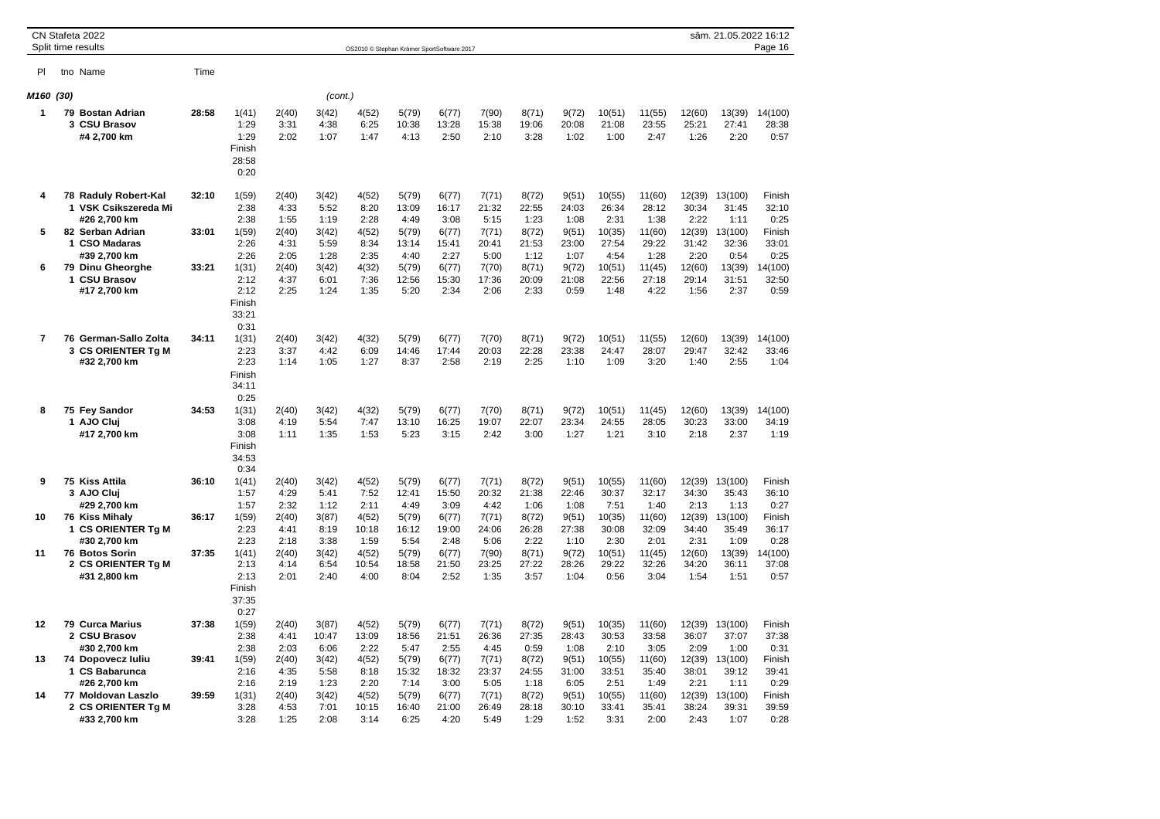|                |              | CN Stafeta 2022<br>Split time results                                                             |                |                                                          |                                        |                                        | OS2010 © Stephan Krämer SportSoftware 2017 |                                          |                                          |                                          |                                          |                                          |                                            |                                            |                                            | sâm. 21.05.2022 16:12                        | Page 16                                    |
|----------------|--------------|---------------------------------------------------------------------------------------------------|----------------|----------------------------------------------------------|----------------------------------------|----------------------------------------|--------------------------------------------|------------------------------------------|------------------------------------------|------------------------------------------|------------------------------------------|------------------------------------------|--------------------------------------------|--------------------------------------------|--------------------------------------------|----------------------------------------------|--------------------------------------------|
| PI             |              | tno Name                                                                                          | Time           |                                                          |                                        |                                        |                                            |                                          |                                          |                                          |                                          |                                          |                                            |                                            |                                            |                                              |                                            |
| M160           | (30)         |                                                                                                   |                |                                                          |                                        | (cont.)                                |                                            |                                          |                                          |                                          |                                          |                                          |                                            |                                            |                                            |                                              |                                            |
| 1              |              | 79 Bostan Adrian<br>3 CSU Brasov<br>#4 2,700 km                                                   | 28:58          | 1(41)<br>1:29<br>1:29<br>Finish<br>28:58<br>0:20         | 2(40)<br>3:31<br>2:02                  | 3(42)<br>4:38<br>1:07                  | 4(52)<br>6:25<br>1:47                      | 5(79)<br>10:38<br>4:13                   | 6(77)<br>13:28<br>2:50                   | 7(90)<br>15:38<br>2:10                   | 8(71)<br>19:06<br>3:28                   | 9(72)<br>20:08<br>1:02                   | 10(51)<br>21:08<br>1:00                    | 11(55)<br>23:55<br>2:47                    | 12(60)<br>25:21<br>1:26                    | 13(39)<br>27:41<br>2:20                      | 14(100)<br>28:38<br>0:57                   |
| 4<br>5         |              | 78 Raduly Robert-Kal<br>1 VSK Csikszereda Mi<br>#26 2,700 km<br>82 Serban Adrian<br>1 CSO Madaras | 32:10<br>33:01 | 1(59)<br>2:38<br>2:38<br>1(59)<br>2:26                   | 2(40)<br>4:33<br>1:55<br>2(40)<br>4:31 | 3(42)<br>5:52<br>1:19<br>3(42)<br>5:59 | 4(52)<br>8:20<br>2:28<br>4(52)<br>8:34     | 5(79)<br>13:09<br>4:49<br>5(79)<br>13:14 | 6(77)<br>16:17<br>3:08<br>6(77)<br>15:41 | 7(71)<br>21:32<br>5:15<br>7(71)<br>20:41 | 8(72)<br>22:55<br>1:23<br>8(72)<br>21:53 | 9(51)<br>24:03<br>1:08<br>9(51)<br>23:00 | 10(55)<br>26:34<br>2:31<br>10(35)<br>27:54 | 11(60)<br>28:12<br>1:38<br>11(60)<br>29:22 | 12(39)<br>30:34<br>2:22<br>12(39)<br>31:42 | 13(100)<br>31:45<br>1:11<br>13(100)<br>32:36 | Finish<br>32:10<br>0:25<br>Finish<br>33:01 |
| 6              |              | #39 2,700 km<br>79 Dinu Gheorghe<br>1 CSU Brasov<br>#17 2,700 km                                  | 33:21          | 2:26<br>1(31)<br>2:12<br>2:12<br>Finish<br>33:21<br>0:31 | 2:05<br>2(40)<br>4:37<br>2:25          | 1:28<br>3(42)<br>6:01<br>1:24          | 2:35<br>4(32)<br>7:36<br>1:35              | 4:40<br>5(79)<br>12:56<br>5:20           | 2:27<br>6(77)<br>15:30<br>2:34           | 5:00<br>7(70)<br>17:36<br>2:06           | 1:12<br>8(71)<br>20:09<br>2:33           | 1:07<br>9(72)<br>21:08<br>0:59           | 4:54<br>10(51)<br>22:56<br>1:48            | 1:28<br>11(45)<br>27:18<br>4:22            | 2:20<br>12(60)<br>29:14<br>1:56            | 0:54<br>13(39)<br>31:51<br>2:37              | 0:25<br>14(100)<br>32:50<br>0:59           |
| $\overline{7}$ | 3            | 76 German-Sallo Zolta<br><b>CS ORIENTER Tg M</b><br>#32 2,700 km                                  | 34:11          | 1(31)<br>2:23<br>2:23<br>Finish<br>34:11<br>0:25         | 2(40)<br>3:37<br>1:14                  | 3(42)<br>4:42<br>1:05                  | 4(32)<br>6:09<br>1:27                      | 5(79)<br>14:46<br>8:37                   | 6(77)<br>17:44<br>2:58                   | 7(70)<br>20:03<br>2:19                   | 8(71)<br>22:28<br>2:25                   | 9(72)<br>23:38<br>1:10                   | 10(51)<br>24:47<br>1:09                    | 11(55)<br>28:07<br>3:20                    | 12(60)<br>29:47<br>1:40                    | 13(39)<br>32:42<br>2:55                      | 14(100)<br>33:46<br>1:04                   |
| 8              |              | 75 Fey Sandor<br>1 AJO Cluj<br>#17 2,700 km                                                       | 34:53          | 1(31)<br>3:08<br>3:08<br>Finish<br>34:53<br>0:34         | 2(40)<br>4:19<br>1:11                  | 3(42)<br>5:54<br>1:35                  | 4(32)<br>7:47<br>1:53                      | 5(79)<br>13:10<br>5:23                   | 6(77)<br>16:25<br>3:15                   | 7(70)<br>19:07<br>2:42                   | 8(71)<br>22:07<br>3:00                   | 9(72)<br>23:34<br>1:27                   | 10(51)<br>24:55<br>1:21                    | 11(45)<br>28:05<br>3:10                    | 12(60)<br>30:23<br>2:18                    | 13(39)<br>33:00<br>2:37                      | 14(100)<br>34:19<br>1:19                   |
| 9              |              | 75 Kiss Attila<br>3 AJO Cluj<br>#29 2.700 km                                                      | 36:10          | 1(41)<br>1:57<br>1:57                                    | 2(40)<br>4:29<br>2:32                  | 3(42)<br>5:41<br>1:12                  | 4(52)<br>7:52<br>2:11                      | 5(79)<br>12:41<br>4:49                   | 6(77)<br>15:50<br>3:09                   | 7(71)<br>20:32<br>4:42                   | 8(72)<br>21:38<br>1:06                   | 9(51)<br>22:46<br>1:08                   | 10(55)<br>30:37<br>7:51                    | 11(60)<br>32:17<br>1:40                    | 12(39)<br>34:30<br>2:13                    | 13(100)<br>35:43<br>1:13                     | Finish<br>36:10<br>0:27                    |
| 10             | 1            | 76 Kiss Mihaly<br><b>CS ORIENTER Tg M</b><br>#30 2.700 km                                         | 36:17          | 1(59)<br>2:23<br>2:23                                    | 2(40)<br>4:41<br>2:18                  | 3(87)<br>8:19<br>3:38                  | 4(52)<br>10:18<br>1:59                     | 5(79)<br>16:12<br>5:54                   | 6(77)<br>19:00<br>2:48                   | 7(71)<br>24:06<br>5:06                   | 8(72)<br>26:28<br>2:22                   | 9(51)<br>27:38<br>1:10                   | 10(35)<br>30:08<br>2:30                    | 11(60)<br>32:09<br>2:01                    | 12(39)<br>34:40<br>2:31                    | 13(100)<br>35:49<br>1:09                     | Finish<br>36:17<br>0:28                    |
| 11             |              | <b>76 Botos Sorin</b><br>2 CS ORIENTER Tg M<br>#31 2,800 km                                       | 37:35          | 1(41)<br>2:13<br>2:13<br>Finish<br>37:35<br>0:27         | 2(40)<br>4:14<br>2:01                  | 3(42)<br>6:54<br>2:40                  | 4(52)<br>10:54<br>4:00                     | 5(79)<br>18:58<br>8:04                   | 6(77)<br>21:50<br>2:52                   | 7(90)<br>23:25<br>1:35                   | 8(71)<br>27:22<br>3:57                   | 9(72)<br>28:26<br>1:04                   | 10(51)<br>29:22<br>0:56                    | 11(45)<br>32:26<br>3:04                    | 12(60)<br>34:20<br>1:54                    | 13(39)<br>36:11<br>1:51                      | 14(100)<br>37:08<br>0:57                   |
| 12             |              | 79 Curca Marius<br>2 CSU Brasov<br>#30 2,700 km                                                   | 37:38          | 1(59)<br>2:38<br>2:38                                    | 2(40)<br>4:41<br>2:03                  | 3(87)<br>10:47<br>6:06                 | 4(52)<br>13:09<br>2:22                     | 5(79)<br>18:56<br>5:47                   | 6(77)<br>21:51<br>2:55                   | 7(71)<br>26:36<br>4:45                   | 8(72)<br>27:35<br>0:59                   | 9(51)<br>28:43<br>1:08                   | 10(35)<br>30:53<br>2:10                    | 11(60)<br>33:58<br>3:05                    | 12(39)<br>36:07<br>2:09                    | 13(100)<br>37:07<br>1:00                     | Finish<br>37:38<br>0:31                    |
| 13             |              | 74 Dopovecz luliu<br>1 CS Babarunca<br>#26 2,700 km                                               | 39:41          | 1(59)<br>2:16<br>2:16                                    | 2(40)<br>4:35<br>2:19                  | 3(42)<br>5:58<br>1:23                  | 4(52)<br>8:18<br>2:20                      | 5(79)<br>15:32<br>7:14                   | 6(77)<br>18:32<br>3:00                   | 7(71)<br>23:37<br>5:05                   | 8(72)<br>24:55<br>1:18                   | 9(51)<br>31:00<br>6:05                   | 10(55)<br>33:51<br>2:51                    | 11(60)<br>35:40<br>1:49                    | 12(39)<br>38:01<br>2:21                    | 13(100)<br>39:12<br>1:11                     | Finish<br>39:41<br>0:29                    |
| 14             | $\mathbf{2}$ | 77 Moldovan Laszlo<br><b>CS ORIENTER Tg M</b><br>#33 2,700 km                                     | 39:59          | 1(31)<br>3:28<br>3:28                                    | 2(40)<br>4:53<br>1:25                  | 3(42)<br>7:01<br>2:08                  | 4(52)<br>10:15<br>3:14                     | 5(79)<br>16:40<br>6:25                   | 6(77)<br>21:00<br>4:20                   | 7(71)<br>26:49<br>5:49                   | 8(72)<br>28:18<br>1:29                   | 9(51)<br>30:10<br>1:52                   | 10(55)<br>33:41<br>3:31                    | 11(60)<br>35:41<br>2:00                    | 12(39)<br>38:24<br>2:43                    | 13(100)<br>39:31<br>1:07                     | Finish<br>39:59<br>0:28                    |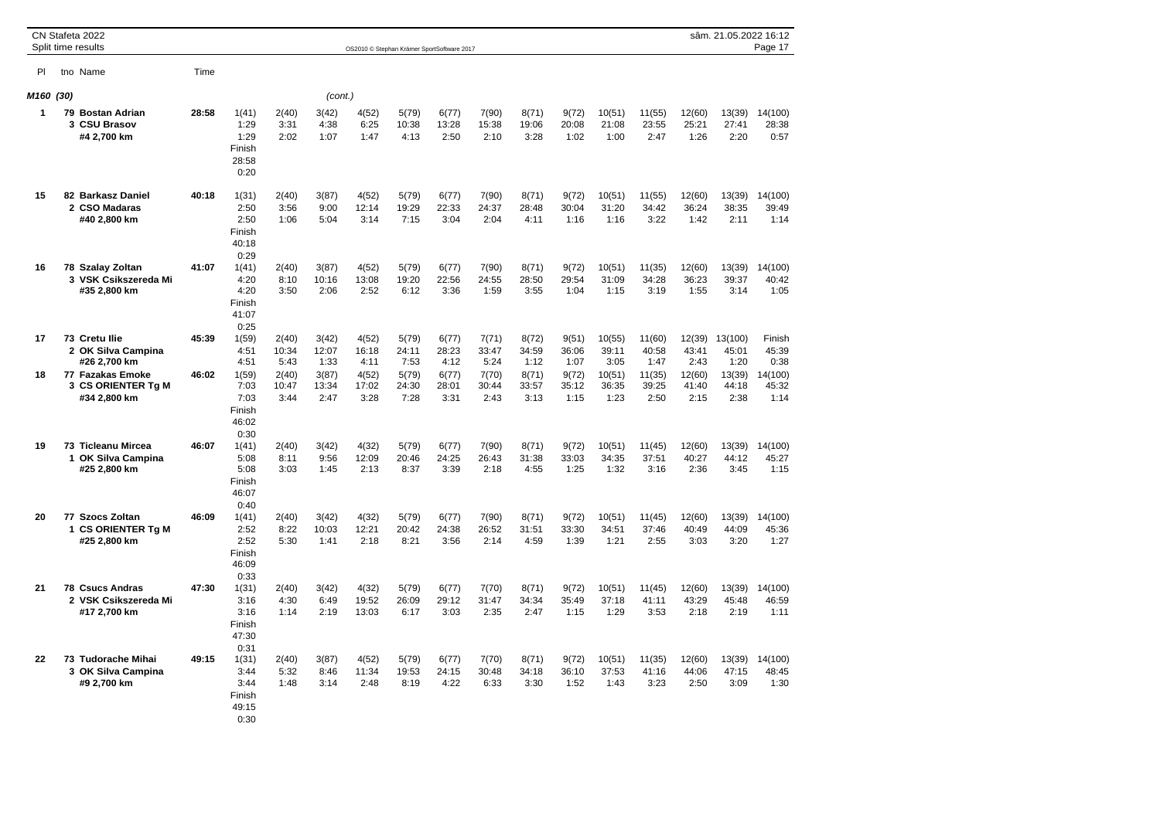|      |      | CN Stafeta 2022<br>Split time results                       |       |                                                  |                        |                        | OS2010 © Stephan Krämer SportSoftware 2017 |                        |                        |                        |                        |                        |                         |                         |                         | sâm. 21.05.2022 16:12    | Page 17                  |
|------|------|-------------------------------------------------------------|-------|--------------------------------------------------|------------------------|------------------------|--------------------------------------------|------------------------|------------------------|------------------------|------------------------|------------------------|-------------------------|-------------------------|-------------------------|--------------------------|--------------------------|
| PI   |      | tno Name                                                    | Time  |                                                  |                        |                        |                                            |                        |                        |                        |                        |                        |                         |                         |                         |                          |                          |
| M160 | (30) |                                                             |       |                                                  |                        | (cont.)                |                                            |                        |                        |                        |                        |                        |                         |                         |                         |                          |                          |
| 1    |      | 79 Bostan Adrian<br>3 CSU Brasov<br>#4 2,700 km             | 28:58 | 1(41)<br>1:29<br>1:29<br>Finish<br>28:58<br>0:20 | 2(40)<br>3:31<br>2:02  | 3(42)<br>4:38<br>1:07  | 4(52)<br>6:25<br>1:47                      | 5(79)<br>10:38<br>4:13 | 6(77)<br>13:28<br>2:50 | 7(90)<br>15:38<br>2:10 | 8(71)<br>19:06<br>3:28 | 9(72)<br>20:08<br>1:02 | 10(51)<br>21:08<br>1:00 | 11(55)<br>23:55<br>2:47 | 12(60)<br>25:21<br>1:26 | 13(39)<br>27:41<br>2:20  | 14(100)<br>28:38<br>0:57 |
| 15   |      | 82 Barkasz Daniel<br>2 CSO Madaras<br>#40 2,800 km          | 40:18 | 1(31)<br>2:50<br>2:50<br>Finish<br>40:18<br>0:29 | 2(40)<br>3:56<br>1:06  | 3(87)<br>9:00<br>5:04  | 4(52)<br>12:14<br>3:14                     | 5(79)<br>19:29<br>7:15 | 6(77)<br>22:33<br>3:04 | 7(90)<br>24:37<br>2:04 | 8(71)<br>28:48<br>4:11 | 9(72)<br>30:04<br>1:16 | 10(51)<br>31:20<br>1:16 | 11(55)<br>34:42<br>3:22 | 12(60)<br>36:24<br>1:42 | 13(39)<br>38:35<br>2:11  | 14(100)<br>39:49<br>1:14 |
| 16   |      | 78 Szalay Zoltan<br>3 VSK Csikszereda Mi<br>#35 2,800 km    | 41:07 | 1(41)<br>4:20<br>4:20<br>Finish<br>41:07<br>0:25 | 2(40)<br>8:10<br>3:50  | 3(87)<br>10:16<br>2:06 | 4(52)<br>13:08<br>2:52                     | 5(79)<br>19:20<br>6:12 | 6(77)<br>22:56<br>3:36 | 7(90)<br>24:55<br>1:59 | 8(71)<br>28:50<br>3:55 | 9(72)<br>29:54<br>1:04 | 10(51)<br>31:09<br>1:15 | 11(35)<br>34:28<br>3:19 | 12(60)<br>36:23<br>1:55 | 13(39)<br>39:37<br>3:14  | 14(100)<br>40:42<br>1:05 |
| 17   |      | 73 Cretu Ilie<br>2 OK Silva Campina<br>#26 2,700 km         | 45:39 | 1(59)<br>4:51<br>4:51                            | 2(40)<br>10:34<br>5:43 | 3(42)<br>12:07<br>1:33 | 4(52)<br>16:18<br>4:11                     | 5(79)<br>24:11<br>7:53 | 6(77)<br>28:23<br>4:12 | 7(71)<br>33:47<br>5:24 | 8(72)<br>34:59<br>1:12 | 9(51)<br>36:06<br>1:07 | 10(55)<br>39:11<br>3:05 | 11(60)<br>40:58<br>1:47 | 12(39)<br>43:41<br>2:43 | 13(100)<br>45:01<br>1:20 | Finish<br>45:39<br>0:38  |
| 18   |      | 77 Fazakas Emoke<br>3 CS ORIENTER Tg M<br>#34 2,800 km      | 46:02 | 1(59)<br>7:03<br>7:03<br>Finish<br>46:02<br>0:30 | 2(40)<br>10:47<br>3:44 | 3(87)<br>13:34<br>2:47 | 4(52)<br>17:02<br>3:28                     | 5(79)<br>24:30<br>7:28 | 6(77)<br>28:01<br>3:31 | 7(70)<br>30:44<br>2:43 | 8(71)<br>33:57<br>3:13 | 9(72)<br>35:12<br>1:15 | 10(51)<br>36:35<br>1:23 | 11(35)<br>39:25<br>2:50 | 12(60)<br>41:40<br>2:15 | 13(39)<br>44:18<br>2:38  | 14(100)<br>45:32<br>1:14 |
| 19   |      | 73 Ticleanu Mircea<br>1 OK Silva Campina<br>#25 2,800 km    | 46:07 | 1(41)<br>5:08<br>5:08<br>Finish<br>46:07<br>0:40 | 2(40)<br>8:11<br>3:03  | 3(42)<br>9:56<br>1:45  | 4(32)<br>12:09<br>2:13                     | 5(79)<br>20:46<br>8:37 | 6(77)<br>24:25<br>3:39 | 7(90)<br>26:43<br>2:18 | 8(71)<br>31:38<br>4:55 | 9(72)<br>33:03<br>1:25 | 10(51)<br>34:35<br>1:32 | 11(45)<br>37:51<br>3:16 | 12(60)<br>40:27<br>2:36 | 13(39)<br>44:12<br>3:45  | 14(100)<br>45:27<br>1:15 |
| 20   | 1    | 77 Szocs Zoltan<br><b>CS ORIENTER Tg M</b><br>#25 2,800 km  | 46:09 | 1(41)<br>2:52<br>2:52<br>Finish<br>46:09<br>0:33 | 2(40)<br>8:22<br>5:30  | 3(42)<br>10:03<br>1:41 | 4(32)<br>12:21<br>2:18                     | 5(79)<br>20:42<br>8:21 | 6(77)<br>24:38<br>3:56 | 7(90)<br>26:52<br>2:14 | 8(71)<br>31:51<br>4:59 | 9(72)<br>33:30<br>1:39 | 10(51)<br>34:51<br>1:21 | 11(45)<br>37:46<br>2:55 | 12(60)<br>40:49<br>3:03 | 13(39)<br>44:09<br>3:20  | 14(100)<br>45:36<br>1:27 |
| 21   | 78   | <b>Csucs Andras</b><br>2 VSK Csikszereda Mi<br>#17 2,700 km | 47:30 | 1(31)<br>3:16<br>3:16<br>Finish<br>47:30<br>0:31 | 2(40)<br>4:30<br>1:14  | 3(42)<br>6:49<br>2:19  | 4(32)<br>19:52<br>13:03                    | 5(79)<br>26:09<br>6:17 | 6(77)<br>29:12<br>3:03 | 7(70)<br>31:47<br>2:35 | 8(71)<br>34:34<br>2:47 | 9(72)<br>35:49<br>1:15 | 10(51)<br>37:18<br>1:29 | 11(45)<br>41:11<br>3:53 | 12(60)<br>43:29<br>2:18 | 13(39)<br>45:48<br>2:19  | 14(100)<br>46:59<br>1:11 |
| 22   |      | 73 Tudorache Mihai<br>3 OK Silva Campina<br>#9 2,700 km     | 49:15 | 1(31)<br>3:44<br>3:44<br>Finish<br>49:15<br>0:30 | 2(40)<br>5:32<br>1:48  | 3(87)<br>8:46<br>3:14  | 4(52)<br>11:34<br>2:48                     | 5(79)<br>19:53<br>8:19 | 6(77)<br>24:15<br>4:22 | 7(70)<br>30:48<br>6:33 | 8(71)<br>34:18<br>3:30 | 9(72)<br>36:10<br>1:52 | 10(51)<br>37:53<br>1:43 | 11(35)<br>41:16<br>3:23 | 12(60)<br>44:06<br>2:50 | 13(39)<br>47:15<br>3:09  | 14(100)<br>48:45<br>1:30 |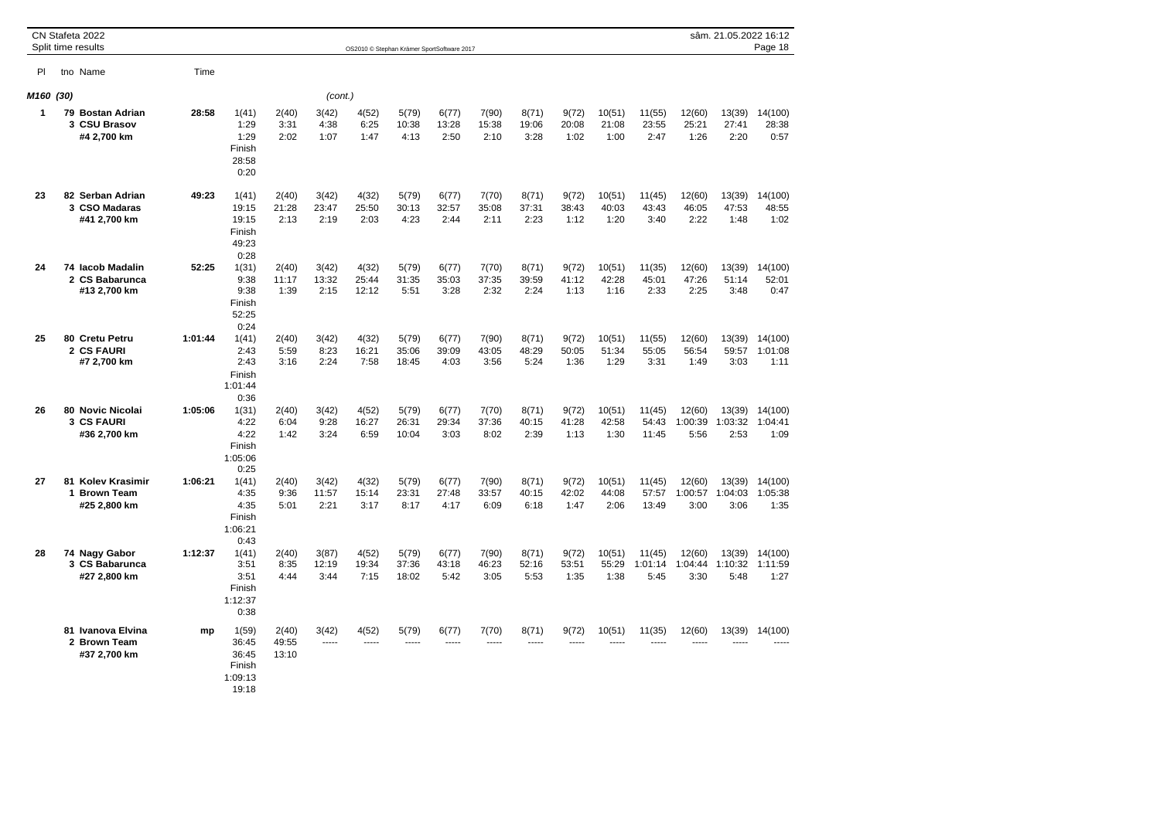|      |      | CN Stafeta 2022<br>Split time results                     |         |                                                       |                         |                        | OS2010 @ Stephan Krämer SportSoftware 2017 |                         |                        |                        |                        |                        |                         |                           |                           | sâm. 21.05.2022 16:12     | Page 18                    |
|------|------|-----------------------------------------------------------|---------|-------------------------------------------------------|-------------------------|------------------------|--------------------------------------------|-------------------------|------------------------|------------------------|------------------------|------------------------|-------------------------|---------------------------|---------------------------|---------------------------|----------------------------|
| PI   |      | tno Name                                                  | Time    |                                                       |                         |                        |                                            |                         |                        |                        |                        |                        |                         |                           |                           |                           |                            |
| M160 | (30) |                                                           |         |                                                       |                         | (cont.)                |                                            |                         |                        |                        |                        |                        |                         |                           |                           |                           |                            |
| 1    |      | 79 Bostan Adrian<br>3 CSU Brasov<br>#4 2,700 km           | 28:58   | 1(41)<br>1:29<br>1:29<br>Finish<br>28:58<br>0:20      | 2(40)<br>3:31<br>2:02   | 3(42)<br>4:38<br>1:07  | 4(52)<br>6:25<br>1:47                      | 5(79)<br>10:38<br>4:13  | 6(77)<br>13:28<br>2:50 | 7(90)<br>15:38<br>2:10 | 8(71)<br>19:06<br>3:28 | 9(72)<br>20:08<br>1:02 | 10(51)<br>21:08<br>1:00 | 11(55)<br>23:55<br>2:47   | 12(60)<br>25:21<br>1:26   | 13(39)<br>27:41<br>2:20   | 14(100)<br>28:38<br>0:57   |
| 23   |      | 82 Serban Adrian<br>3 CSO Madaras<br>#41 2,700 km         | 49:23   | 1(41)<br>19:15<br>19:15<br>Finish<br>49:23<br>0:28    | 2(40)<br>21:28<br>2:13  | 3(42)<br>23:47<br>2:19 | 4(32)<br>25:50<br>2:03                     | 5(79)<br>30:13<br>4:23  | 6(77)<br>32:57<br>2:44 | 7(70)<br>35:08<br>2:11 | 8(71)<br>37:31<br>2:23 | 9(72)<br>38:43<br>1:12 | 10(51)<br>40:03<br>1:20 | 11(45)<br>43:43<br>3:40   | 12(60)<br>46:05<br>2:22   | 13(39)<br>47:53<br>1:48   | 14(100)<br>48:55<br>1:02   |
| 24   |      | 74 Iacob Madalin<br>2 CS Babarunca<br>#13 2,700 km        | 52:25   | 1(31)<br>9:38<br>9:38<br>Finish<br>52:25<br>0:24      | 2(40)<br>11:17<br>1:39  | 3(42)<br>13:32<br>2:15 | 4(32)<br>25:44<br>12:12                    | 5(79)<br>31:35<br>5:51  | 6(77)<br>35:03<br>3:28 | 7(70)<br>37:35<br>2:32 | 8(71)<br>39:59<br>2:24 | 9(72)<br>41:12<br>1:13 | 10(51)<br>42:28<br>1:16 | 11(35)<br>45:01<br>2:33   | 12(60)<br>47:26<br>2:25   | 13(39)<br>51:14<br>3:48   | 14(100)<br>52:01<br>0:47   |
| 25   |      | 80 Cretu Petru<br>2 CS FAURI<br>#7 2,700 km               | 1:01:44 | 1(41)<br>2:43<br>2:43<br>Finish<br>1:01:44<br>0:36    | 2(40)<br>5:59<br>3:16   | 3(42)<br>8:23<br>2:24  | 4(32)<br>16:21<br>7:58                     | 5(79)<br>35:06<br>18:45 | 6(77)<br>39:09<br>4:03 | 7(90)<br>43:05<br>3:56 | 8(71)<br>48:29<br>5:24 | 9(72)<br>50:05<br>1:36 | 10(51)<br>51:34<br>1:29 | 11(55)<br>55:05<br>3:31   | 12(60)<br>56:54<br>1:49   | 13(39)<br>59:57<br>3:03   | 14(100)<br>1:01:08<br>1:11 |
| 26   | 80   | <b>Novic Nicolai</b><br><b>3 CS FAURI</b><br>#36 2,700 km | 1:05:06 | 1(31)<br>4:22<br>4:22<br>Finish<br>1:05:06<br>0:25    | 2(40)<br>6:04<br>1:42   | 3(42)<br>9:28<br>3:24  | 4(52)<br>16:27<br>6:59                     | 5(79)<br>26:31<br>10:04 | 6(77)<br>29:34<br>3:03 | 7(70)<br>37:36<br>8:02 | 8(71)<br>40:15<br>2:39 | 9(72)<br>41:28<br>1:13 | 10(51)<br>42:58<br>1:30 | 11(45)<br>54:43<br>11:45  | 12(60)<br>1:00:39<br>5:56 | 13(39)<br>1:03:32<br>2:53 | 14(100)<br>1:04:41<br>1:09 |
| 27   | 81   | <b>Kolev Krasimir</b><br>1 Brown Team<br>#25 2,800 km     | 1:06:21 | 1(41)<br>4:35<br>4:35<br>Finish<br>1:06:21<br>0:43    | 2(40)<br>9:36<br>5:01   | 3(42)<br>11:57<br>2:21 | 4(32)<br>15:14<br>3:17                     | 5(79)<br>23:31<br>8:17  | 6(77)<br>27:48<br>4:17 | 7(90)<br>33:57<br>6:09 | 8(71)<br>40:15<br>6:18 | 9(72)<br>42:02<br>1:47 | 10(51)<br>44:08<br>2:06 | 11(45)<br>57:57<br>13:49  | 12(60)<br>1:00:57<br>3:00 | 13(39)<br>1:04:03<br>3:06 | 14(100)<br>1:05:38<br>1:35 |
| 28   |      | 74 Nagy Gabor<br>3 CS Babarunca<br>#27 2,800 km           | 1:12:37 | 1(41)<br>3:51<br>3:51<br>Finish<br>1:12:37<br>0:38    | 2(40)<br>8:35<br>4:44   | 3(87)<br>12:19<br>3:44 | 4(52)<br>19:34<br>7:15                     | 5(79)<br>37:36<br>18:02 | 6(77)<br>43:18<br>5:42 | 7(90)<br>46:23<br>3:05 | 8(71)<br>52:16<br>5:53 | 9(72)<br>53:51<br>1:35 | 10(51)<br>55:29<br>1:38 | 11(45)<br>1:01:14<br>5:45 | 12(60)<br>1:04:44<br>3:30 | 13(39)<br>1:10:32<br>5:48 | 14(100)<br>1:11:59<br>1:27 |
|      |      | 81 Ivanova Elvina<br>2 Brown Team<br>#37 2,700 km         | mp      | 1(59)<br>36:45<br>36:45<br>Finish<br>1:09:13<br>19:18 | 2(40)<br>49:55<br>13:10 | 3(42)<br>-----         | 4(52)<br>-----                             | 5(79)                   | 6(77)                  | 7(70)<br>1.1.1.1       | 8(71)                  | 9(72)                  | 10(51)                  | 11(35)                    | 12(60)<br>-----           | 13(39)                    | 14(100)                    |